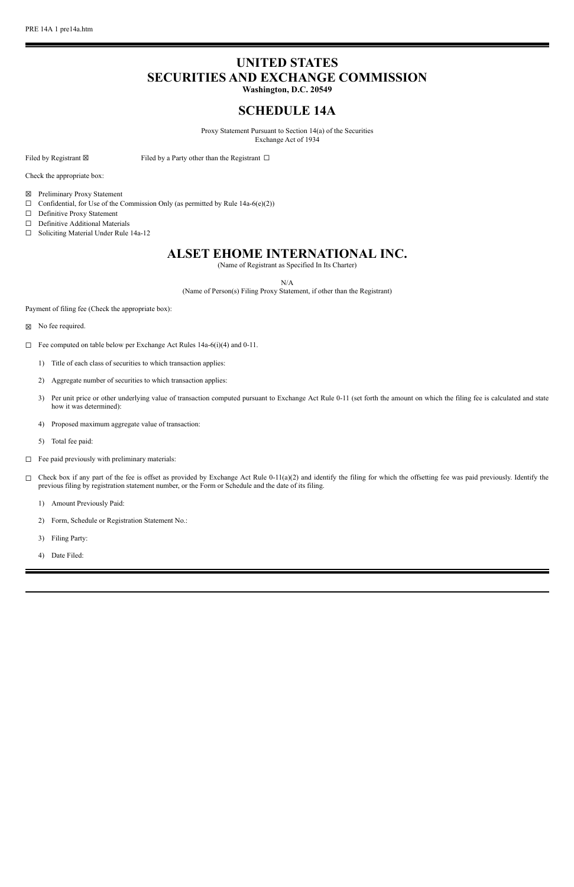# **UNITED STATES SECURITIES AND EXCHANGE COMMISSION**

**Washington, D.C. 20549**

# **SCHEDULE 14A**

Proxy Statement Pursuant to Section 14(a) of the Securities Exchange Act of 1934

Filed by Registrant  $\boxtimes$  Filed by a Party other than the Registrant  $\Box$ 

Check the appropriate box:

- ☒ Preliminary Proxy Statement
- $\Box$  Confidential, for Use of the Commission Only (as permitted by Rule 14a-6(e)(2))
- ☐ Definitive Proxy Statement
- ☐ Definitive Additional Materials
- ☐ Soliciting Material Under Rule 14a-12

# **ALSET EHOME INTERNATIONAL INC.**

(Name of Registrant as Specified In Its Charter)

N/A

(Name of Person(s) Filing Proxy Statement, if other than the Registrant)

Payment of filing fee (Check the appropriate box):

- ☒ No fee required.
- ☐ Fee computed on table below per Exchange Act Rules 14a-6(i)(4) and 0-11.
	- 1) Title of each class of securities to which transaction applies:
	- 2) Aggregate number of securities to which transaction applies:
	- 3) Per unit price or other underlying value of transaction computed pursuant to Exchange Act Rule 0-11 (set forth the amount on which the filing fee is calculated and state how it was determined):
	- 4) Proposed maximum aggregate value of transaction:
	- 5) Total fee paid:
- ☐ Fee paid previously with preliminary materials:
- $\Box$  Check box if any part of the fee is offset as provided by Exchange Act Rule 0-11(a)(2) and identify the filing for which the offsetting fee was paid previously. Identify the previous filing by registration statement number, or the Form or Schedule and the date of its filing.
	- 1) Amount Previously Paid:
	- 2) Form, Schedule or Registration Statement No.:
	- 3) Filing Party:
	- 4) Date Filed: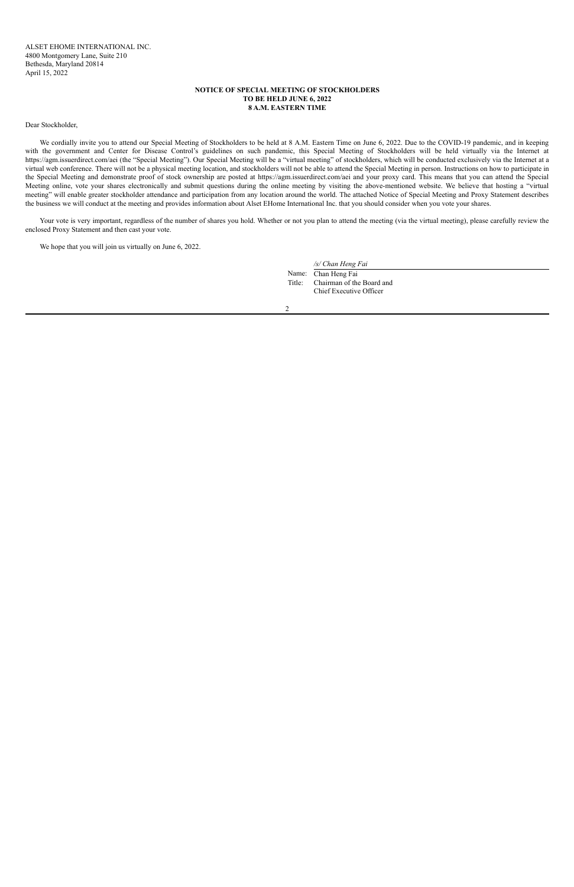### **NOTICE OF SPECIAL MEETING OF STOCKHOLDERS TO BE HELD JUNE 6, 2022 8 A.M. EASTERN TIME**

#### Dear Stockholder,

We cordially invite you to attend our Special Meeting of Stockholders to be held at 8 A.M. Eastern Time on June 6, 2022. Due to the COVID-19 pandemic, and in keeping with the government and Center for Disease Control's guidelines on such pandemic, this Special Meeting of Stockholders will be held virtually via the Internet at https://agm.issuerdirect.com/aei (the "Special Meeting"). Our Special Meeting will be a "virtual meeting" of stockholders, which will be conducted exclusively via the Internet at a virtual web conference. There will not be a physical meeting location, and stockholders will not be able to attend the Special Meeting in person. Instructions on how to participate in the Special Meeting and demonstrate proof of stock ownership are posted at https://agm.issuerdirect.com/aei and your proxy card. This means that you can attend the Special Meeting online, vote your shares electronically and submit questions during the online meeting by visiting the above-mentioned website. We believe that hosting a "virtual meeting" will enable greater stockholder attendance and participation from any location around the world. The attached Notice of Special Meeting and Proxy Statement describes the business we will conduct at the meeting and provides information about Alset EHome International Inc. that you should consider when you vote your shares.

Your vote is very important, regardless of the number of shares you hold. Whether or not you plan to attend the meeting (via the virtual meeting), please carefully review the enclosed Proxy Statement and then cast your vote.

We hope that you will join us virtually on June 6, 2022.

*/s/ Chan Heng Fai*

Name: Chan Heng Fai Title: Chairman of the Board and Chief Executive Officer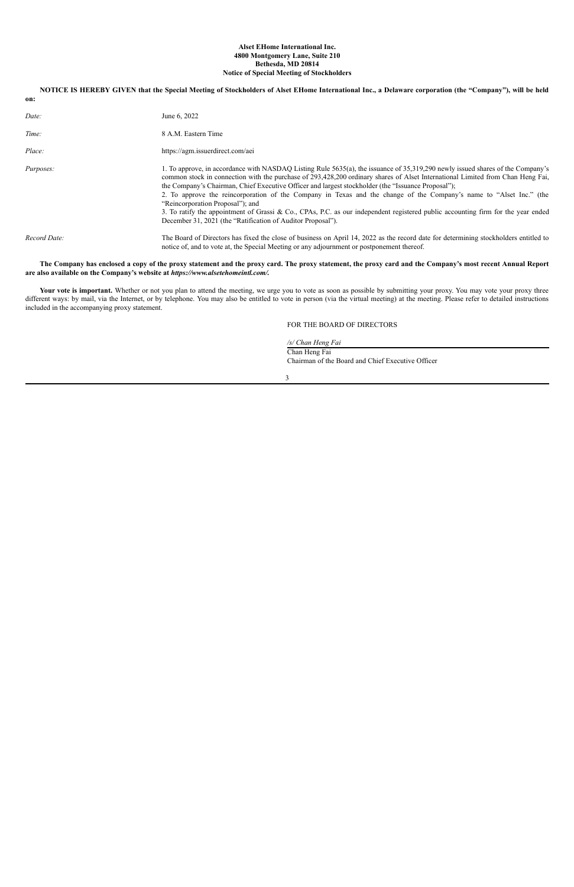#### **Alset EHome International Inc. 4800 Montgomery Lane, Suite 210 Bethesda, MD 20814 Notice of Special Meeting of Stockholders**

| on:          | NOTICE IS HEREBY GIVEN that the Special Meeting of Stockholders of Alset EHome International Inc., a Delaware corporation (the "Company"), will be held                                                                                                                                                                                                                                                                                                                                                                                                                                                                                                                                                                              |
|--------------|--------------------------------------------------------------------------------------------------------------------------------------------------------------------------------------------------------------------------------------------------------------------------------------------------------------------------------------------------------------------------------------------------------------------------------------------------------------------------------------------------------------------------------------------------------------------------------------------------------------------------------------------------------------------------------------------------------------------------------------|
| Date:        | June 6, 2022                                                                                                                                                                                                                                                                                                                                                                                                                                                                                                                                                                                                                                                                                                                         |
| Time:        | 8 A.M. Eastern Time                                                                                                                                                                                                                                                                                                                                                                                                                                                                                                                                                                                                                                                                                                                  |
| Place:       | https://agm.issuerdirect.com/aei                                                                                                                                                                                                                                                                                                                                                                                                                                                                                                                                                                                                                                                                                                     |
| Purposes:    | 1. To approve, in accordance with NASDAQ Listing Rule 5635(a), the issuance of 35,319,290 newly issued shares of the Company's<br>common stock in connection with the purchase of 293,428,200 ordinary shares of Alset International Limited from Chan Heng Fai,<br>the Company's Chairman, Chief Executive Officer and largest stockholder (the "Issuance Proposal");<br>2. To approve the reincorporation of the Company in Texas and the change of the Company's name to "Alset Inc." (the<br>"Reincorporation Proposal"); and<br>3. To ratify the appointment of Grassi & Co., CPAs, P.C. as our independent registered public accounting firm for the year ended<br>December 31, 2021 (the "Ratification of Auditor Proposal"). |
| Record Date: | The Board of Directors has fixed the close of business on April 14, 2022 as the record date for determining stockholders entitled to<br>notice of, and to vote at, the Special Meeting or any adjournment or postponement thereof.                                                                                                                                                                                                                                                                                                                                                                                                                                                                                                   |

The Company has enclosed a copy of the proxy statement and the proxy card. The proxy statement, the proxy card and the Company's most recent Annual Report **are also available on the Company's website at** *https://www.alsetehomeintl.com/.*

Your vote is important. Whether or not you plan to attend the meeting, we urge you to vote as soon as possible by submitting your proxy. You may vote your proxy three different ways: by mail, via the Internet, or by telephone. You may also be entitled to vote in person (via the virtual meeting) at the meeting. Please refer to detailed instructions included in the accompanying proxy statement.

### FOR THE BOARD OF DIRECTORS

*/s/ Chan Heng Fai*

Chan Heng Fai Chairman of the Board and Chief Executive Officer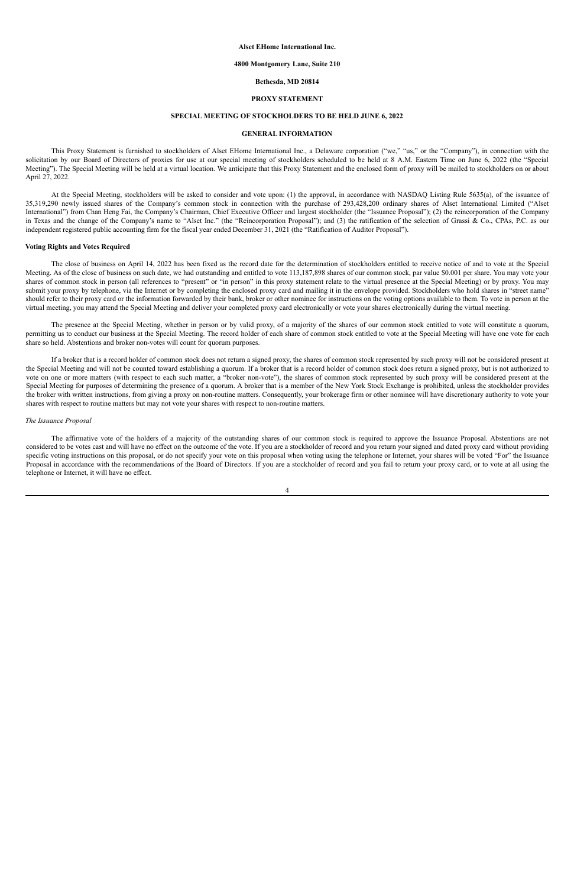#### **Alset EHome International Inc.**

#### **4800 Montgomery Lane, Suite 210**

#### **Bethesda, MD 20814**

#### **PROXY STATEMENT**

#### **SPECIAL MEETING OF STOCKHOLDERS TO BE HELD JUNE 6, 2022**

#### **GENERAL INFORMATION**

This Proxy Statement is furnished to stockholders of Alset EHome International Inc., a Delaware corporation ("we," "us," or the "Company"), in connection with the solicitation by our Board of Directors of proxies for use at our special meeting of stockholders scheduled to be held at 8 A.M. Eastern Time on June 6, 2022 (the "Special Meeting"). The Special Meeting will be held at a virtual location. We anticipate that this Proxy Statement and the enclosed form of proxy will be mailed to stockholders on or about April 27, 2022.

At the Special Meeting, stockholders will be asked to consider and vote upon: (1) the approval, in accordance with NASDAQ Listing Rule 5635(a), of the issuance of 35,319,290 newly issued shares of the Company's common stock in connection with the purchase of 293,428,200 ordinary shares of Alset International Limited ("Alset International") from Chan Heng Fai, the Company's Chairman, Chief Executive Officer and largest stockholder (the "Issuance Proposal"); (2) the reincorporation of the Company in Texas and the change of the Company's name to "Alset Inc." (the "Reincorporation Proposal"); and (3) the ratification of the selection of Grassi & Co., CPAs, P.C. as our independent registered public accounting firm for the fiscal year ended December 31, 2021 (the "Ratification of Auditor Proposal").

#### **Voting Rights and Votes Required**

The close of business on April 14, 2022 has been fixed as the record date for the determination of stockholders entitled to receive notice of and to vote at the Special Meeting. As of the close of business on such date, we had outstanding and entitled to vote 113,187,898 shares of our common stock, par value \$0.001 per share. You may vote your shares of common stock in person (all references to "present" or "in person" in this proxy statement relate to the virtual presence at the Special Meeting) or by proxy. You may submit your proxy by telephone, via the Internet or by completing the enclosed proxy card and mailing it in the envelope provided. Stockholders who hold shares in "street name" should refer to their proxy card or the information forwarded by their bank, broker or other nominee for instructions on the voting options available to them. To vote in person at the virtual meeting, you may attend the Special Meeting and deliver your completed proxy card electronically or vote your shares electronically during the virtual meeting.

The presence at the Special Meeting, whether in person or by valid proxy, of a majority of the shares of our common stock entitled to vote will constitute a quorum, permitting us to conduct our business at the Special Meeting. The record holder of each share of common stock entitled to vote at the Special Meeting will have one vote for each share so held. Abstentions and broker non-votes will count for quorum purposes.

If a broker that is a record holder of common stock does not return a signed proxy, the shares of common stock represented by such proxy will not be considered present at the Special Meeting and will not be counted toward establishing a quorum. If a broker that is a record holder of common stock does return a signed proxy, but is not authorized to vote on one or more matters (with respect to each such matter, a "broker non-vote"), the shares of common stock represented by such proxy will be considered present at the Special Meeting for purposes of determining the presence of a quorum. A broker that is a member of the New York Stock Exchange is prohibited, unless the stockholder provides the broker with written instructions, from giving a proxy on non-routine matters. Consequently, your brokerage firm or other nominee will have discretionary authority to vote your shares with respect to routine matters but may not vote your shares with respect to non-routine matters.

#### *The Issuance Proposal*

The affirmative vote of the holders of a majority of the outstanding shares of our common stock is required to approve the Issuance Proposal. Abstentions are not considered to be votes cast and will have no effect on the outcome of the vote. If you are a stockholder of record and you return your signed and dated proxy card without providing specific voting instructions on this proposal, or do not specify your vote on this proposal when voting using the telephone or Internet, your shares will be voted "For" the Issuance Proposal in accordance with the recommendations of the Board of Directors. If you are a stockholder of record and you fail to return your proxy card, or to vote at all using the telephone or Internet, it will have no effect.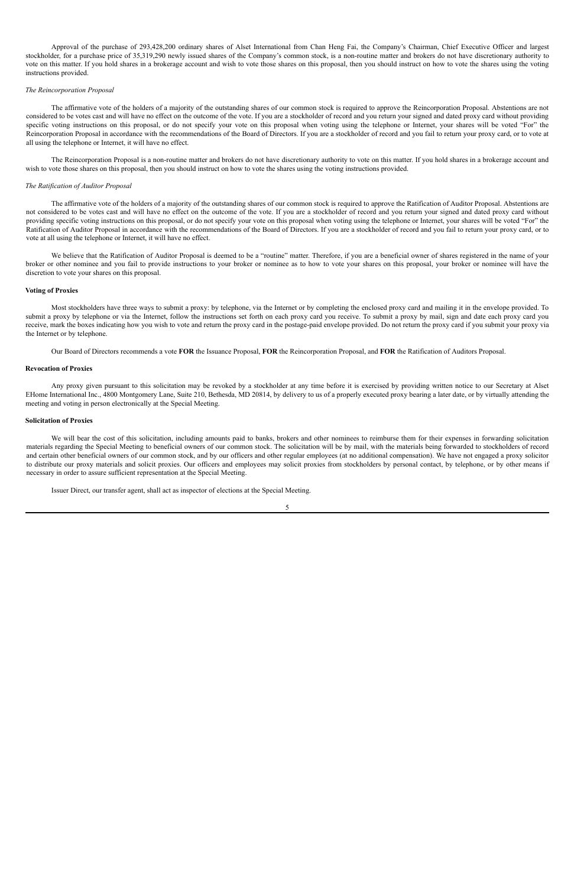Approval of the purchase of 293,428,200 ordinary shares of Alset International from Chan Heng Fai, the Company's Chairman, Chief Executive Officer and largest stockholder, for a purchase price of 35,319,290 newly issued shares of the Company's common stock, is a non-routine matter and brokers do not have discretionary authority to vote on this matter. If you hold shares in a brokerage account and wish to vote those shares on this proposal, then you should instruct on how to vote the shares using the voting instructions provided.

#### *The Reincorporation Proposal*

The affirmative vote of the holders of a majority of the outstanding shares of our common stock is required to approve the Reincorporation Proposal. Abstentions are not considered to be votes cast and will have no effect on the outcome of the vote. If you are a stockholder of record and you return your signed and dated proxy card without providing specific voting instructions on this proposal, or do not specify your vote on this proposal when voting using the telephone or Internet, your shares will be voted "For" the Reincorporation Proposal in accordance with the recommendations of the Board of Directors. If you are a stockholder of record and you fail to return your proxy card, or to vote at all using the telephone or Internet, it will have no effect.

We believe that the Ratification of Auditor Proposal is deemed to be a "routine" matter. Therefore, if you are a beneficial owner of shares registered in the name of your broker or other nominee and you fail to provide instructions to your broker or nominee as to how to vote your shares on this proposal, your broker or nominee will have the discretion to vote your shares on this proposal.

The Reincorporation Proposal is a non-routine matter and brokers do not have discretionary authority to vote on this matter. If you hold shares in a brokerage account and wish to vote those shares on this proposal, then you should instruct on how to vote the shares using the voting instructions provided.

#### *The Ratification of Auditor Proposal*

Most stockholders have three ways to submit a proxy: by telephone, via the Internet or by completing the enclosed proxy card and mailing it in the envelope provided. To submit a proxy by telephone or via the Internet, follow the instructions set forth on each proxy card you receive. To submit a proxy by mail, sign and date each proxy card you receive, mark the boxes indicating how you wish to vote and return the proxy card in the postage-paid envelope provided. Do not return the proxy card if you submit your proxy via the Internet or by telephone.

Any proxy given pursuant to this solicitation may be revoked by a stockholder at any time before it is exercised by providing written notice to our Secretary at Alset EHome International Inc., 4800 Montgomery Lane, Suite 210, Bethesda, MD 20814, by delivery to us of a properly executed proxy bearing a later date, or by virtually attending the meeting and voting in person electronically at the Special Meeting.

The affirmative vote of the holders of a majority of the outstanding shares of our common stock is required to approve the Ratification of Auditor Proposal. Abstentions are not considered to be votes cast and will have no effect on the outcome of the vote. If you are a stockholder of record and you return your signed and dated proxy card without providing specific voting instructions on this proposal, or do not specify your vote on this proposal when voting using the telephone or Internet, your shares will be voted "For" the Ratification of Auditor Proposal in accordance with the recommendations of the Board of Directors. If you are a stockholder of record and you fail to return your proxy card, or to vote at all using the telephone or Internet, it will have no effect.

We will bear the cost of this solicitation, including amounts paid to banks, brokers and other nominees to reimburse them for their expenses in forwarding solicitation materials regarding the Special Meeting to beneficial owners of our common stock. The solicitation will be by mail, with the materials being forwarded to stockholders of record and certain other beneficial owners of our common stock, and by our officers and other regular employees (at no additional compensation). We have not engaged a proxy solicitor to distribute our proxy materials and solicit proxies. Our officers and employees may solicit proxies from stockholders by personal contact, by telephone, or by other means if necessary in order to assure sufficient representation at the Special Meeting.

#### **Voting of Proxies**

Our Board of Directors recommends a vote **FOR** the Issuance Proposal, **FOR** the Reincorporation Proposal, and **FOR** the Ratification of Auditors Proposal.

#### **Revocation of Proxies**

#### **Solicitation of Proxies**

Issuer Direct, our transfer agent, shall act as inspector of elections at the Special Meeting.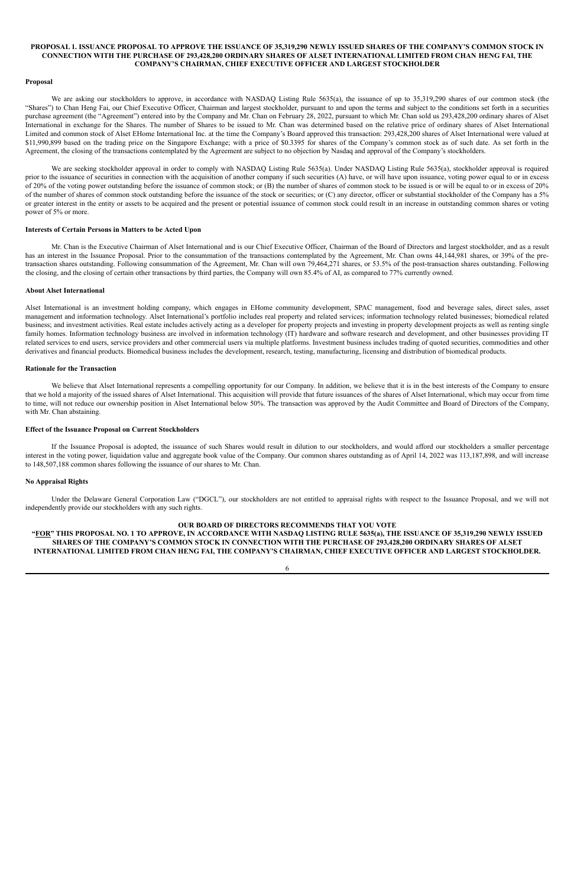#### PROPOSAL 1. ISSUANCE PROPOSAL TO APPROVE THE ISSUANCE OF 35,319,290 NEWLY ISSUED SHARES OF THE COMPANY'S COMMON STOCK IN CONNECTION WITH THE PURCHASE OF 293,428,200 ORDINARY SHARES OF ALSET INTERNATIONAL LIMITED FROM CHAN HENG FAI, THE **COMPANY'S CHAIRMAN, CHIEF EXECUTIVE OFFICER AND LARGEST STOCKHOLDER**

#### **Proposal**

We are asking our stockholders to approve, in accordance with NASDAQ Listing Rule 5635(a), the issuance of up to 35,319,290 shares of our common stock (the "Shares") to Chan Heng Fai, our Chief Executive Officer, Chairman and largest stockholder, pursuant to and upon the terms and subject to the conditions set forth in a securities purchase agreement (the "Agreement") entered into by the Company and Mr. Chan on February 28, 2022, pursuant to which Mr. Chan sold us 293,428,200 ordinary shares of Alset International in exchange for the Shares. The number of Shares to be issued to Mr. Chan was determined based on the relative price of ordinary shares of Alset International Limited and common stock of Alset EHome International Inc. at the time the Company's Board approved this transaction: 293,428,200 shares of Alset International were valued at \$11,990,899 based on the trading price on the Singapore Exchange; with a price of \$0.3395 for shares of the Company's common stock as of such date. As set forth in the Agreement, the closing of the transactions contemplated by the Agreement are subject to no objection by Nasdaq and approval of the Company's stockholders.

We are seeking stockholder approval in order to comply with NASDAQ Listing Rule 5635(a). Under NASDAQ Listing Rule 5635(a), stockholder approval is required prior to the issuance of securities in connection with the acquisition of another company if such securities (A) have, or will have upon issuance, voting power equal to or in excess of 20% of the voting power outstanding before the issuance of common stock; or (B) the number of shares of common stock to be issued is or will be equal to or in excess of 20% of the number of shares of common stock outstanding before the issuance of the stock or securities; or (C) any director, officer or substantial stockholder of the Company has a 5% or greater interest in the entity or assets to be acquired and the present or potential issuance of common stock could result in an increase in outstanding common shares or voting power of 5% or more.

We believe that Alset International represents a compelling opportunity for our Company. In addition, we believe that it is in the best interests of the Company to ensure that we hold a majority of the issued shares of Alset International. This acquisition will provide that future issuances of the shares of Alset International, which may occur from time to time, will not reduce our ownership position in Alset International below 50%. The transaction was approved by the Audit Committee and Board of Directors of the Company, with Mr. Chan abstaining.

#### **Interests of Certain Persons in Matters to be Acted Upon**

Mr. Chan is the Executive Chairman of Alset International and is our Chief Executive Officer, Chairman of the Board of Directors and largest stockholder, and as a result has an interest in the Issuance Proposal. Prior to the consummation of the transactions contemplated by the Agreement, Mr. Chan owns 44,144,981 shares, or 39% of the pretransaction shares outstanding. Following consummation of the Agreement, Mr. Chan will own 79,464,271 shares, or 53.5% of the post-transaction shares outstanding. Following the closing, and the closing of certain other transactions by third parties, the Company will own 85.4% of AI, as compared to 77% currently owned.

"FOR" THIS PROPOSAL NO. 1 TO APPROVE, IN ACCORDANCE WITH NASDAQ LISTING RULE 5635(a), THE ISSUANCE OF 35,319,290 NEWLY ISSUED SHARES OF THE COMPANY'S COMMON STOCK IN CONNECTION WITH THE PURCHASE OF 293,428,200 ORDINARY SHARES OF ALSET **INTERNATIONAL LIMITED FROM CHAN HENG FAI, THE COMPANY'S CHAIRMAN, CHIEF EXECUTIVE OFFICER AND LARGEST STOCKHOLDER.**

#### **About Alset International**

Alset International is an investment holding company, which engages in EHome community development, SPAC management, food and beverage sales, direct sales, asset management and information technology. Alset International's portfolio includes real property and related services; information technology related businesses; biomedical related business; and investment activities. Real estate includes actively acting as a developer for property projects and investing in property development projects as well as renting single family homes. Information technology business are involved in information technology (IT) hardware and software research and development, and other businesses providing IT related services to end users, service providers and other commercial users via multiple platforms. Investment business includes trading of quoted securities, commodities and other derivatives and financial products. Biomedical business includes the development, research, testing, manufacturing, licensing and distribution of biomedical products.

#### **Rationale for the Transaction**

#### **Effect of the Issuance Proposal on Current Stockholders**

If the Issuance Proposal is adopted, the issuance of such Shares would result in dilution to our stockholders, and would afford our stockholders a smaller percentage interest in the voting power, liquidation value and aggregate book value of the Company. Our common shares outstanding as of April 14, 2022 was 113,187,898, and will increase to 148,507,188 common shares following the issuance of our shares to Mr. Chan.

#### **No Appraisal Rights**

Under the Delaware General Corporation Law ("DGCL"), our stockholders are not entitled to appraisal rights with respect to the Issuance Proposal, and we will not independently provide our stockholders with any such rights.

#### **OUR BOARD OF DIRECTORS RECOMMENDS THAT YOU VOTE**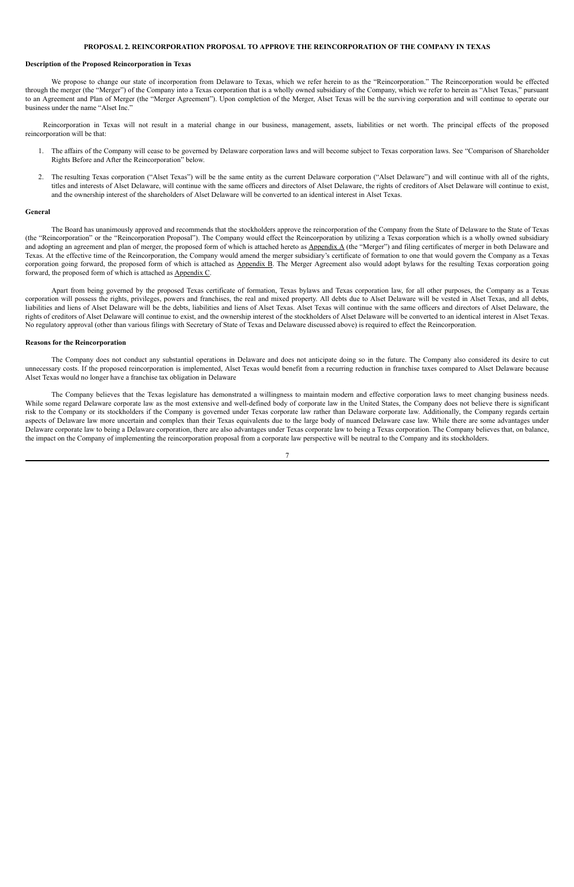#### **PROPOSAL 2. REINCORPORATION PROPOSAL TO APPROVE THE REINCORPORATION OF THE COMPANY IN TEXAS**

#### **Description of the Proposed Reincorporation in Texas**

We propose to change our state of incorporation from Delaware to Texas, which we refer herein to as the "Reincorporation." The Reincorporation would be effected through the merger (the "Merger") of the Company into a Texas corporation that is a wholly owned subsidiary of the Company, which we refer to herein as "Alset Texas," pursuant to an Agreement and Plan of Merger (the "Merger Agreement"). Upon completion of the Merger, Alset Texas will be the surviving corporation and will continue to operate our business under the name "Alset Inc."

Reincorporation in Texas will not result in a material change in our business, management, assets, liabilities or net worth. The principal effects of the proposed reincorporation will be that:

- 1. The affairs of the Company will cease to be governed by Delaware corporation laws and will become subject to Texas corporation laws. See "Comparison of Shareholder Rights Before and After the Reincorporation" below.
- 2. The resulting Texas corporation ("Alset Texas") will be the same entity as the current Delaware corporation ("Alset Delaware") and will continue with all of the rights, titles and interests of Alset Delaware, will continue with the same officers and directors of Alset Delaware, the rights of creditors of Alset Delaware will continue to exist, and the ownership interest of the shareholders of Alset Delaware will be converted to an identical interest in Alset Texas.

#### **General**

The Board has unanimously approved and recommends that the stockholders approve the reincorporation of the Company from the State of Delaware to the State of Texas (the "Reincorporation" or the "Reincorporation Proposal"). The Company would effect the Reincorporation by utilizing a Texas corporation which is a wholly owned subsidiary and adopting an agreement and plan of merger, the proposed form of which is attached hereto as Appendix A (the "Merger") and filing certificates of merger in both Delaware and Texas. At the effective time of the Reincorporation, the Company would amend the merger subsidiary's certificate of formation to one that would govern the Company as a Texas corporation going forward, the proposed form of which is attached as Appendix B. The Merger Agreement also would adopt bylaws for the resulting Texas corporation going forward, the proposed form of which is attached as Appendix C.

Apart from being governed by the proposed Texas certificate of formation, Texas bylaws and Texas corporation law, for all other purposes, the Company as a Texas corporation will possess the rights, privileges, powers and franchises, the real and mixed property. All debts due to Alset Delaware will be vested in Alset Texas, and all debts, liabilities and liens of Alset Delaware will be the debts, liabilities and liens of Alset Texas. Alset Texas will continue with the same officers and directors of Alset Delaware, the rights of creditors of Alset Delaware will continue to exist, and the ownership interest of the stockholders of Alset Delaware will be converted to an identical interest in Alset Texas. No regulatory approval (other than various filings with Secretary of State of Texas and Delaware discussed above) is required to effect the Reincorporation.

#### **Reasons for the Reincorporation**

The Company does not conduct any substantial operations in Delaware and does not anticipate doing so in the future. The Company also considered its desire to cut unnecessary costs. If the proposed reincorporation is implemented, Alset Texas would benefit from a recurring reduction in franchise taxes compared to Alset Delaware because Alset Texas would no longer have a franchise tax obligation in Delaware

The Company believes that the Texas legislature has demonstrated a willingness to maintain modern and effective corporation laws to meet changing business needs. While some regard Delaware corporate law as the most extensive and well-defined body of corporate law in the United States, the Company does not believe there is significant risk to the Company or its stockholders if the Company is governed under Texas corporate law rather than Delaware corporate law. Additionally, the Company regards certain aspects of Delaware law more uncertain and complex than their Texas equivalents due to the large body of nuanced Delaware case law. While there are some advantages under Delaware corporate law to being a Delaware corporation, there are also advantages under Texas corporate law to being a Texas corporation. The Company believes that, on balance, the impact on the Company of implementing the reincorporation proposal from a corporate law perspective will be neutral to the Company and its stockholders.

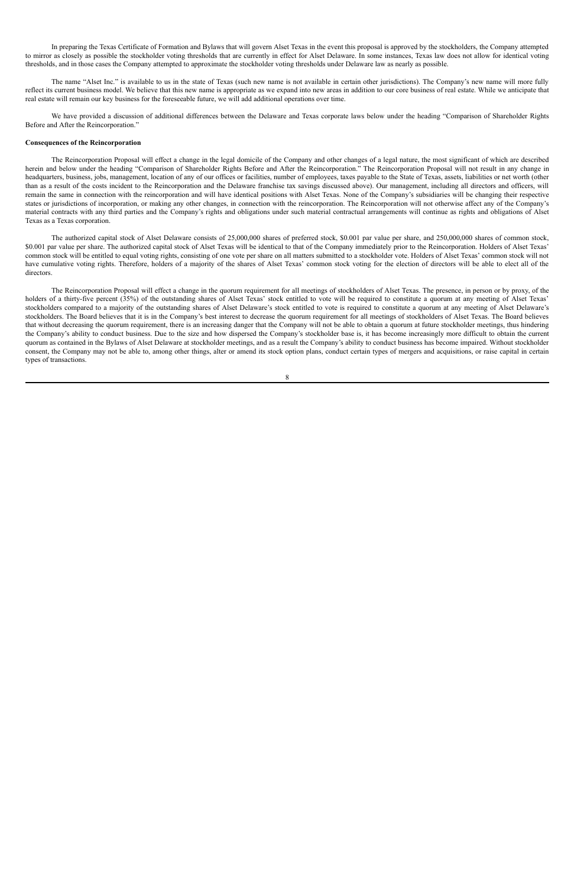In preparing the Texas Certificate of Formation and Bylaws that will govern Alset Texas in the event this proposal is approved by the stockholders, the Company attempted to mirror as closely as possible the stockholder voting thresholds that are currently in effect for Alset Delaware. In some instances, Texas law does not allow for identical voting thresholds, and in those cases the Company attempted to approximate the stockholder voting thresholds under Delaware law as nearly as possible.

The name "Alset Inc." is available to us in the state of Texas (such new name is not available in certain other jurisdictions). The Company's new name will more fully reflect its current business model. We believe that this new name is appropriate as we expand into new areas in addition to our core business of real estate. While we anticipate that real estate will remain our key business for the foreseeable future, we will add additional operations over time.

We have provided a discussion of additional differences between the Delaware and Texas corporate laws below under the heading "Comparison of Shareholder Rights Before and After the Reincorporation."

#### **Consequences of the Reincorporation**

The Reincorporation Proposal will effect a change in the legal domicile of the Company and other changes of a legal nature, the most significant of which are described herein and below under the heading "Comparison of Shareholder Rights Before and After the Reincorporation." The Reincorporation Proposal will not result in any change in headquarters, business, jobs, management, location of any of our offices or facilities, number of employees, taxes payable to the State of Texas, assets, liabilities or net worth (other than as a result of the costs incident to the Reincorporation and the Delaware franchise tax savings discussed above). Our management, including all directors and officers, will remain the same in connection with the reincorporation and will have identical positions with Alset Texas. None of the Company's subsidiaries will be changing their respective states or jurisdictions of incorporation, or making any other changes, in connection with the reincorporation. The Reincorporation will not otherwise affect any of the Company's material contracts with any third parties and the Company's rights and obligations under such material contractual arrangements will continue as rights and obligations of Alset Texas as a Texas corporation.

The authorized capital stock of Alset Delaware consists of 25,000,000 shares of preferred stock, \$0.001 par value per share, and 250,000,000 shares of common stock, \$0.001 par value per share. The authorized capital stock of Alset Texas will be identical to that of the Company immediately prior to the Reincorporation. Holders of Alset Texas' common stock will be entitled to equal voting rights, consisting of one vote per share on all matters submitted to a stockholder vote. Holders of Alset Texas' common stock will not have cumulative voting rights. Therefore, holders of a majority of the shares of Alset Texas' common stock voting for the election of directors will be able to elect all of the directors.

The Reincorporation Proposal will effect a change in the quorum requirement for all meetings of stockholders of Alset Texas. The presence, in person or by proxy, of the holders of a thirty-five percent (35%) of the outstanding shares of Alset Texas' stock entitled to vote will be required to constitute a quorum at any meeting of Alset Texas' stockholders compared to a majority of the outstanding shares of Alset Delaware's stock entitled to vote is required to constitute a quorum at any meeting of Alset Delaware's stockholders. The Board believes that it is in the Company's best interest to decrease the quorum requirement for all meetings of stockholders of Alset Texas. The Board believes that without decreasing the quorum requirement, there is an increasing danger that the Company will not be able to obtain a quorum at future stockholder meetings, thus hindering the Company's ability to conduct business. Due to the size and how dispersed the Company's stockholder base is, it has become increasingly more difficult to obtain the current quorum as contained in the Bylaws of Alset Delaware at stockholder meetings, and as a result the Company's ability to conduct business has become impaired. Without stockholder consent, the Company may not be able to, among other things, alter or amend its stock option plans, conduct certain types of mergers and acquisitions, or raise capital in certain types of transactions.

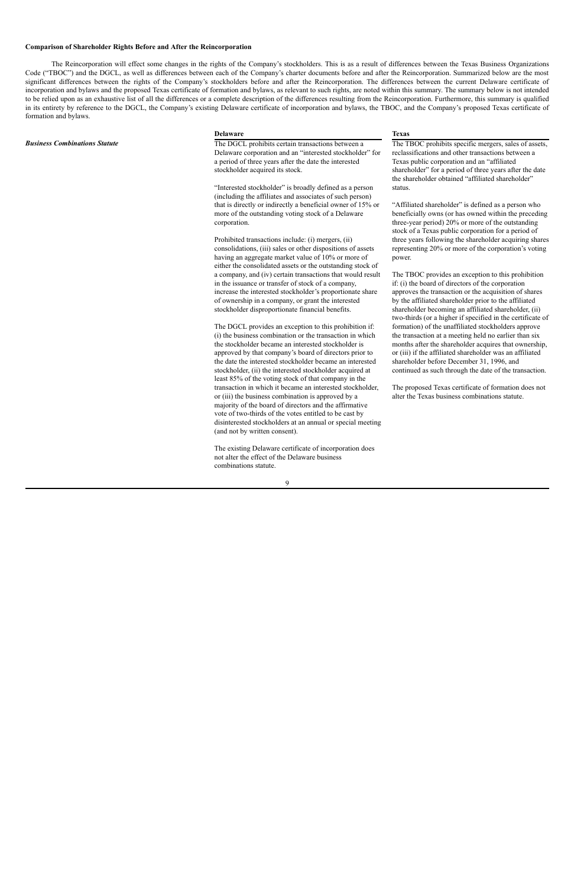#### **Comparison of Shareholder Rights Before and After the Reincorporation**

The Reincorporation will effect some changes in the rights of the Company's stockholders. This is as a result of differences between the Texas Business Organizations Code ("TBOC") and the DGCL, as well as differences between each of the Company's charter documents before and after the Reincorporation. Summarized below are the most significant differences between the rights of the Company's stockholders before and after the Reincorporation. The differences between the current Delaware certificate of incorporation and bylaws and the proposed Texas certificate of formation and bylaws, as relevant to such rights, are noted within this summary. The summary below is not intended to be relied upon as an exhaustive list of all the differences or a complete description of the differences resulting from the Reincorporation. Furthermore, this summary is qualified in its entirety by reference to the DGCL, the Company's existing Delaware certificate of incorporation and bylaws, the TBOC, and the Company's proposed Texas certificate of formation and bylaws.

*Business Combinations Statute* The DGCL prohibits certain transactions between a Delaware corporation and an "interested stockholder" for a period of three years after the date the interested stockholder acquired its stock.

#### **Delaware Texas**

"Interested stockholder" is broadly defined as a person (including the affiliates and associates of such person) that is directly or indirectly a beneficial owner of 15% or more of the outstanding voting stock of a Delaware corporation.

"Affiliated shareholder" is defined as a person who beneficially owns (or has owned within the preceding three-year period) 20% or more of the outstanding stock of a Texas public corporation for a period of three years following the shareholder acquiring shares representing 20% or more of the corporation's voting power.

Prohibited transactions include: (i) mergers, (ii) consolidations, (iii) sales or other dispositions of assets having an aggregate market value of 10% or more of either the consolidated assets or the outstanding stock of a company, and (iv) certain transactions that would result in the issuance or transfer of stock of a company, increase the interested stockholder's proportionate share of ownership in a company, or grant the interested stockholder disproportionate financial benefits.

The DGCL provides an exception to this prohibition if: (i) the business combination or the transaction in which the stockholder became an interested stockholder is approved by that company's board of directors prior to the date the interested stockholder became an interested stockholder, (ii) the interested stockholder acquired at least 85% of the voting stock of that company in the transaction in which it became an interested stockholder, or (iii) the business combination is approved by a majority of the board of directors and the affirmative vote of two-thirds of the votes entitled to be cast by disinterested stockholders at an annual or special meeting (and not by written consent).

The existing Delaware certificate of incorporation does not alter the effect of the Delaware business combinations statute.

The TBOC prohibits specific mergers, sales of assets, reclassifications and other transactions between a Texas public corporation and an "affiliated shareholder" for a period of three years after the date the shareholder obtained "affiliated shareholder" status.

The TBOC provides an exception to this prohibition if: (i) the board of directors of the corporation approves the transaction or the acquisition of shares by the affiliated shareholder prior to the affiliated shareholder becoming an affiliated shareholder, (ii) two-thirds (or a higher if specified in the certificate of formation) of the unaffiliated stockholders approve the transaction at a meeting held no earlier than six months after the shareholder acquires that ownership, or (iii) if the affiliated shareholder was an affiliated shareholder before December 31, 1996, and continued as such through the date of the transaction.

The proposed Texas certificate of formation does not alter the Texas business combinations statute.

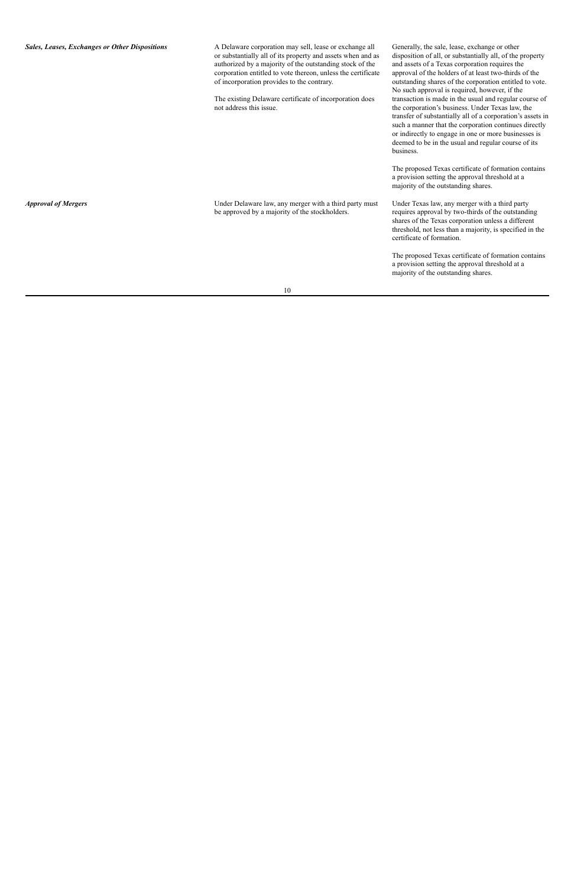| <b>Sales, Leases, Exchanges or Other Dispositions</b> | A Delaware corporation may sell, lease or exchange all<br>or substantially all of its property and assets when and as<br>authorized by a majority of the outstanding stock of the<br>corporation entitled to vote thereon, unless the certificate<br>of incorporation provides to the contrary.<br>The existing Delaware certificate of incorporation does<br>not address this issue. | Generally, the sale, lease, exchange or other<br>disposition of all, or substantially all, of the property<br>and assets of a Texas corporation requires the<br>approval of the holders of at least two-thirds of the<br>outstanding shares of the corporation entitled to vote.<br>No such approval is required, however, if the<br>transaction is made in the usual and regular course of<br>the corporation's business. Under Texas law, the<br>transfer of substantially all of a corporation's assets in<br>such a manner that the corporation continues directly<br>or indirectly to engage in one or more businesses is<br>deemed to be in the usual and regular course of its<br>business. |
|-------------------------------------------------------|---------------------------------------------------------------------------------------------------------------------------------------------------------------------------------------------------------------------------------------------------------------------------------------------------------------------------------------------------------------------------------------|----------------------------------------------------------------------------------------------------------------------------------------------------------------------------------------------------------------------------------------------------------------------------------------------------------------------------------------------------------------------------------------------------------------------------------------------------------------------------------------------------------------------------------------------------------------------------------------------------------------------------------------------------------------------------------------------------|
|                                                       |                                                                                                                                                                                                                                                                                                                                                                                       | The proposed Texas certificate of formation contains<br>a provision setting the approval threshold at a<br>majority of the outstanding shares.                                                                                                                                                                                                                                                                                                                                                                                                                                                                                                                                                     |
| <b>Approval of Mergers</b>                            | Under Delaware law, any merger with a third party must<br>be approved by a majority of the stockholders.                                                                                                                                                                                                                                                                              | Under Texas law, any merger with a third party<br>requires approval by two-thirds of the outstanding<br>shares of the Texas corporation unless a different<br>threshold, not less than a majority, is specified in the<br>certificate of formation.                                                                                                                                                                                                                                                                                                                                                                                                                                                |
|                                                       |                                                                                                                                                                                                                                                                                                                                                                                       | The proposed Texas certificate of formation contains<br>a provision setting the approval threshold at a<br>majority of the outstanding shares.                                                                                                                                                                                                                                                                                                                                                                                                                                                                                                                                                     |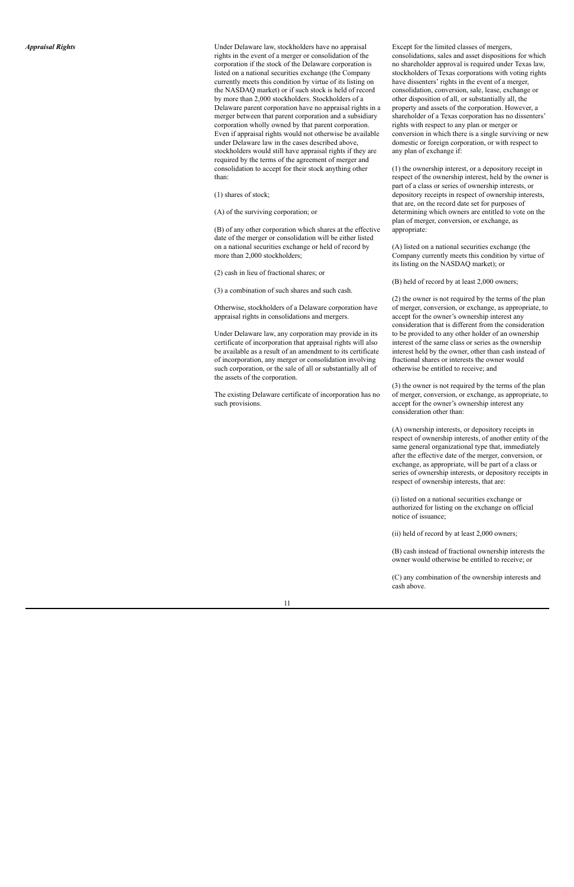Under Delaware law, stockholders have no appraisal rights in the event of a merger or consolidation of the corporation if the stock of the Delaware corporation is listed on a national securities exchange (the Company currently meets this condition by virtue of its listing on the NASDAQ market) or if such stock is held of record by more than 2,000 stockholders. Stockholders of a Delaware parent corporation have no appraisal rights in a merger between that parent corporation and a subsidiary corporation wholly owned by that parent corporation. Even if appraisal rights would not otherwise be availa b l e under Delaware law in the cases described above, stockholders would still have appraisal rights if they are required by the terms of the agreement of merger and consolidation to accept for their stock anything other t h a n: re law, stockholders have no appraisal Emplemento and merger or consolidation of the ecoset of the Delaware corporation is monal securities exchange (the Company statis condition by virtue of its listing on has the conditi

(1) shares of stock;

(A) of the surviving corporation; or

(B) of any other corporation which shares at the effective date of the merger or consolidation will be either listed on a national securities exchange or held of record by more than 2,000 stockholders;

(2) cash in lieu of fractional shares; or

(3) a combination of such shares and such cash.

Otherwise, stockholders of a Delaware corporation have appraisal rights in consolidations and mergers.

Under Delaware law, any corporation may provide in its certificate of incorporation that appraisal rights will also be available as a result of an amendment to its certificate of incorporation, any merger or consolidation involving such corporation, or the sale of all or substantially all of the assets of the corporation.

The existing Delaware certificate of incorporation has no such provisions

xcept for the limited classes of mergers, consolidations, sales and asset dispositions for which no shareholder approval is required under Texas law, stockholders of Texas corporations with voting rights have dissenters' rights in the event of a merger, consolidation, conversion, sale, lease, exchange or other disposition of all, or substantially all, the property and assets of the corporation. However, a shareholder of a Texas corporation has no dissenters' rights with respect to any plan or merger or conversion in which there is a single surviving or new domestic or foreign corporation, or with respect to any plan of exchange if:

(1) the ownership interest, or a depository receipt in respect of the ownership interest, held by the owner is part of a class or series of ownership interests, or depository receipts in respect of ownership interests, that are, on the record date set for purposes of determining which owners are entitled to vote on the plan of merger, conversion, or exchange, as appropriate:

(A) listed on a national securities exchange (the Company currently meets this condition by virtue of its listing on the NASDAQ market); or

(B) held of record by at least 2,000 owners;

(2) the owner is not required by the terms of the plan of merger, conversion, or exchange, as appropriate, to accept for the owner's ownership interest any consideration that is different from the consideration to be provided to any other holder of an ownership interest of the same class or series as the ownership interest held by the owner, other than cash instead of fractional shares or interests the owner would otherwise be entitled to receive; and

(3) the owner is not required by the terms of the plan of merger, conversion, or exchange, as appropriate, to accept for the owner's ownership interest any consideration other than:

(A) ownership interests, or depository receipts in respect of ownership interests, of another entity of the same general organizational type that, immediately after the effective date of the merger, conversion, or exchange, as appropriate, will be part of a class or series of ownership interests, or depository receipts in respect of ownership interests, that are:

(i) listed on a national securities exchange or authorized for listing on the exchange on official notice of issuance;

(ii) held of record by at least 2,000 owners;

(B) cash instead of fractional ownership interests the owner would otherwise be entitled to receive; or

(C) any combination of the ownership interests and cash above.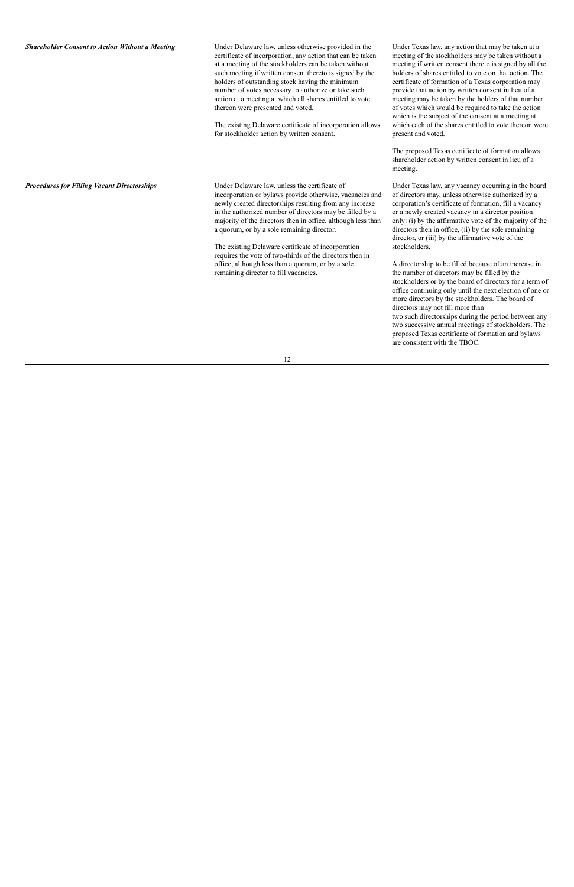#### *Shareholder Consent to Action Without a Meeting* Under Delaware law, unless otherwise provided in the

certificate of incorporation, any action that can be taken at a meeting of the stockholders can be taken without such meeting if written consent thereto is signed by the holders of outstanding stock having the minimum number of votes necessary to authorize or take such action at a meeting at which all shares entitled to vote thereon were presented and voted.

The existing Delaware certificate of incorporation allows for stockholder action by written consent.

**Procedures for Filling Vacant Directorships** Under Delaware law, unless the certificate of incorporation or bylaws provide otherwise, vacancies and newly created directorships resulting from any increase in the authorized number of directors may be filled by a majority of the directors then in office, although less than a quorum, or by a sole remaining director.

Under Texas law, any action that may be taken at a meeting of the stockholders may be taken without a meeting if written consent thereto is signed by all the holders of shares entitled to vote on that action. The certificate of formation of a Texas corporation may provide that action by written consent in lieu of a meeting may be taken by the holders of that number of votes which would be required to take the action which is the subject of the consent at a meeting at which each of the shares entitled to vote thereon were present and voted.

The proposed Texas certificate of formation allows shareholder action by written consent in lieu of a meeting.

The existing Delaware certificate of incorporation requires the vote of two-thirds of the directors then in office, although less than a quorum, or by a sole remaining director to fill vacancies.

Under Texas law, any vacancy occurring in the board of directors may, unless otherwise authorized by a corporation's certificate of formation, fill a vacancy or a newly created vacancy in a director position only: (i) by the affirmative vote of the majority of the directors then in office, (ii) by the sole remaining director, or (iii) by the affirmative vote of the stockholders.

A directorship to be filled because of an increase in the number of directors may be filled by the stockholders or by the board of directors for a term of office continuing only until the next election of one or more directors by the stockholders. The board of directors may not fill more than two such directorships during the period between any two successive annual meetings of stockholders. The proposed Texas certificate of formation and bylaws are consistent with the TBOC.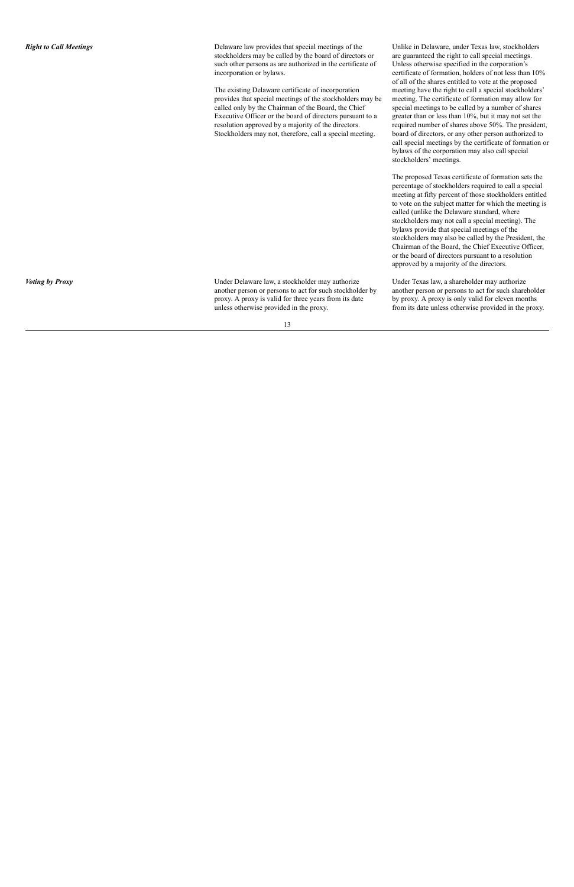Delaware law provides that special meetings of the stockholders may be called by the board of directors or such other persons as are authorized in the certificate of incorporation or bylaws.

The existing Delaware certificate of incorporation provides that special meetings of the stockholders may be called only by the Chairman of the Board, the Chief Executive Officer or the board of directors pursuant to a resolution approved by a majority of the directors. Stockholders may not, therefore, call a special meeting U<sub>I</sub><br>of U<sub>I</sub><br>of U<sub>I</sub><br>ce of mo<br>me<br>ybe map<br>sp<br>rece<br>g. bo

nlike in Delaware, under Texas law, stockholders are guaranteed the right to call special meetings. Unless otherwise specified in the corporation's certificate of formation, holders of not less than 1 0 % of all of the shares entitled to vote at the proposed meeting have the right to call a special stockholders' meeting. The certificate of formation may allow for special meetings to be called by a number of shares greater than or less than 10%, but it may not set the required number of shares above 50%. The president, board of directors, or any other person authorized to call special meetings by the certificate of formation or bylaws of the corporation may also call special stockholders' meetings.

The proposed Texas certificate of formation sets the percentage of stockholders required to call a special meeting at fifty percent of those stockholders entitled to vote on the subject matter for which the meeting is called (unlike the Delaware standard, where stockholders may not call a special meeting). The bylaws provide that special meetings of the stockholders may also be called by the President, the Chairman of the Board, the Chief Executive Officer, or the board of directors pursuant to a resolution approved by a majority of the directors.

horize another person or persons to act for such shareholder by proxy. A proxy is only valid for eleven months from its date unless otherwise provided in the proxy.

*Voting by Proxy* **Voter Delaware law, a stockholder may authorize** Under Delaware law, a stockholder may authorize another person or persons to act for such stockholder by proxy. A proxy is valid for three years from its date Under Delaware law, a stockholder may authorize Under Texas law, a shareholder may authorize another person or persons to act for such proxy. A proxy is valid for three years from its date by proxy. A proxy is only valid f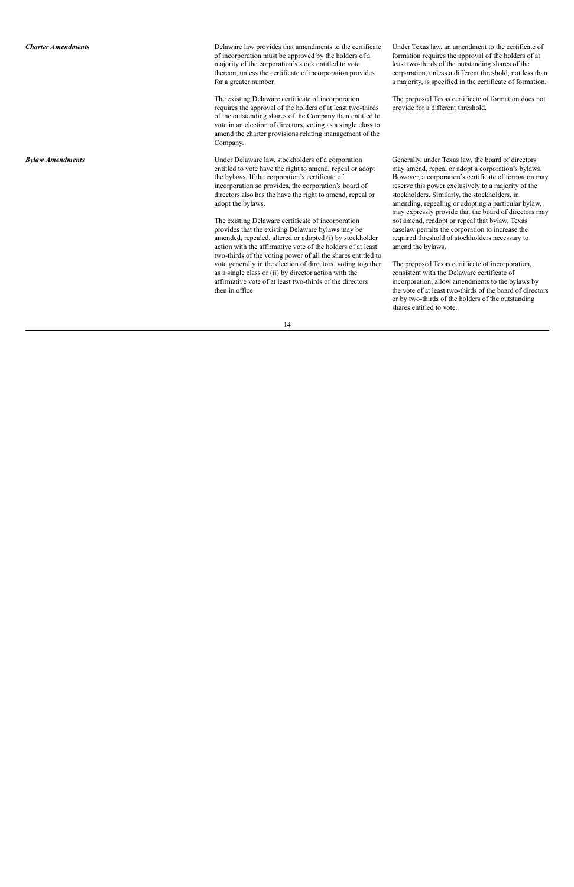Delaware law provides that amendments to the certificate of incorporation must be approved by the holders of a majority of the corporation's stock entitled to vote thereon, unless the certificate of incorporation provides for a greater number.

The existing Delaware certificate of incorporation requires the approval of the holders of at least two-thirds of the outstanding shares of the Company then entitled to vote in an election of directors, voting as a single class to amend the charter provisions relating management of the Company e law provides that amendments to the certificate<br>
voration must be approved by the holders of a<br>
of the corporation's stock entitled to vote<br>
lea<br>
unless the certificate of incorporation provides<br>
ater number.<br>
a 1<br>
ting

**Bylaw Amendments Bylaw** *Amendments* Under Delaware law, stockholders of a corporation entitled to vote have the right to amend, repeal or adopt the bylaws. If the corporation's certificate of incorporation so provides, the corporation's board of directors also has the have the right to amend, repeal or adopt the bylaws.

The proposed Texas certificate of formation does not provide for a different threshold.

Under Delaware law, stockholders of a corporation<br>
enerally, under Texas law, the board of directors<br>
entitled to vote have the right to amend, repeal or adopt<br>
the bylaws. If the corporation's certificate of<br>
incorporatio

The existing Delaware certificate of incorporation provides that the existing Delaware bylaws may be amended, repealed, altered or adopted (i) by stockholder action with the affirmative vote of the holders of at least two-thirds of the voting power of all the shares entitled to vote generally in the election of directors, voting together as a single class or (ii) by director action with the affirmative vote of at least two-thirds of the directors

nder Texas law, an amendment to the certificate of formation requires the approval of the holders of at least two-thirds of the outstanding shares of the corporation, unless a different threshold, not less than a majority, is specified in the certificate of formation.

or by two-thirds of the holders of the outstanding shares entitled to vote.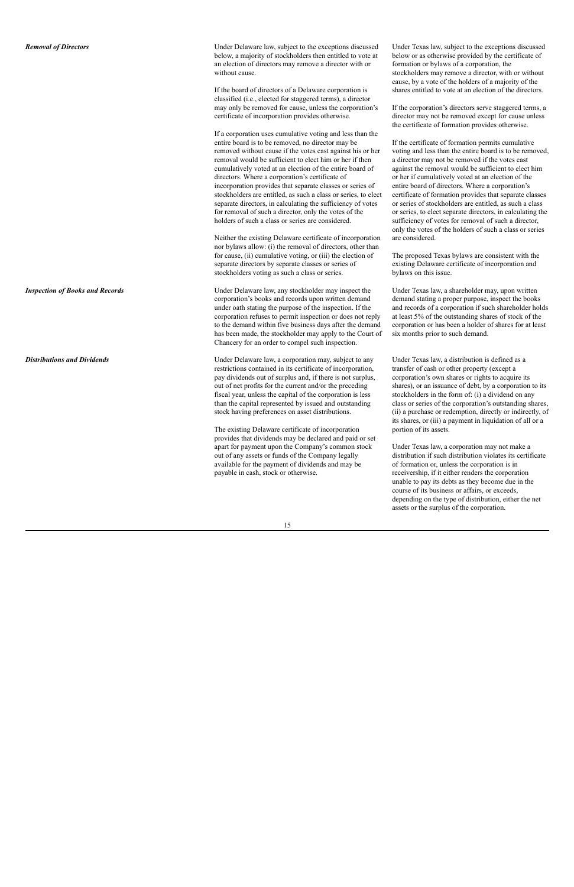*Removal of Directors* Under Delaware law, subject to the exceptions discussed below, a majority of stockholders then entitled to vote at an election of directors may remove a director with or without cause.

> If the board of directors of a Delaware corporation is classified (i.e., elected for staggered terms), a director may only be removed for cause, unless the corporation's certificate of incorporation provides otherwise.

If a corporation uses cumulative voting and less than the entire board is to be removed, no director may be removed without cause if the votes cast against his or her removal would be sufficient to elect him or her if then cumulatively voted at an election of the entire board of directors. Where a corporation's certificate of incorporation provides that separate classes or series of stockholders are entitled, as such a class or series, to elect separate directors, in calculating the sufficiency of votes for removal of such a director, only the votes of the holders of such a class or series are considered.

Neither the existing Delaware certificate of incorporation nor bylaws allow: (i) the removal of directors, other than for cause, (ii) cumulative voting, or (iii) the election of separate directors by separate classes or series of stockholders voting as such a class or series.

*Inspection of Books and Records* Under Delaware law, any stockholder may inspect the corporation's books and records upon written demand under oath stating the purpose of the inspection. If the corporation refuses to permit inspection or does not reply to the demand within five business days after the demand has been made, the stockholder may apply to the Court of Chancery for an order to compel such inspection.

Under Texas law, subject to the exceptions discussed below or as otherwise provided by the certificate of formation or bylaws of a corporation, the stockholders may remove a director, with or without cause, by a vote of the holders of a majority of the shares entitled to vote at an election of the directors.

If the corporation's directors serve staggered terms, a director may not be removed except for cause unless the certificate of formation provides otherwise.

**Distributions and Dividends because the Convention Convention Convention Convention Convention May, subject to any** restrictions contained in its certificate of incorporation, pay dividends out of surplus and, if there is not surplus, out of net profits for the current and/or the preceding fiscal year, unless the capital of the corporation is less than the capital represented by issued and outstanding stock having preferences on asset distributions.

If the certificate of formation permits cumulative voting and less than the entire board is to be removed, a director may not be removed if the votes cast against the removal would be sufficient to elect him or her if cumulatively voted at an election of the entire board of directors. Where a corporation's certificate of formation provides that separate classes or series of stockholders are entitled, as such a class or series, to elect separate directors, in calculating the sufficiency of votes for removal of such a director, only the votes of the holders of such a class or series are considered.

The proposed Texas bylaws are consistent with the existing Delaware certificate of incorporation and bylaws on this issue.

Under Texas law, a shareholder may, upon written demand stating a proper purpose, inspect the books and records of a corporation if such shareholder holds at least 5% of the outstanding shares of stock of the corporation or has been a holder of shares for at least six months prior to such demand.

The existing Delaware certificate of incorporation provides that dividends may be declared and paid or set apart for payment upon the Company's common stock out of any assets or funds of the Company legally available for the payment of dividends and may be payable in cash, stock or otherwise.

Under Texas law, a distribution is defined as a transfer of cash or other property (except a corporation's own shares or rights to acquire its shares), or an issuance of debt, by a corporation to its stockholders in the form of: (i) a dividend on any class or series of the corporation's outstanding shares, (ii) a purchase or redemption, directly or indirectly, of its shares, or (iii) a payment in liquidation of all or a portion of its assets.

Under Texas law, a corporation may not make a distribution if such distribution violates its certificate of formation or, unless the corporation is in receivership, if it either renders the corporation unable to pay its debts as they become due in the course of its business or affairs, or exceeds, depending on the type of distribution, either the net assets or the surplus of the corporation.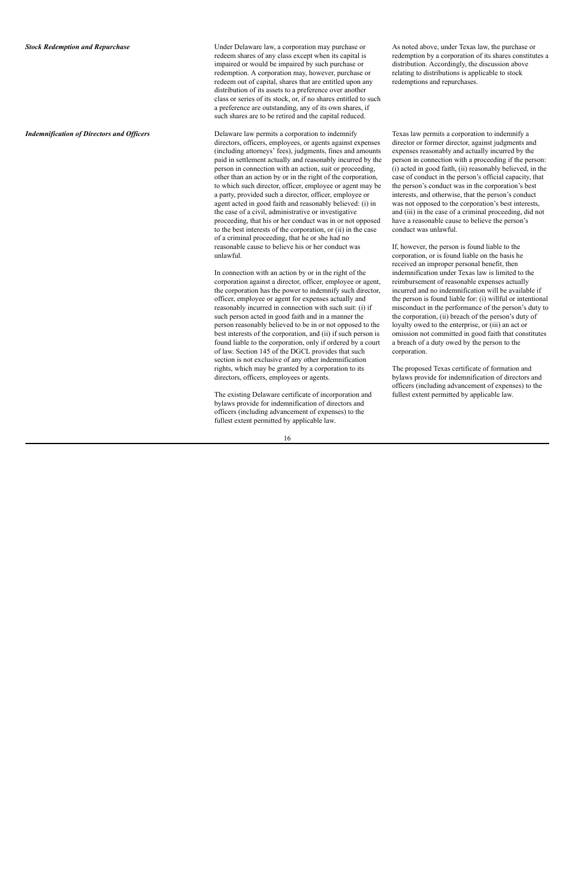**Stock Redemption and Repurchase Index** Under Delaware law, a corporation may purchase or redeem shares of any class except when its capital is impaired or would be impaired by such purchase or redemption. A corporation may, however, purchase or redeem out of capital, shares that are entitled upon any distribution of its assets to a preference over another class or series of its stock, or, if no shares entitled to such a preference are outstanding, any of its own shares, if such shares are to be retired and the capital reduced.

As noted above, under Texas law, the purchase or redemption by a corporation of its shares constitutes a distribution. Accordingly, the discussion above relating to distributions is applicable to stock redemptions and repurchases.

*Indemnification of Directors and Officers* **Delaysing Delaware law permits a corporation to indemnify** directors, officers, employees, or agents against expenses (including attorneys' fees), judgments, fines and amounts paid in settlement actually and reasonably incurred by the person in connection with an action, suit or proceeding, other than an action by or in the right of the corporation, to which such director, officer, employee or agent may be a party, provided such a director, officer, employee or agent acted in good faith and reasonably believed: (i) in the case of a civil, administrative or investigative proceeding, that his or her conduct was in or not opposed to the best interests of the corporation, or (ii) in the case of a criminal proceeding, that he or she had no reasonable cause to believe his or her conduct was unlawful.

> In connection with an action by or in the right of the corporation against a director, officer, employee or agent, the corporation has the power to indemnify such director, officer, employee or agent for expenses actually and reasonably incurred in connection with such suit: (i) if such person acted in good faith and in a manner the person reasonably believed to be in or not opposed to the best interests of the corporation, and (ii) if such person is found liable to the corporation, only if ordered by a court of law. Section 145 of the DGCL provides that such section is not exclusive of any other indemnification rights, which may be granted by a corporation to its directors, officers, employees or agents.

The existing Delaware certificate of incorporation and bylaws provide for indemnification of directors and officers (including advancement of expenses) to the fullest extent permitted by applicable law.

Texas law permits a corporation to indemnify a director or former director, against judgments and expenses reasonably and actually incurred by the person in connection with a proceeding if the person: (i) acted in good faith, (ii) reasonably believed, in the case of conduct in the person's official capacity, that the person's conduct was in the corporation's best interests, and otherwise, that the person's conduct was not opposed to the corporation's best interests, and (iii) in the case of a criminal proceeding, did not have a reasonable cause to believe the person's conduct was unlawful.

If, however, the person is found liable to the corporation, or is found liable on the basis he received an improper personal benefit, then indemnification under Texas law is limited to the reimbursement of reasonable expenses actually incurred and no indemnification will be available if the person is found liable for: (i) willful or intentional misconduct in the performance of the person's duty to the corporation, (ii) breach of the person's duty of loyalty owed to the enterprise, or (iii) an act or omission not committed in good faith that constitutes a breach of a duty owed by the person to the corporation.

The proposed Texas certificate of formation and bylaws provide for indemnification of directors and officers (including advancement of expenses) to the fullest extent permitted by applicable law.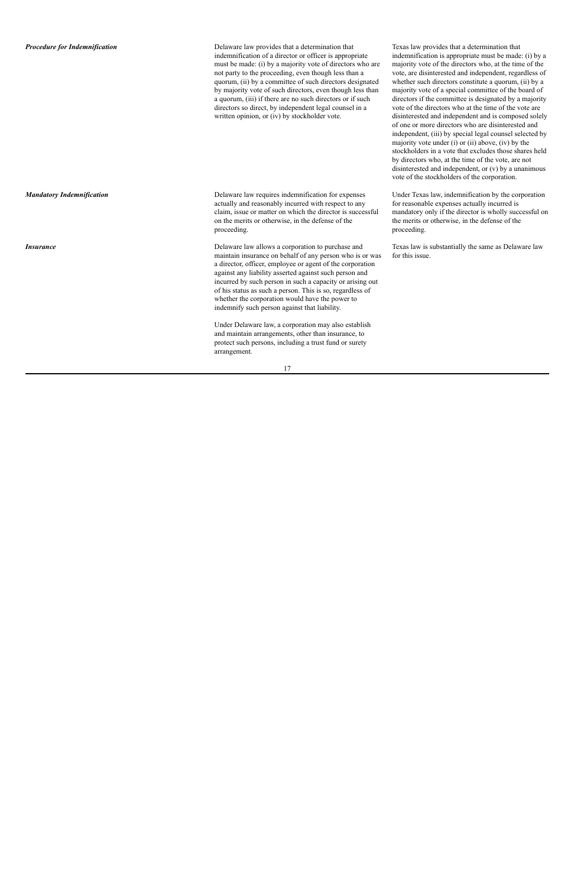**Procedure for Indemnification** Delaware law provides that a determination that indemnification of a director or officer is appropriate must be made: (i) by a majority vote of directors who are not party to the proceeding, even though less than a quorum, (ii) by a committee of such directors designated by majority vote of such directors, even though less than a quorum, (iii) if there are no such directors or if such directors so direct, by independent legal counsel in a written opinion, or (iv) by stockholder vote.

*Mandatory Indemnification* **Delaware law requires indemnification for expenses** actually and reasonably incurred with respect to any claim, issue or matter on which the director is successful on the merits or otherwise, in the defense of the proceeding.

Texas law provides that a determination that indemnification is appropriate must be made: (i) by a majority vote of the directors who, at the time of the vote, are disinterested and independent, regardless of whether such directors constitute a quorum, (ii) by a majority vote of a special committee of the board of directors if the committee is designated by a majority vote of the directors who at the time of the vote are disinterested and independent and is composed solely of one or more directors who are disinterested and independent, (iii) by special legal counsel selected by majority vote under (i) or (ii) above, (iv) by the stockholders in a vote that excludes those shares held by directors who, at the time of the vote, are not disinterested and independent, or (v) by a unanimous vote of the stockholders of the corporation.

*Insurance* 2 **Insurance** 2 **Insurance** 2 **Delaware law allows a corporation to purchase and** maintain insurance on behalf of any person who is or was a director, officer, employee or agent of the corporation against any liability asserted against such person and incurred by such person in such a capacity or arising out of his status as such a person. This is so, regardless of whether the corporation would have the power to indemnify such person against that liability.

Under Texas law, indemnification by the corporation for reasonable expenses actually incurred is mandatory only if the director is wholly successful on the merits or otherwise, in the defense of the proceeding.

Under Delaware law, a corporation may also establish and maintain arrangements, other than insurance, to protect such persons, including a trust fund or surety arrangement.

Texas law is substantially the same as Delaware law for this issue.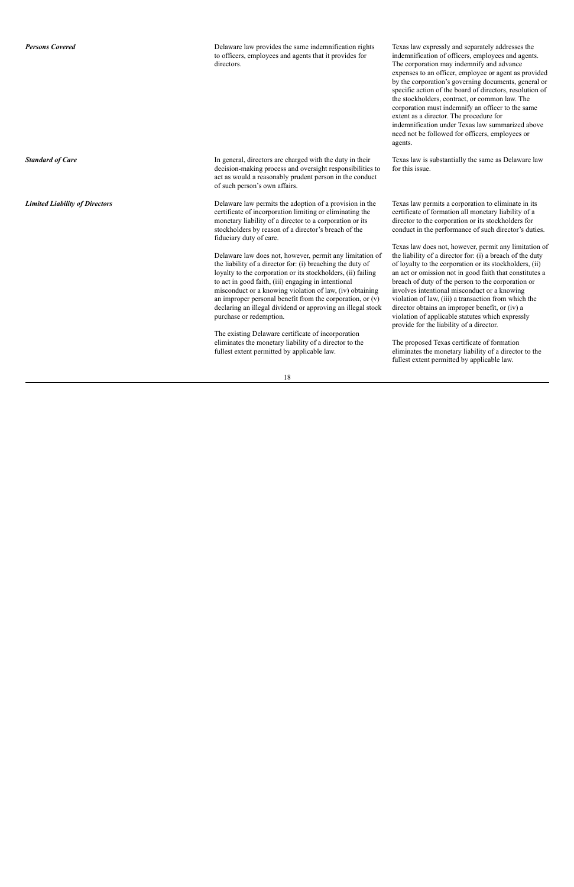**Persons Covered** 2008 **Delaware law provides the same indemnification rights** to officers, employees and agents that it provides for directors.

Texas law expressly and separately addresses the indemnification of officers, employees and agents. The corporation may indemnify and advance expenses to an officer, employee or agent as provided by the corporation's governing documents, general or specific action of the board of directors, resolution of the stockholders, contract, or common law. The corporation must indemnify an officer to the same extent as a director. The procedure for indemnification under Texas law summarized above need not be followed for officers, employees or agents.

**Standard of Care** In general, directors are charged with the duty in their decision-making process and oversight responsibilities to act as would a reasonably prudent person in the conduct of such person's own affairs.

*Limited Liability of Directors* Delaware law permits the adoption of a provision in the certificate of incorporation limiting or eliminating the monetary liability of a director to a corporation or its stockholders by reason of a director's breach of the fiduciary duty of care.

Texas law is substantially the same as Delaware law for this issue.

Delaware law does not, however, permit any limitation of the liability of a director for: (i) breaching the duty of loyalty to the corporation or its stockholders, (ii) failing to act in good faith, (iii) engaging in intentional misconduct or a knowing violation of law, (iv) obtaining an improper personal benefit from the corporation, or (v) declaring an illegal dividend or approving an illegal stock purchase or redemption.

The existing Delaware certificate of incorporation eliminates the monetary liability of a director to the fullest extent permitted by applicable law.

Texas law permits a corporation to eliminate in its certificate of formation all monetary liability of a director to the corporation or its stockholders for conduct in the performance of such director's duties.

Texas law does not, however, permit any limitation of the liability of a director for: (i) a breach of the duty of loyalty to the corporation or its stockholders, (ii) an act or omission not in good faith that constitutes a breach of duty of the person to the corporation or involves intentional misconduct or a knowing violation of law, (iii) a transaction from which the director obtains an improper benefit, or (iv) a violation of applicable statutes which expressly provide for the liability of a director.

The proposed Texas certificate of formation eliminates the monetary liability of a director to the fullest extent permitted by applicable law.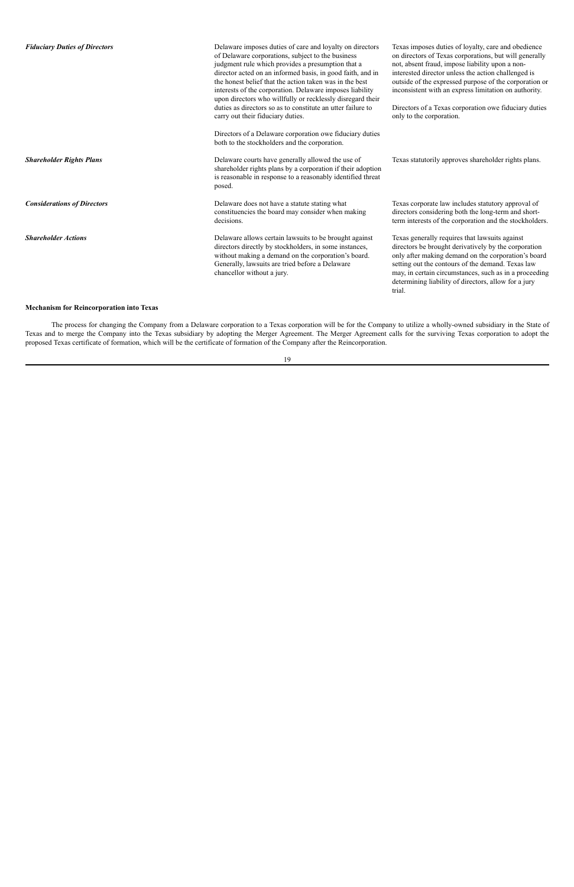| <b>Fiduciary Duties of Directors</b> | Delaware imposes duties of care and loyalty on directors<br>of Delaware corporations, subject to the business<br>judgment rule which provides a presumption that a<br>director acted on an informed basis, in good faith, and in<br>the honest belief that the action taken was in the best<br>interests of the corporation. Delaware imposes liability<br>upon directors who willfully or recklessly disregard their<br>duties as directors so as to constitute an utter failure to<br>carry out their fiduciary duties.<br>Directors of a Delaware corporation owe fiduciary duties<br>both to the stockholders and the corporation. | Texas imposes duties of loyalty, care and obedience<br>on directors of Texas corporations, but will generally<br>not, absent fraud, impose liability upon a non-<br>interested director unless the action challenged is<br>outside of the expressed purpose of the corporation or<br>inconsistent with an express limitation on authority.<br>Directors of a Texas corporation owe fiduciary duties<br>only to the corporation. |
|--------------------------------------|----------------------------------------------------------------------------------------------------------------------------------------------------------------------------------------------------------------------------------------------------------------------------------------------------------------------------------------------------------------------------------------------------------------------------------------------------------------------------------------------------------------------------------------------------------------------------------------------------------------------------------------|---------------------------------------------------------------------------------------------------------------------------------------------------------------------------------------------------------------------------------------------------------------------------------------------------------------------------------------------------------------------------------------------------------------------------------|
| <b>Shareholder Rights Plans</b>      | Delaware courts have generally allowed the use of<br>shareholder rights plans by a corporation if their adoption<br>is reasonable in response to a reasonably identified threat<br>posed.                                                                                                                                                                                                                                                                                                                                                                                                                                              | Texas statutorily approves shareholder rights plans.                                                                                                                                                                                                                                                                                                                                                                            |
| <b>Considerations of Directors</b>   | Delaware does not have a statute stating what<br>constituencies the board may consider when making<br>decisions.                                                                                                                                                                                                                                                                                                                                                                                                                                                                                                                       | Texas corporate law includes statutory approval of<br>directors considering both the long-term and short-<br>term interests of the corporation and the stockholders.                                                                                                                                                                                                                                                            |
| <b>Shareholder Actions</b>           | Delaware allows certain lawsuits to be brought against<br>directors directly by stockholders, in some instances,<br>without making a demand on the corporation's board.<br>Generally, lawsuits are tried before a Delaware<br>chancellor without a jury.                                                                                                                                                                                                                                                                                                                                                                               | Texas generally requires that lawsuits against<br>directors be brought derivatively by the corporation<br>only after making demand on the corporation's board<br>setting out the contours of the demand. Texas law<br>may, in certain circumstances, such as in a proceeding<br>determining liability of directors, allow for a jury<br>trial.                                                                                  |

### **Mechanism for Reincorporation into Texas**

The process for changing the Company from a Delaware corporation to a Texas corporation will be for the Company to utilize a wholly-owned subsidiary in the State of Texas and to merge the Company into the Texas subsidiary by adopting the Merger Agreement. The Merger Agreement calls for the surviving Texas corporation to adopt the proposed Texas certificate of formation, which will be the certificate of formation of the Company after the Reincorporation.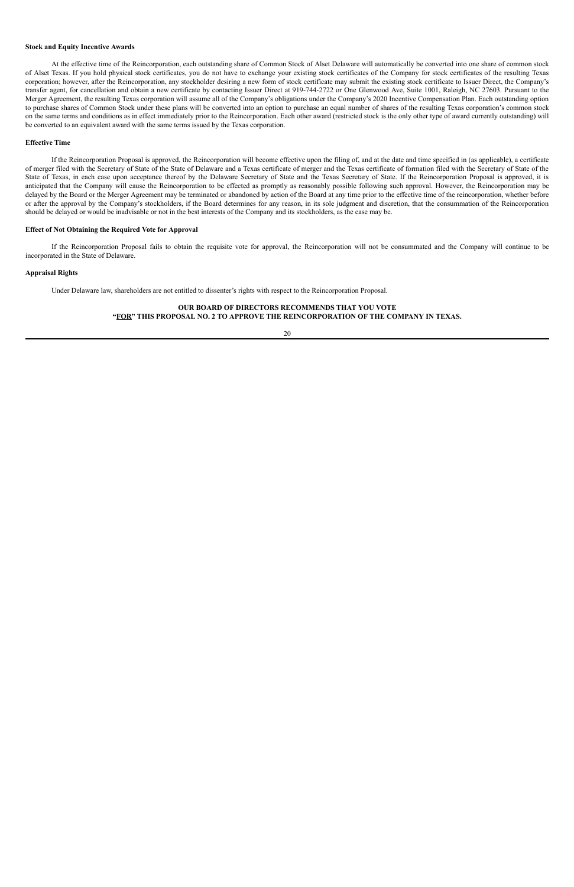#### **Stock and Equity Incentive Awards**

At the effective time of the Reincorporation, each outstanding share of Common Stock of Alset Delaware will automatically be converted into one share of common stock of Alset Texas. If you hold physical stock certificates, you do not have to exchange your existing stock certificates of the Company for stock certificates of the resulting Texas corporation; however, after the Reincorporation, any stockholder desiring a new form of stock certificate may submit the existing stock certificate to Issuer Direct, the Company's transfer agent, for cancellation and obtain a new certificate by contacting Issuer Direct at 919-744-2722 or One Glenwood Ave, Suite 1001, Raleigh, NC 27603. Pursuant to the Merger Agreement, the resulting Texas corporation will assume all of the Company's obligations under the Company's 2020 Incentive Compensation Plan. Each outstanding option to purchase shares of Common Stock under these plans will be converted into an option to purchase an equal number of shares of the resulting Texas corporation's common stock on the same terms and conditions as in effect immediately prior to the Reincorporation. Each other award (restricted stock is the only other type of award currently outstanding) will be converted to an equivalent award with the same terms issued by the Texas corporation.

#### **Effective Time**

If the Reincorporation Proposal is approved, the Reincorporation will become effective upon the filing of, and at the date and time specified in (as applicable), a certificate of merger filed with the Secretary of State of the State of Delaware and a Texas certificate of merger and the Texas certificate of formation filed with the Secretary of State of the State of Texas, in each case upon acceptance thereof by the Delaware Secretary of State and the Texas Secretary of State. If the Reincorporation Proposal is approved, it is anticipated that the Company will cause the Reincorporation to be effected as promptly as reasonably possible following such approval. However, the Reincorporation may be delayed by the Board or the Merger Agreement may be terminated or abandoned by action of the Board at any time prior to the effective time of the reincorporation, whether before or after the approval by the Company's stockholders, if the Board determines for any reason, in its sole judgment and discretion, that the consummation of the Reincorporation should be delayed or would be inadvisable or not in the best interests of the Company and its stockholders, as the case may be.

#### **Effect of Not Obtaining the Required Vote for Approval**

If the Reincorporation Proposal fails to obtain the requisite vote for approval, the Reincorporation will not be consummated and the Company will continue to be incorporated in the State of Delaware.

#### **Appraisal Rights**

Under Delaware law, shareholders are not entitled to dissenter's rights with respect to the Reincorporation Proposal.

### **OUR BOARD OF DIRECTORS RECOMMENDS THAT YOU VOTE "FOR" THIS PROPOSAL NO. 2 TO APPROVE THE REINCORPORATION OF THE COMPANY IN TEXAS.**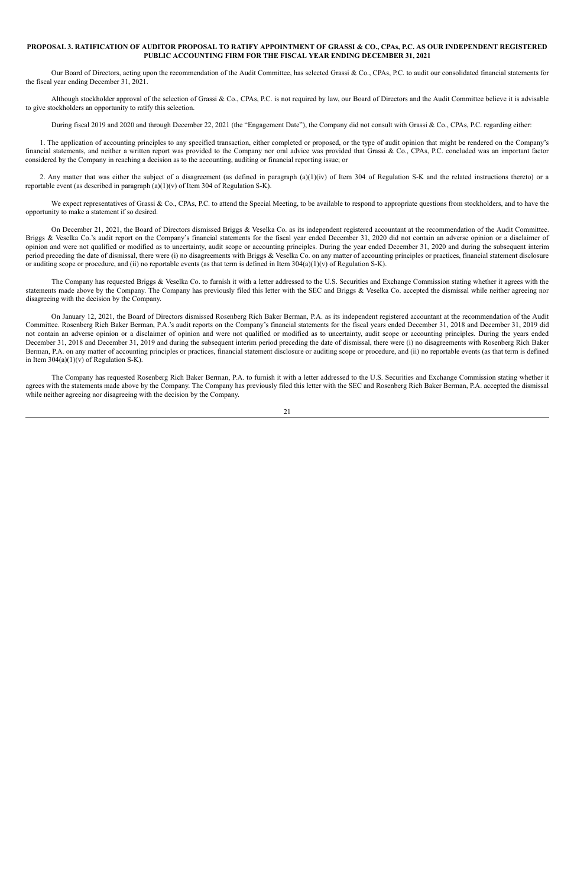#### PROPOSAL 3. RATIFICATION OF AUDITOR PROPOSAL TO RATIFY APPOINTMENT OF GRASSI & CO., CPAs, P.C. AS OUR INDEPENDENT REGISTERED **PUBLIC ACCOUNTING FIRM FOR THE FISCAL YEAR ENDING DECEMBER 31, 2021**

Our Board of Directors, acting upon the recommendation of the Audit Committee, has selected Grassi & Co., CPAs, P.C. to audit our consolidated financial statements for the fiscal year ending December 31, 2021.

Although stockholder approval of the selection of Grassi & Co., CPAs, P.C. is not required by law, our Board of Directors and the Audit Committee believe it is advisable to give stockholders an opportunity to ratify this selection.

During fiscal 2019 and 2020 and through December 22, 2021 (the "Engagement Date"), the Company did not consult with Grassi & Co., CPAs, P.C. regarding either:

2. Any matter that was either the subject of a disagreement (as defined in paragraph  $(a)(1)(iv)$  of Item 304 of Regulation S-K and the related instructions thereto) or a reportable event (as described in paragraph (a)(1)(v) of Item 304 of Regulation S-K).

We expect representatives of Grassi & Co., CPAs, P.C. to attend the Special Meeting, to be available to respond to appropriate questions from stockholders, and to have the opportunity to make a statement if so desired.

On December 21, 2021, the Board of Directors dismissed Briggs & Veselka Co. as its independent registered accountant at the recommendation of the Audit Committee. Briggs & Veselka Co.'s audit report on the Company's financial statements for the fiscal year ended December 31, 2020 did not contain an adverse opinion or a disclaimer of opinion and were not qualified or modified as to uncertainty, audit scope or accounting principles. During the year ended December 31, 2020 and during the subsequent interim period preceding the date of dismissal, there were (i) no disagreements with Briggs & Veselka Co. on any matter of accounting principles or practices, financial statement disclosure or auditing scope or procedure, and (ii) no reportable events (as that term is defined in Item  $304(a)(1)(v)$  of Regulation S-K).

1. The application of accounting principles to any specified transaction, either completed or proposed, or the type of audit opinion that might be rendered on the Company's financial statements, and neither a written report was provided to the Company nor oral advice was provided that Grassi & Co., CPAs, P.C. concluded was an important factor considered by the Company in reaching a decision as to the accounting, auditing or financial reporting issue; or

The Company has requested Briggs & Veselka Co. to furnish it with a letter addressed to the U.S. Securities and Exchange Commission stating whether it agrees with the statements made above by the Company. The Company has previously filed this letter with the SEC and Briggs & Veselka Co. accepted the dismissal while neither agreeing nor disagreeing with the decision by the Company.

On January 12, 2021, the Board of Directors dismissed Rosenberg Rich Baker Berman, P.A. as its independent registered accountant at the recommendation of the Audit Committee. Rosenberg Rich Baker Berman, P.A.'s audit reports on the Company's financial statements for the fiscal years ended December 31, 2018 and December 31, 2019 did not contain an adverse opinion or a disclaimer of opinion and were not qualified or modified as to uncertainty, audit scope or accounting principles. During the years ended December 31, 2018 and December 31, 2019 and during the subsequent interim period preceding the date of dismissal, there were (i) no disagreements with Rosenberg Rich Baker Berman, P.A. on any matter of accounting principles or practices, financial statement disclosure or auditing scope or procedure, and (ii) no reportable events (as that term is defined in Item  $304(a)(1)(v)$  of Regulation S-K).

The Company has requested Rosenberg Rich Baker Berman, P.A. to furnish it with a letter addressed to the U.S. Securities and Exchange Commission stating whether it agrees with the statements made above by the Company. The Company has previously filed this letter with the SEC and Rosenberg Rich Baker Berman, P.A. accepted the dismissal while neither agreeing nor disagreeing with the decision by the Company.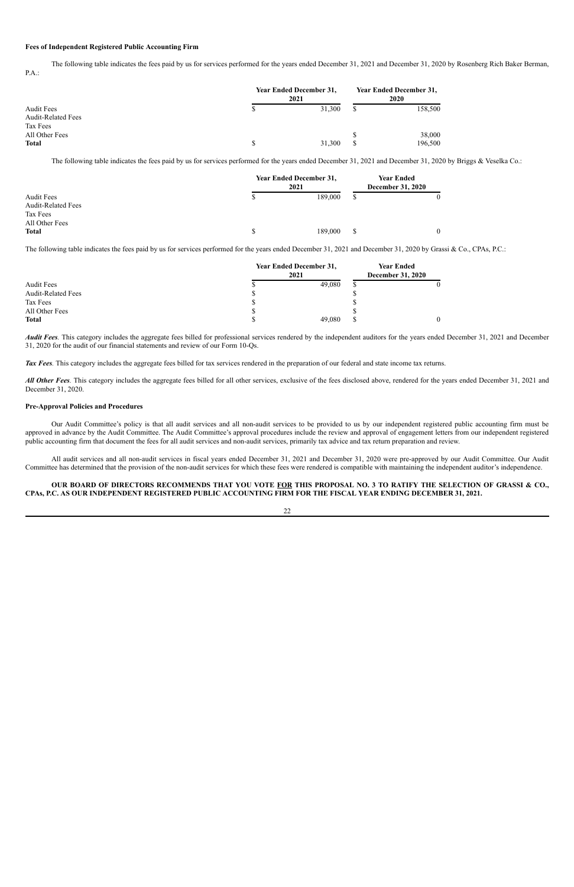#### **Fees of Independent Registered Public Accounting Firm**

The following table indicates the fees paid by us for services performed for the years ended December 31, 2021 and December 31, 2020 by Rosenberg Rich Baker Berman, P.A.:

| <b>Audit Fees</b><br><b>Audit-Related Fees</b> | <b>Year Ended December 31,</b><br>2021 | <b>Year Ended December 31,</b><br><b>2020</b> |  |         |
|------------------------------------------------|----------------------------------------|-----------------------------------------------|--|---------|
|                                                |                                        | 31,300                                        |  | 158,500 |
| Tax Fees                                       |                                        |                                               |  |         |
| All Other Fees                                 |                                        |                                               |  | 38,000  |
| <b>Total</b>                                   |                                        | 31,300                                        |  | 196,500 |

The following table indicates the fees paid by us for services performed for the years ended December 31, 2021 and December 31, 2020 by Briggs & Veselka Co.:

|                                                            | <b>Year Ended December 31,</b><br>2021 |         |   | <b>Year Ended</b><br><b>December 31, 2020</b> |  |  |
|------------------------------------------------------------|----------------------------------------|---------|---|-----------------------------------------------|--|--|
| <b>Audit Fees</b><br><b>Audit-Related Fees</b><br>Tax Fees |                                        | 189,000 | D |                                               |  |  |
| All Other Fees<br><b>Total</b>                             |                                        | 189,000 | S | $\theta$                                      |  |  |

*Audit Fees*. This category includes the aggregate fees billed for professional services rendered by the independent auditors for the years ended December 31, 2021 and December 31, 2020 for the audit of our financial statements and review of our Form 10-Qs.

The following table indicates the fees paid by us for services performed for the years ended December 31, 2021 and December 31, 2020 by Grassi & Co., CPAs, P.C.:

*All Other Fees*. This category includes the aggregate fees billed for all other services, exclusive of the fees disclosed above, rendered for the years ended December 31, 2021 and December 31, 2020.

|                           | <b>Year Ended December 31,</b><br>2021 | <b>Year Ended</b><br><b>December 31, 2020</b> |  |  |
|---------------------------|----------------------------------------|-----------------------------------------------|--|--|
| <b>Audit Fees</b>         |                                        | 49,080                                        |  |  |
| <b>Audit-Related Fees</b> | ۳D                                     |                                               |  |  |
| Tax Fees                  | ۰D                                     |                                               |  |  |
| All Other Fees            |                                        |                                               |  |  |
| <b>Total</b>              |                                        | 49,080                                        |  |  |

*Tax Fees.* This category includes the aggregate fees billed for tax services rendered in the preparation of our federal and state income tax returns.

#### **Pre-Approval Policies and Procedures**

Our Audit Committee's policy is that all audit services and all non-audit services to be provided to us by our independent registered public accounting firm must be approved in advance by the Audit Committee. The Audit Committee's approval procedures include the review and approval of engagement letters from our independent registered public accounting firm that document the fees for all audit services and non-audit services, primarily tax advice and tax return preparation and review.

All audit services and all non-audit services in fiscal years ended December 31, 2021 and December 31, 2020 were pre-approved by our Audit Committee. Our Audit Committee has determined that the provision of the non-audit services for which these fees were rendered is compatible with maintaining the independent auditor's independence.

#### OUR BOARD OF DIRECTORS RECOMMENDS THAT YOU VOTE FOR THIS PROPOSAL NO. 3 TO RATIFY THE SELECTION OF GRASSI & CO., CPAs, P.C. AS OUR INDEPENDENT REGISTERED PUBLIC ACCOUNTING FIRM FOR THE FISCAL YEAR ENDING DECEMBER 31, 2021.

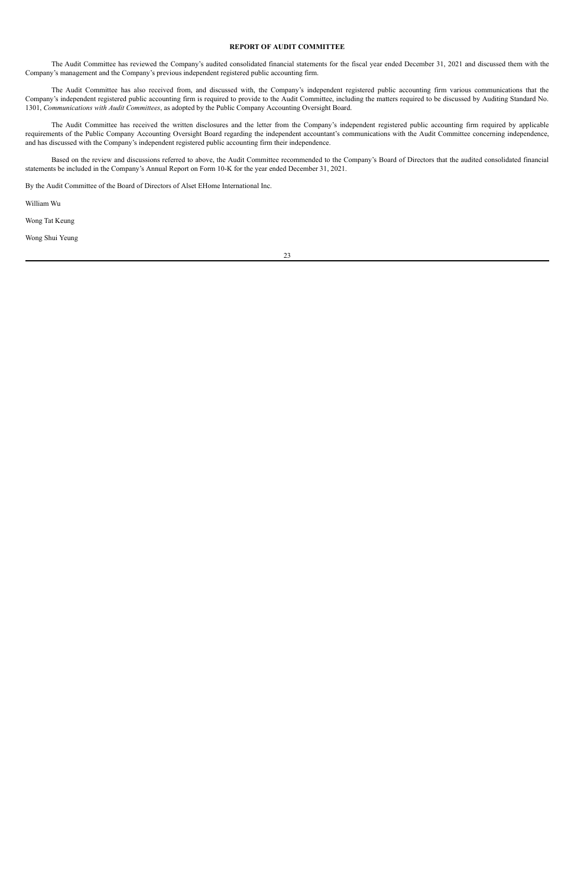#### **REPORT OF AUDIT COMMITTEE**

The Audit Committee has reviewed the Company's audited consolidated financial statements for the fiscal year ended December 31, 2021 and discussed them with the Company's management and the Company's previous independent registered public accounting firm.

The Audit Committee has also received from, and discussed with, the Company's independent registered public accounting firm various communications that the Company's independent registered public accounting firm is required to provide to the Audit Committee, including the matters required to be discussed by Auditing Standard No. 1301, *Communications with Audit Committees*, as adopted by the Public Company Accounting Oversight Board.

The Audit Committee has received the written disclosures and the letter from the Company's independent registered public accounting firm required by applicable requirements of the Public Company Accounting Oversight Board regarding the independent accountant's communications with the Audit Committee concerning independence, and has discussed with the Company's independent registered public accounting firm their independence.

Based on the review and discussions referred to above, the Audit Committee recommended to the Company's Board of Directors that the audited consolidated financial statements be included in the Company's Annual Report on Form 10-K for the year ended December 31, 2021.

By the Audit Committee of the Board of Directors of Alset EHome International Inc.

William Wu

Wong Tat Keung

Wong Shui Yeung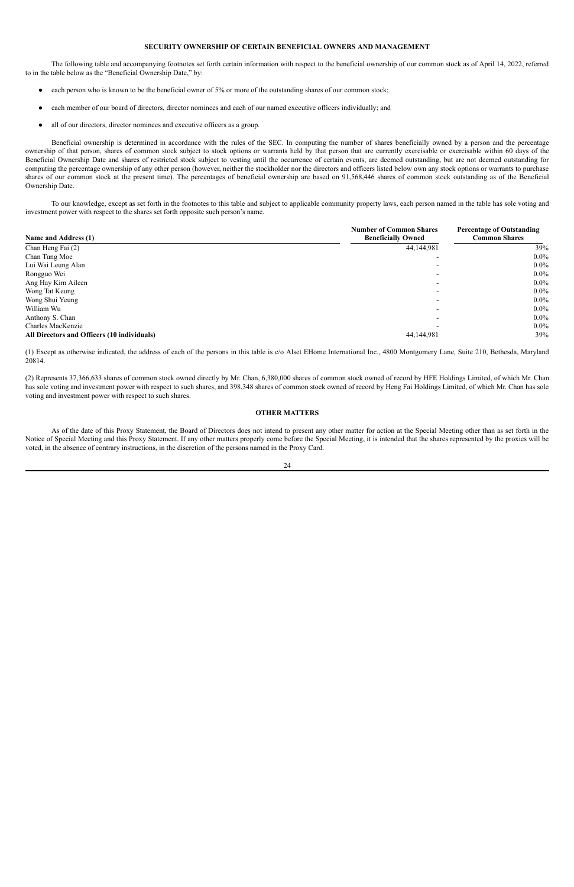#### **SECURITY OWNERSHIP OF CERTAIN BENEFICIAL OWNERS AND MANAGEMENT**

The following table and accompanying footnotes set forth certain information with respect to the beneficial ownership of our common stock as of April 14, 2022, referred to in the table below as the "Beneficial Ownership Date," by:

- each person who is known to be the beneficial owner of 5% or more of the outstanding shares of our common stock;
- each member of our board of directors, director nominees and each of our named executive officers individually; and
- all of our directors, director nominees and executive officers as a group.

Beneficial ownership is determined in accordance with the rules of the SEC. In computing the number of shares beneficially owned by a person and the percentage ownership of that person, shares of common stock subject to stock options or warrants held by that person that are currently exercisable or exercisable within 60 days of the Beneficial Ownership Date and shares of restricted stock subject to vesting until the occurrence of certain events, are deemed outstanding, but are not deemed outstanding for computing the percentage ownership of any other person (however, neither the stockholder nor the directors and officers listed below own any stock options or warrants to purchase shares of our common stock at the present time). The percentages of beneficial ownership are based on 91,568,446 shares of common stock outstanding as of the Beneficial Ownership Date.

To our knowledge, except as set forth in the footnotes to this table and subject to applicable community property laws, each person named in the table has sole voting and investment power with respect to the shares set forth opposite such person's name.

|                                             | <b>Number of Common Shares</b> | <b>Percentage of Outstanding</b> |
|---------------------------------------------|--------------------------------|----------------------------------|
| Name and Address (1)                        | <b>Beneficially Owned</b>      | <b>Common Shares</b>             |
| Chan Heng Fai (2)                           | 44,144,981                     | 39%                              |
| Chan Tung Moe                               |                                | $0.0\%$                          |
| Lui Wai Leung Alan                          |                                | $0.0\%$                          |
| Rongguo Wei                                 |                                | $0.0\%$                          |
| Ang Hay Kim Aileen                          |                                | $0.0\%$                          |
| Wong Tat Keung                              |                                | $0.0\%$                          |
| Wong Shui Yeung                             |                                | $0.0\%$                          |
| William Wu                                  |                                | $0.0\%$                          |
| Anthony S. Chan                             |                                | $0.0\%$                          |
| Charles MacKenzie                           |                                | $0.0\%$                          |
| All Directors and Officers (10 individuals) | 44,144,981                     | 39%                              |

(1) Except as otherwise indicated, the address of each of the persons in this table is c/o Alset EHome International Inc., 4800 Montgomery Lane, Suite 210, Bethesda, Maryland 20814.

(2) Represents 37,366,633 shares of common stock owned directly by Mr. Chan, 6,380,000 shares of common stock owned of record by HFE Holdings Limited, of which Mr. Chan has sole voting and investment power with respect to such shares, and 398,348 shares of common stock owned of record by Heng Fai Holdings Limited, of which Mr. Chan has sole voting and investment power with respect to such shares.

#### **OTHER MATTERS**

As of the date of this Proxy Statement, the Board of Directors does not intend to present any other matter for action at the Special Meeting other than as set forth in the Notice of Special Meeting and this Proxy Statement. If any other matters properly come before the Special Meeting, it is intended that the shares represented by the proxies will be voted, in the absence of contrary instructions, in the discretion of the persons named in the Proxy Card.

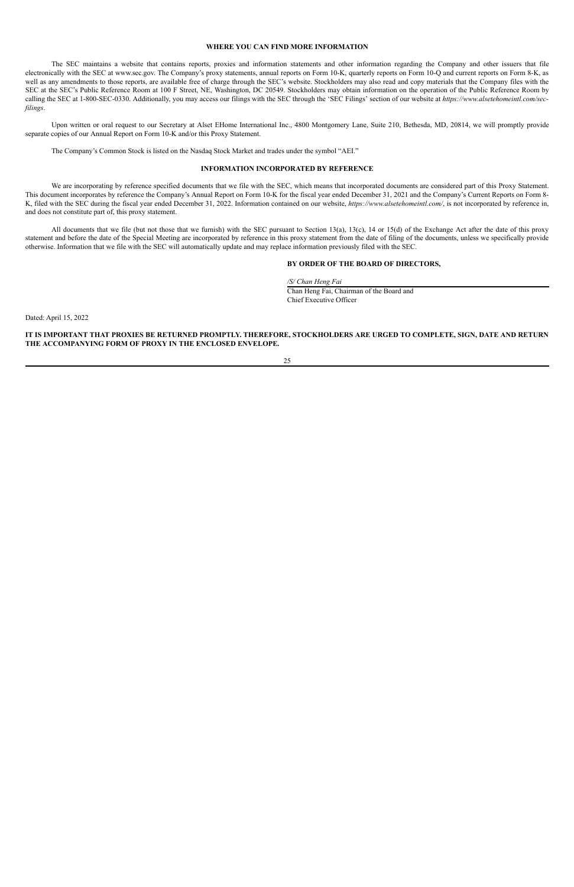#### **WHERE YOU CAN FIND MORE INFORMATION**

The SEC maintains a website that contains reports, proxies and information statements and other information regarding the Company and other issuers that file electronically with the SEC at www.sec.gov. The Company's proxy statements, annual reports on Form 10-K, quarterly reports on Form 10-Q and current reports on Form 8-K, as well as any amendments to those reports, are available free of charge through the SEC's website. Stockholders may also read and copy materials that the Company files with the SEC at the SEC's Public Reference Room at 100 F Street, NE, Washington, DC 20549. Stockholders may obtain information on the operation of the Public Reference Room by calling the SEC at 1-800-SEC-0330. Additionally, you may access our filings with the SEC through the 'SEC Filings' section of our website at *https://www.alsetehomeintl.com/secfilings*.

Upon written or oral request to our Secretary at Alset EHome International Inc., 4800 Montgomery Lane, Suite 210, Bethesda, MD, 20814, we will promptly provide separate copies of our Annual Report on Form 10-K and/or this Proxy Statement.

The Company's Common Stock is listed on the Nasdaq Stock Market and trades under the symbol "AEI."

### **INFORMATION INCORPORATED BY REFERENCE**

IT IS IMPORTANT THAT PROXIES BE RETURNED PROMPTLY. THEREFORE, STOCKHOLDERS ARE URGED TO COMPLETE, SIGN, DATE AND RETURN **THE ACCOMPANYING FORM OF PROXY IN THE ENCLOSED ENVELOPE.**

We are incorporating by reference specified documents that we file with the SEC, which means that incorporated documents are considered part of this Proxy Statement. This document incorporates by reference the Company's Annual Report on Form 10-K for the fiscal year ended December 31, 2021 and the Company's Current Reports on Form 8- K, filed with the SEC during the fiscal year ended December 31, 2022. Information contained on our website, *https://www.alsetehomeintl.com/*, is not incorporated by reference in, and does not constitute part of, this proxy statement.

All documents that we file (but not those that we furnish) with the SEC pursuant to Section 13(a), 13(c), 14 or 15(d) of the Exchange Act after the date of this proxy statement and before the date of the Special Meeting are incorporated by reference in this proxy statement from the date of filing of the documents, unless we specifically provide otherwise. Information that we file with the SEC will automatically update and may replace information previously filed with the SEC.

#### **BY ORDER OF THE BOARD OF DIRECTORS,**

*/S/ Chan Heng Fai* Chan Heng Fai, Chairman of the Board and

Chief Executive Officer

Dated: April 15, 2022

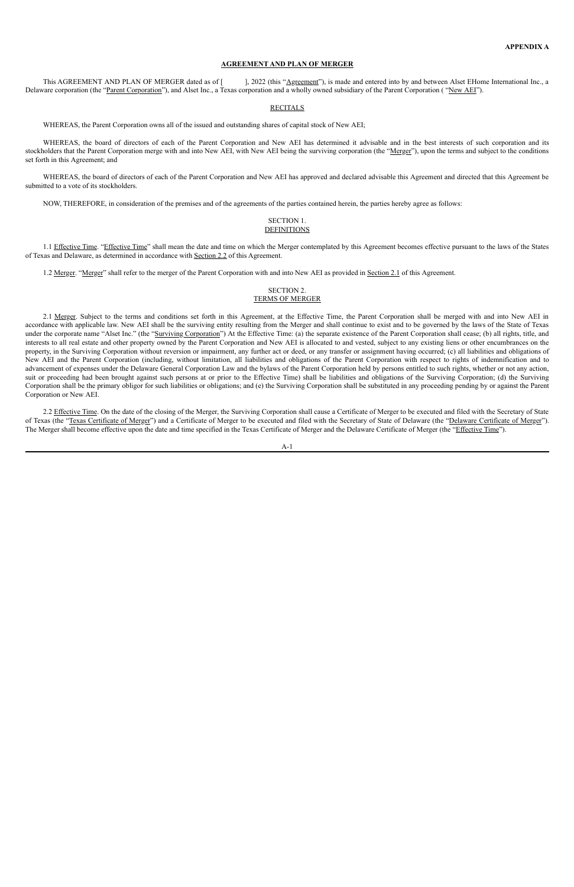#### **AGREEMENT AND PLAN OF MERGER**

This AGREEMENT AND PLAN OF MERGER dated as of [ ], 2022 (this "Agreement"), is made and entered into by and between Alset EHome International Inc., a Delaware corporation (the "Parent Corporation"), and Alset Inc., a Texas corporation and a wholly owned subsidiary of the Parent Corporation ("New AEI").

#### **RECITALS**

WHEREAS, the Parent Corporation owns all of the issued and outstanding shares of capital stock of New AEI;

#### SECTION 1. **DEFINITIONS**

WHEREAS, the board of directors of each of the Parent Corporation and New AEI has determined it advisable and in the best interests of such corporation and its stockholders that the Parent Corporation merge with and into New AEI, with New AEI being the surviving corporation (the "Merger"), upon the terms and subject to the conditions set forth in this Agreement; and

1.1 Effective Time. "Effective Time" shall mean the date and time on which the Merger contemplated by this Agreement becomes effective pursuant to the laws of the States of Texas and Delaware, as determined in accordance with Section 2.2 of this Agreement.

1.2 Merger. "Merger" shall refer to the merger of the Parent Corporation with and into New AEI as provided in Section 2.1 of this Agreement.

WHEREAS, the board of directors of each of the Parent Corporation and New AEI has approved and declared advisable this Agreement and directed that this Agreement be submitted to a vote of its stockholders.

NOW, THEREFORE, in consideration of the premises and of the agreements of the parties contained herein, the parties hereby agree as follows:

#### SECTION 2. TERMS OF MERGER

2.1 Merger. Subject to the terms and conditions set forth in this Agreement, at the Effective Time, the Parent Corporation shall be merged with and into New AEI in accordance with applicable law. New AEI shall be the surviving entity resulting from the Merger and shall continue to exist and to be governed by the laws of the State of Texas under the corporate name "Alset Inc." (the "Surviving Corporation") At the Effective Time: (a) the separate existence of the Parent Corporation shall cease; (b) all rights, title, and interests to all real estate and other property owned by the Parent Corporation and New AEI is allocated to and vested, subject to any existing liens or other encumbrances on the property, in the Surviving Corporation without reversion or impairment, any further act or deed, or any transfer or assignment having occurred; (c) all liabilities and obligations of New AEI and the Parent Corporation (including, without limitation, all liabilities and obligations of the Parent Corporation with respect to rights of indemnification and to advancement of expenses under the Delaware General Corporation Law and the bylaws of the Parent Corporation held by persons entitled to such rights, whether or not any action, suit or proceeding had been brought against such persons at or prior to the Effective Time) shall be liabilities and obligations of the Surviving Corporation; (d) the Surviving Corporation shall be the primary obligor for such liabilities or obligations; and (e) the Surviving Corporation shall be substituted in any proceeding pending by or against the Parent Corporation or New AEI.

2.2 Effective Time. On the date of the closing of the Merger, the Surviving Corporation shall cause a Certificate of Merger to be executed and filed with the Secretary of State of Texas (the "Texas Certificate of Merger") and a Certificate of Merger to be executed and filed with the Secretary of State of Delaware (the "Delaware Certificate of Merger"). The Merger shall become effective upon the date and time specified in the Texas Certificate of Merger and the Delaware Certificate of Merger (the "*Effective Time*").

A-1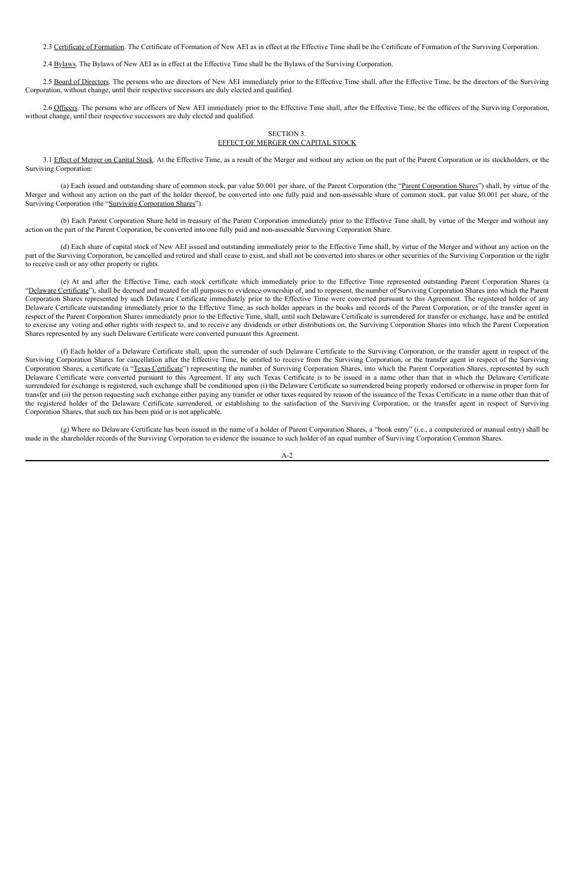2.3 Certificate of Formation. The Certificate of Formation of New AEI as in effect at the Effective Time shall be the Certificate of Formation of the Surviving Corporation.

2.4 Bylaws. The Bylaws of New AEI as in effect at the Effective Time shall be the Bylaws of the Surviving Corporation.

2.5 Board of Directors. The persons who are directors of New AEI immediately prior to the Effective Time shall, after the Effective Time, be the directors of the Surviving Corporation, without change, until their respective successors are duly elected and qualified.

2.6 Officers. The persons who are officers of New AEI immediately prior to the Effective Time shall, after the Effective Time, be the officers of the Surviving Corporation, without change, until their respective successors are duly elected and qualified.

3.1 Effect of Merger on Capital Stock. At the Effective Time, as a result of the Merger and without any action on the part of the Parent Corporation or its stockholders, or the Surviving Corporation:

(a) Each issued and outstanding share of common stock, par value \$0.001 per share, of the Parent Corporation (the "Parent Corporation Shares") shall, by virtue of the Merger and without any action on the part of the holder thereof, be converted into one fully paid and non-assessable share of common stock, par value \$0.001 per share, of the Surviving Corporation (the "Surviving Corporation Shares").

#### SECTION 3. EFFECT OF MERGER ON CAPITAL STOCK

(b) Each Parent Corporation Share held in treasury of the Parent Corporation immediately prior to the Effective Time shall, by virtue of the Merger and without any action on the part of the Parent Corporation, be converted into one fully paid and non-assessable Surviving Corporation Share.

(d) Each share of capital stock of New AEI issued and outstanding immediately prior to the Effective Time shall, by virtue of the Merger and without any action on the part of the Surviving Corporation, be cancelled and retired and shall cease to exist, and shall not be converted into shares or other securities of the Surviving Corporation or the right to receive cash or any other property or rights.

(e) At and after the Effective Time, each stock certificate which immediately prior to the Effective Time represented outstanding Parent Corporation Shares (a "Delaware Certificate"), shall be deemed and treated for all purposes to evidence ownership of, and to represent, the number of Surviving Corporation Shares into which the Parent Corporation Shares represented by such Delaware Certificate immediately prior to the Effective Time were converted pursuant to this Agreement. The registered holder of any Delaware Certificate outstanding immediately prior to the Effective Time, as such holder appears in the books and records of the Parent Corporation, or of the transfer agent in respect of the Parent Corporation Shares immediately prior to the Effective Time, shall, until such Delaware Certificate is surrendered for transfer or exchange, have and be entitled to exercise any voting and other rights with respect to, and to receive any dividends or other distributions on, the Surviving Corporation Shares into which the Parent Corporation Shares represented by any such Delaware Certificate were converted pursuant this Agreement.

(f) Each holder of a Delaware Certificate shall, upon the surrender of such Delaware Certificate to the Surviving Corporation, or the transfer agent in respect of the Surviving Corporation Shares for cancellation after the Effective Time, be entitled to receive from the Surviving Corporation, or the transfer agent in respect of the Surviving Corporation Shares, a certificate (a "Texas Certificate") representing the number of Surviving Corporation Shares, into which the Parent Corporation Shares, represented by such Delaware Certificate were converted pursuant to this Agreement. If any such Texas Certificate is to be issued in a name other than that in which the Delaware Certificate surrendered for exchange is registered, such exchange shall be conditioned upon (i) the Delaware Certificate so surrendered being properly endorsed or otherwise in proper form for transfer and (ii) the person requesting such exchange either paying any transfer or other taxes required by reason of the issuance of the Texas Certificate in a name other than that of the registered holder of the Delaware Certificate surrendered, or establishing to the satisfaction of the Surviving Corporation, or the transfer agent in respect of Surviving Corporation Shares, that such tax has been paid or is not applicable.

(g) Where no Delaware Certificate has been issued in the name of a holder of Parent Corporation Shares, a "book entry" (i.e., a computerized or manual entry) shall be made in the shareholder records of the Surviving Corporation to evidence the issuance to such holder of an equal number of Surviving Corporation Common Shares.

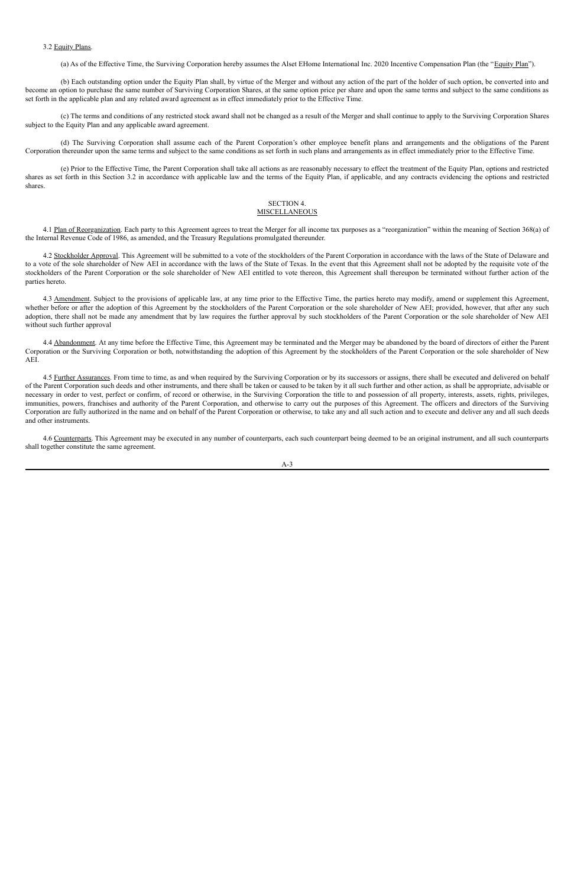#### 3.2 Equity Plans.

(a) As of the Effective Time, the Surviving Corporation hereby assumes the Alset EHome International Inc. 2020 Incentive Compensation Plan (the "Equity Plan").

(b) Each outstanding option under the Equity Plan shall, by virtue of the Merger and without any action of the part of the holder of such option, be converted into and become an option to purchase the same number of Surviving Corporation Shares, at the same option price per share and upon the same terms and subject to the same conditions as set forth in the applicable plan and any related award agreement as in effect immediately prior to the Effective Time.

(c) The terms and conditions of any restricted stock award shall not be changed as a result of the Merger and shall continue to apply to the Surviving Corporation Shares subject to the Equity Plan and any applicable award agreement.

#### SECTION 4. **MISCELLANEOUS**

4.1 Plan of Reorganization. Each party to this Agreement agrees to treat the Merger for all income tax purposes as a "reorganization" within the meaning of Section 368(a) of the Internal Revenue Code of 1986, as amended, and the Treasury Regulations promulgated thereunder.

(d) The Surviving Corporation shall assume each of the Parent Corporation's other employee benefit plans and arrangements and the obligations of the Parent Corporation thereunder upon the same terms and subject to the same conditions as set forth in such plans and arrangements as in effect immediately prior to the Effective Time.

4.2 Stockholder Approval. This Agreement will be submitted to a vote of the stockholders of the Parent Corporation in accordance with the laws of the State of Delaware and to a vote of the sole shareholder of New AEI in accordance with the laws of the State of Texas. In the event that this Agreement shall not be adopted by the requisite vote of the stockholders of the Parent Corporation or the sole shareholder of New AEI entitled to vote thereon, this Agreement shall thereupon be terminated without further action of the parties hereto.

(e) Prior to the Effective Time, the Parent Corporation shall take all actions as are reasonably necessary to effect the treatment of the Equity Plan, options and restricted shares as set forth in this Section 3.2 in accordance with applicable law and the terms of the Equity Plan, if applicable, and any contracts evidencing the options and restricted shares.

4.3 Amendment. Subject to the provisions of applicable law, at any time prior to the Effective Time, the parties hereto may modify, amend or supplement this Agreement, whether before or after the adoption of this Agreement by the stockholders of the Parent Corporation or the sole shareholder of New AEI; provided, however, that after any such adoption, there shall not be made any amendment that by law requires the further approval by such stockholders of the Parent Corporation or the sole shareholder of New AEI without such further approval

4.4 Abandonment. At any time before the Effective Time, this Agreement may be terminated and the Merger may be abandoned by the board of directors of either the Parent Corporation or the Surviving Corporation or both, notwithstanding the adoption of this Agreement by the stockholders of the Parent Corporation or the sole shareholder of New AEI.

4.5 Further Assurances. From time to time, as and when required by the Surviving Corporation or by its successors or assigns, there shall be executed and delivered on behalf of the Parent Corporation such deeds and other instruments, and there shall be taken or caused to be taken by it all such further and other action, as shall be appropriate, advisable or necessary in order to vest, perfect or confirm, of record or otherwise, in the Surviving Corporation the title to and possession of all property, interests, assets, rights, privileges, immunities, powers, franchises and authority of the Parent Corporation, and otherwise to carry out the purposes of this Agreement. The officers and directors of the Surviving Corporation are fully authorized in the name and on behalf of the Parent Corporation or otherwise, to take any and all such action and to execute and deliver any and all such deeds and other instruments.

4.6 Counterparts. This Agreement may be executed in any number of counterparts, each such counterpart being deemed to be an original instrument, and all such counterparts shall together constitute the same agreement.

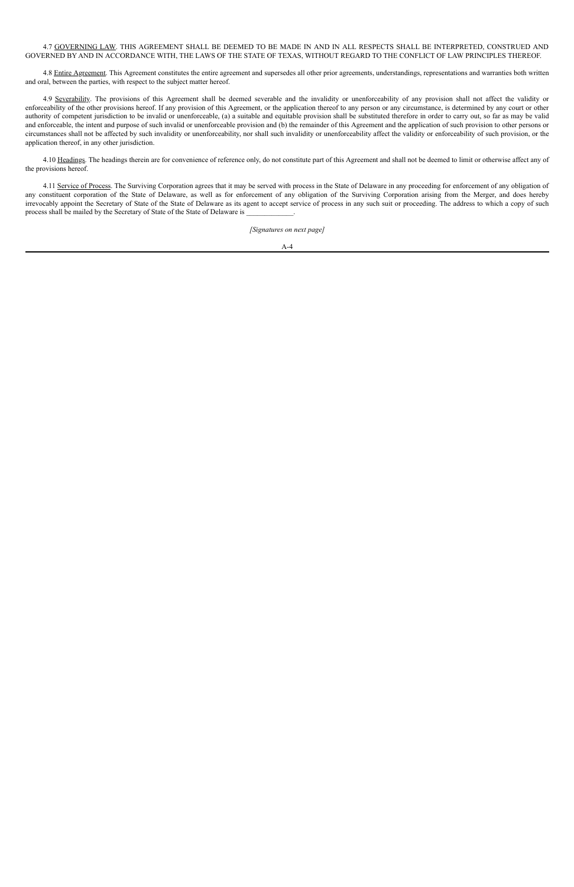4.7 GOVERNING LAW. THIS AGREEMENT SHALL BE DEEMED TO BE MADE IN AND IN ALL RESPECTS SHALL BE INTERPRETED, CONSTRUED AND GOVERNED BY AND IN ACCORDANCE WITH, THE LAWS OF THE STATE OF TEXAS, WITHOUT REGARD TO THE CONFLICT OF LAW PRINCIPLES THEREOF.

4.8 Entire Agreement. This Agreement constitutes the entire agreement and supersedes all other prior agreements, understandings, representations and warranties both written and oral, between the parties, with respect to the subject matter hereof.

4.9 Severability. The provisions of this Agreement shall be deemed severable and the invalidity or unenforceability of any provision shall not affect the validity or enforceability of the other provisions hereof. If any provision of this Agreement, or the application thereof to any person or any circumstance, is determined by any court or other authority of competent jurisdiction to be invalid or unenforceable, (a) a suitable and equitable provision shall be substituted therefore in order to carry out, so far as may be valid and enforceable, the intent and purpose of such invalid or unenforceable provision and (b) the remainder of this Agreement and the application of such provision to other persons or circumstances shall not be affected by such invalidity or unenforceability, nor shall such invalidity or unenforceability affect the validity or enforceability of such provision, or the application thereof, in any other jurisdiction.

4.10 Headings. The headings therein are for convenience of reference only, do not constitute part of this Agreement and shall not be deemed to limit or otherwise affect any of the provisions hereof.

4.11 Service of Process. The Surviving Corporation agrees that it may be served with process in the State of Delaware in any proceeding for enforcement of any obligation of any constituent corporation of the State of Delaware, as well as for enforcement of any obligation of the Surviving Corporation arising from the Merger, and does hereby irrevocably appoint the Secretary of State of the State of Delaware as its agent to accept service of process in any such suit or proceeding. The address to which a copy of such process shall be mailed by the Secretary of State of the State of Delaware is \_\_\_\_\_\_\_\_\_\_\_\_\_.

*[Signatures on next page]*

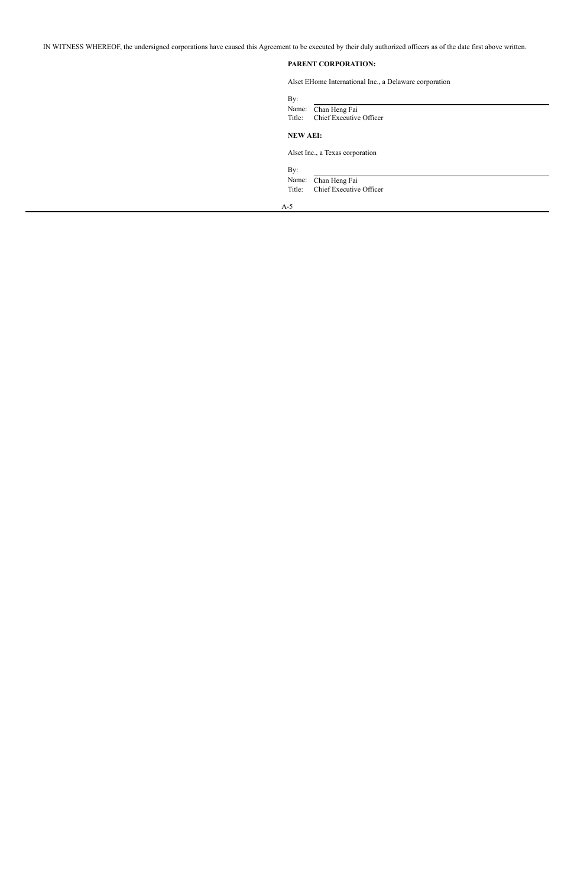IN WITNESS WHEREOF, the undersigned corporations have caused this Agreement to be executed by their duly authorized officers as of the date first above written.

### **PARENT CORPORATION:**

Alset EHome International Inc., a Delaware corporation

| By:<br>Name:<br>Title: | Chan Heng Fai<br>Chief Executive Officer |
|------------------------|------------------------------------------|
| <b>NEW AEI:</b>        |                                          |
|                        | Alset Inc., a Texas corporation          |
| By:                    |                                          |
| Name:                  | Chan Heng Fai                            |
| Title:                 | Chief Executive Officer                  |
| $A-5$                  |                                          |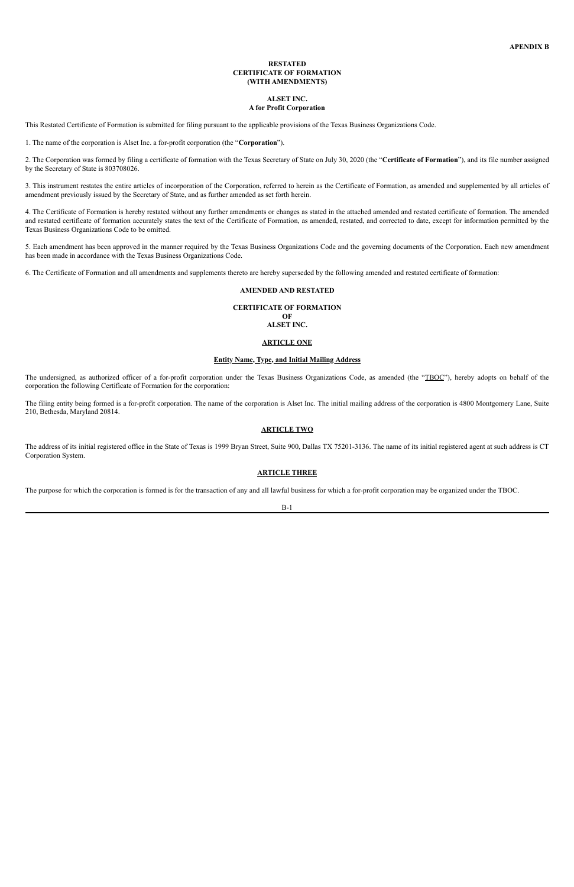#### **RESTATED CERTIFICATE OF FORMATION (WITH AMENDMENTS)**

#### **ALSET INC. A for Profit Corporation**

This Restated Certificate of Formation is submitted for filing pursuant to the applicable provisions of the Texas Business Organizations Code.

1. The name of the corporation is Alset Inc. a for-profit corporation (the "**Corporation**").

2. The Corporation was formed by filing a certificate of formation with the Texas Secretary of State on July 30, 2020 (the "**Certificate of Formation**"), and its file number assigned by the Secretary of State is 803708026.

3. This instrument restates the entire articles of incorporation of the Corporation, referred to herein as the Certificate of Formation, as amended and supplemented by all articles of amendment previously issued by the Secretary of State, and as further amended as set forth herein.

The undersigned, as authorized officer of a for-profit corporation under the Texas Business Organizations Code, as amended (the "TBOC"), hereby adopts on behalf of the corporation the following Certificate of Formation for the corporation:

4. The Certificate of Formation is hereby restated without any further amendments or changes as stated in the attached amended and restated certificate of formation. The amended and restated certificate of formation accurately states the text of the Certificate of Formation, as amended, restated, and corrected to date, except for information permitted by the Texas Business Organizations Code to be omitted.

5. Each amendment has been approved in the manner required by the Texas Business Organizations Code and the governing documents of the Corporation. Each new amendment has been made in accordance with the Texas Business Organizations Code.

6. The Certificate of Formation and all amendments and supplements thereto are hereby superseded by the following amended and restated certificate of formation:

#### **AMENDED AND RESTATED**

#### **CERTIFICATE OF FORMATION OF ALSET INC.**

#### **ARTICLE ONE**

#### **Entity Name, Type, and Initial Mailing Address**

The filing entity being formed is a for-profit corporation. The name of the corporation is Alset Inc. The initial mailing address of the corporation is 4800 Montgomery Lane, Suite 210, Bethesda, Maryland 20814.

#### **ARTICLE TWO**

The address of its initial registered office in the State of Texas is 1999 Bryan Street, Suite 900, Dallas TX 75201-3136. The name of its initial registered agent at such address is CT Corporation System.

#### **ARTICLE THREE**

The purpose for which the corporation is formed is for the transaction of any and all lawful business for which a for-profit corporation may be organized under the TBOC.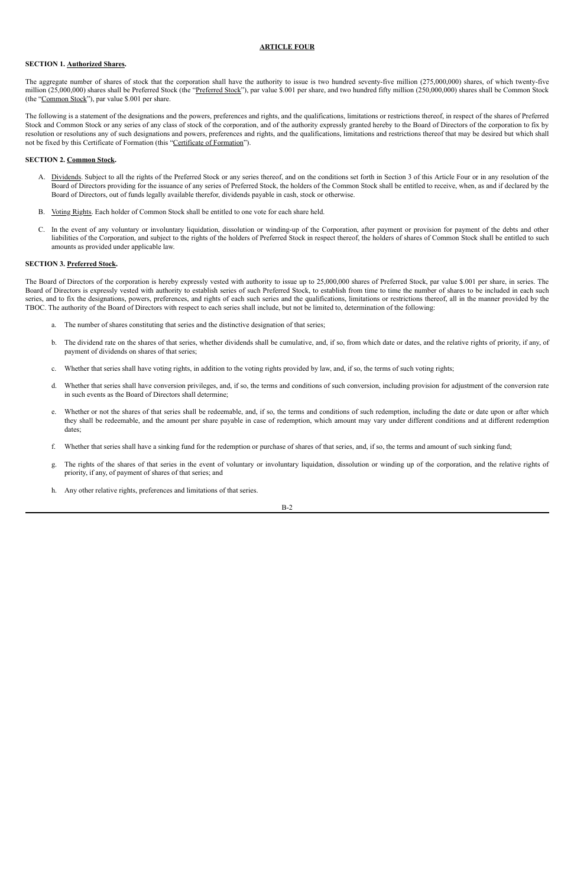#### **ARTICLE FOUR**

#### **SECTION 1. Authorized Shares.**

The aggregate number of shares of stock that the corporation shall have the authority to issue is two hundred seventy-five million (275,000,000) shares, of which twenty-five million (25,000,000) shares shall be Preferred Stock (the "Preferred Stock"), par value \$.001 per share, and two hundred fifty million (250,000,000) shares shall be Common Stock (the "Common Stock"), par value \$.001 per share.

The following is a statement of the designations and the powers, preferences and rights, and the qualifications, limitations or restrictions thereof, in respect of the shares of Preferred Stock and Common Stock or any series of any class of stock of the corporation, and of the authority expressly granted hereby to the Board of Directors of the corporation to fix by resolution or resolutions any of such designations and powers, preferences and rights, and the qualifications, limitations and restrictions thereof that may be desired but which shall not be fixed by this Certificate of Formation (this "Certificate of Formation").

- A. Dividends. Subject to all the rights of the Preferred Stock or any series thereof, and on the conditions set forth in Section 3 of this Article Four or in any resolution of the Board of Directors providing for the issuance of any series of Preferred Stock, the holders of the Common Stock shall be entitled to receive, when, as and if declared by the Board of Directors, out of funds legally available therefor, dividends payable in cash, stock or otherwise.
- B. Voting Rights. Each holder of Common Stock shall be entitled to one vote for each share held.
- C. In the event of any voluntary or involuntary liquidation, dissolution or winding-up of the Corporation, after payment or provision for payment of the debts and other liabilities of the Corporation, and subject to the rights of the holders of Preferred Stock in respect thereof, the holders of shares of Common Stock shall be entitled to such amounts as provided under applicable law.

#### **SECTION 2. Common Stock.**

#### **SECTION 3. Preferred Stock.**

The Board of Directors of the corporation is hereby expressly vested with authority to issue up to 25,000,000 shares of Preferred Stock, par value \$.001 per share, in series. The Board of Directors is expressly vested with authority to establish series of such Preferred Stock, to establish from time to time the number of shares to be included in each such series, and to fix the designations, powers, preferences, and rights of each such series and the qualifications, limitations or restrictions thereof, all in the manner provided by the TBOC. The authority of the Board of Directors with respect to each series shall include, but not be limited to, determination of the following:

- a. The number of shares constituting that series and the distinctive designation of that series;
- b. The dividend rate on the shares of that series, whether dividends shall be cumulative, and, if so, from which date or dates, and the relative rights of priority, if any, of payment of dividends on shares of that series;
- c. Whether that series shall have voting rights, in addition to the voting rights provided by law, and, if so, the terms of such voting rights;
- d. Whether that series shall have conversion privileges, and, if so, the terms and conditions of such conversion, including provision for adjustment of the conversion rate in such events as the Board of Directors shall determine;
- e. Whether or not the shares of that series shall be redeemable, and, if so, the terms and conditions of such redemption, including the date or date upon or after which they shall be redeemable, and the amount per share payable in case of redemption, which amount may vary under different conditions and at different redemption dates;
- f. Whether that series shall have a sinking fund for the redemption or purchase of shares of that series, and, if so, the terms and amount of such sinking fund;
- g. The rights of the shares of that series in the event of voluntary or involuntary liquidation, dissolution or winding up of the corporation, and the relative rights of priority, if any, of payment of shares of that series; and
- h. Any other relative rights, preferences and limitations of that series.

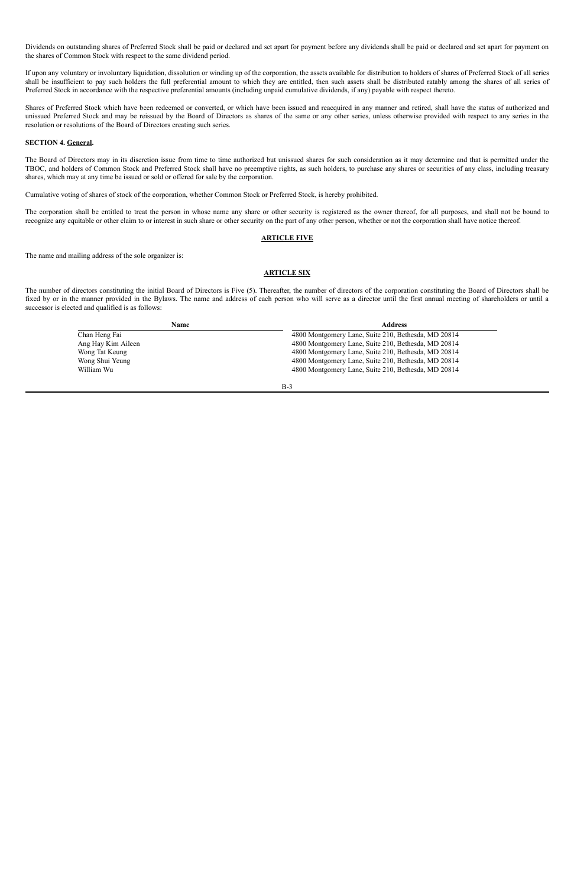Dividends on outstanding shares of Preferred Stock shall be paid or declared and set apart for payment before any dividends shall be paid or declared and set apart for payment on the shares of Common Stock with respect to the same dividend period.

If upon any voluntary or involuntary liquidation, dissolution or winding up of the corporation, the assets available for distribution to holders of shares of Preferred Stock of all series shall be insufficient to pay such holders the full preferential amount to which they are entitled, then such assets shall be distributed ratably among the shares of all series of Preferred Stock in accordance with the respective preferential amounts (including unpaid cumulative dividends, if any) payable with respect thereto.

Shares of Preferred Stock which have been redeemed or converted, or which have been issued and reacquired in any manner and retired, shall have the status of authorized and unissued Preferred Stock and may be reissued by the Board of Directors as shares of the same or any other series, unless otherwise provided with respect to any series in the resolution or resolutions of the Board of Directors creating such series.

#### **SECTION 4. General.**

The Board of Directors may in its discretion issue from time to time authorized but unissued shares for such consideration as it may determine and that is permitted under the TBOC, and holders of Common Stock and Preferred Stock shall have no preemptive rights, as such holders, to purchase any shares or securities of any class, including treasury shares, which may at any time be issued or sold or offered for sale by the corporation.

Cumulative voting of shares of stock of the corporation, whether Common Stock or Preferred Stock, is hereby prohibited.

The corporation shall be entitled to treat the person in whose name any share or other security is registered as the owner thereof, for all purposes, and shall not be bound to recognize any equitable or other claim to or interest in such share or other security on the part of any other person, whether or not the corporation shall have notice thereof.

#### **ARTICLE FIVE**

The name and mailing address of the sole organizer is:

#### **ARTICLE SIX**

The number of directors constituting the initial Board of Directors is Five (5). Thereafter, the number of directors of the corporation constituting the Board of Directors shall be fixed by or in the manner provided in the Bylaws. The name and address of each person who will serve as a director until the first annual meeting of shareholders or until a successor is elected and qualified is as follows:

| Name               | <b>Address</b>                                      |  |  |
|--------------------|-----------------------------------------------------|--|--|
| Chan Heng Fai      | 4800 Montgomery Lane, Suite 210, Bethesda, MD 20814 |  |  |
| Ang Hay Kim Aileen | 4800 Montgomery Lane, Suite 210, Bethesda, MD 20814 |  |  |
| Wong Tat Keung     | 4800 Montgomery Lane, Suite 210, Bethesda, MD 20814 |  |  |
| Wong Shui Yeung    | 4800 Montgomery Lane, Suite 210, Bethesda, MD 20814 |  |  |
| William Wu         | 4800 Montgomery Lane, Suite 210, Bethesda, MD 20814 |  |  |

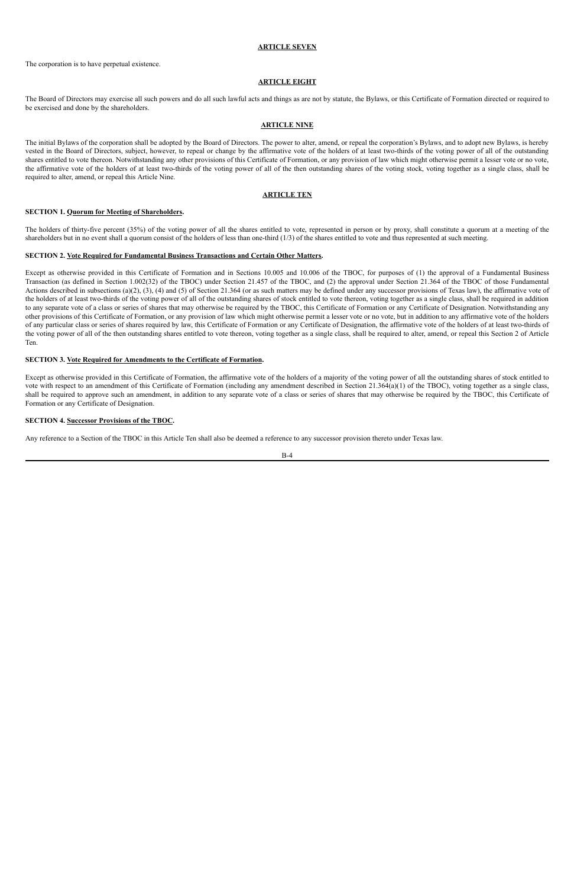#### **ARTICLE SEVEN**

The corporation is to have perpetual existence.

#### **ARTICLE EIGHT**

The Board of Directors may exercise all such powers and do all such lawful acts and things as are not by statute, the Bylaws, or this Certificate of Formation directed or required to be exercised and done by the shareholders.

#### **ARTICLE NINE**

The initial Bylaws of the corporation shall be adopted by the Board of Directors. The power to alter, amend, or repeal the corporation's Bylaws, and to adopt new Bylaws, is hereby vested in the Board of Directors, subject, however, to repeal or change by the affirmative vote of the holders of at least two-thirds of the voting power of all of the outstanding shares entitled to vote thereon. Notwithstanding any other provisions of this Certificate of Formation, or any provision of law which might otherwise permit a lesser vote or no vote, the affirmative vote of the holders of at least two-thirds of the voting power of all of the then outstanding shares of the voting stock, voting together as a single class, shall be required to alter, amend, or repeal this Article Nine.

#### **ARTICLE TEN**

#### **SECTION 1. Quorum for Meeting of Shareholders.**

The holders of thirty-five percent (35%) of the voting power of all the shares entitled to vote, represented in person or by proxy, shall constitute a quorum at a meeting of the shareholders but in no event shall a quorum consist of the holders of less than one-third (1/3) of the shares entitled to vote and thus represented at such meeting.

#### **SECTION 2. Vote Required for Fundamental Business Transactions and Certain Other Matters.**

Except as otherwise provided in this Certificate of Formation and in Sections 10.005 and 10.006 of the TBOC, for purposes of (1) the approval of a Fundamental Business Transaction (as defined in Section 1.002(32) of the TBOC) under Section 21.457 of the TBOC, and (2) the approval under Section 21.364 of the TBOC of those Fundamental Actions described in subsections (a)(2), (3), (4) and (5) of Section 21.364 (or as such matters may be defined under any successor provisions of Texas law), the affirmative vote of the holders of at least two-thirds of the voting power of all of the outstanding shares of stock entitled to vote thereon, voting together as a single class, shall be required in addition to any separate vote of a class or series of shares that may otherwise be required by the TBOC, this Certificate of Formation or any Certificate of Designation. Notwithstanding any other provisions of this Certificate of Formation, or any provision of law which might otherwise permit a lesser vote or no vote, but in addition to any affirmative vote of the holders of any particular class or series of shares required by law, this Certificate of Formation or any Certificate of Designation, the affirmative vote of the holders of at least two-thirds of the voting power of all of the then outstanding shares entitled to vote thereon, voting together as a single class, shall be required to alter, amend, or repeal this Section 2 of Article Ten.

#### **SECTION 3. Vote Required for Amendments to the Certificate of Formation.**

Except as otherwise provided in this Certificate of Formation, the affirmative vote of the holders of a majority of the voting power of all the outstanding shares of stock entitled to vote with respect to an amendment of this Certificate of Formation (including any amendment described in Section 21.364(a)(1) of the TBOC), voting together as a single class, shall be required to approve such an amendment, in addition to any separate vote of a class or series of shares that may otherwise be required by the TBOC, this Certificate of Formation or any Certificate of Designation.

#### **SECTION 4. Successor Provisions of the TBOC.**

Any reference to a Section of the TBOC in this Article Ten shall also be deemed a reference to any successor provision thereto under Texas law.

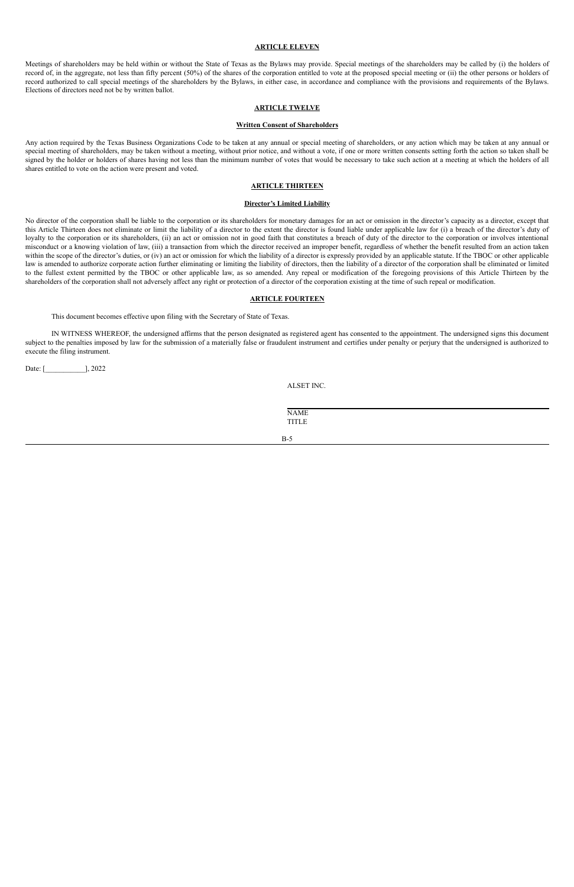#### **ARTICLE ELEVEN**

Meetings of shareholders may be held within or without the State of Texas as the Bylaws may provide. Special meetings of the shareholders may be called by (i) the holders of record of, in the aggregate, not less than fifty percent (50%) of the shares of the corporation entitled to vote at the proposed special meeting or (ii) the other persons or holders of record authorized to call special meetings of the shareholders by the Bylaws, in either case, in accordance and compliance with the provisions and requirements of the Bylaws. Elections of directors need not be by written ballot.

#### **ARTICLE TWELVE**

#### **Written Consent of Shareholders**

Any action required by the Texas Business Organizations Code to be taken at any annual or special meeting of shareholders, or any action which may be taken at any annual or special meeting of shareholders, may be taken without a meeting, without prior notice, and without a vote, if one or more written consents setting forth the action so taken shall be signed by the holder or holders of shares having not less than the minimum number of votes that would be necessary to take such action at a meeting at which the holders of all shares entitled to vote on the action were present and voted.

#### **ARTICLE THIRTEEN**

#### **Director's Limited Liability**

No director of the corporation shall be liable to the corporation or its shareholders for monetary damages for an act or omission in the director's capacity as a director, except that this Article Thirteen does not eliminate or limit the liability of a director to the extent the director is found liable under applicable law for (i) a breach of the director's duty of loyalty to the corporation or its shareholders, (ii) an act or omission not in good faith that constitutes a breach of duty of the director to the corporation or involves intentional misconduct or a knowing violation of law, (iii) a transaction from which the director received an improper benefit, regardless of whether the benefit resulted from an action taken within the scope of the director's duties, or (iv) an act or omission for which the liability of a director is expressly provided by an applicable statute. If the TBOC or other applicable law is amended to authorize corporate action further eliminating or limiting the liability of directors, then the liability of a director of the corporation shall be eliminated or limited to the fullest extent permitted by the TBOC or other applicable law, as so amended. Any repeal or modification of the foregoing provisions of this Article Thirteen by the shareholders of the corporation shall not adversely affect any right or protection of a director of the corporation existing at the time of such repeal or modification.

#### **ARTICLE FOURTEEN**

This document becomes effective upon filing with the Secretary of State of Texas.

IN WITNESS WHEREOF, the undersigned affirms that the person designated as registered agent has consented to the appointment. The undersigned signs this document subject to the penalties imposed by law for the submission of a materially false or fraudulent instrument and certifies under penalty or perjury that the undersigned is authorized to execute the filing instrument.

Date: [\_\_\_\_\_\_\_\_\_\_\_], 2022

ALSET INC.

NAME TITLE B-5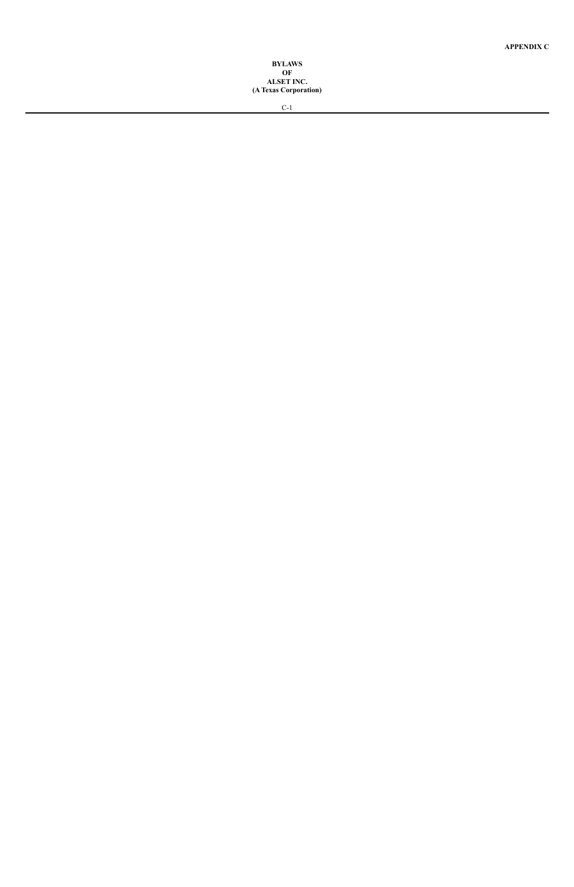#### **B Y L AW S O F ALSET INC.** (A Texas Corporation)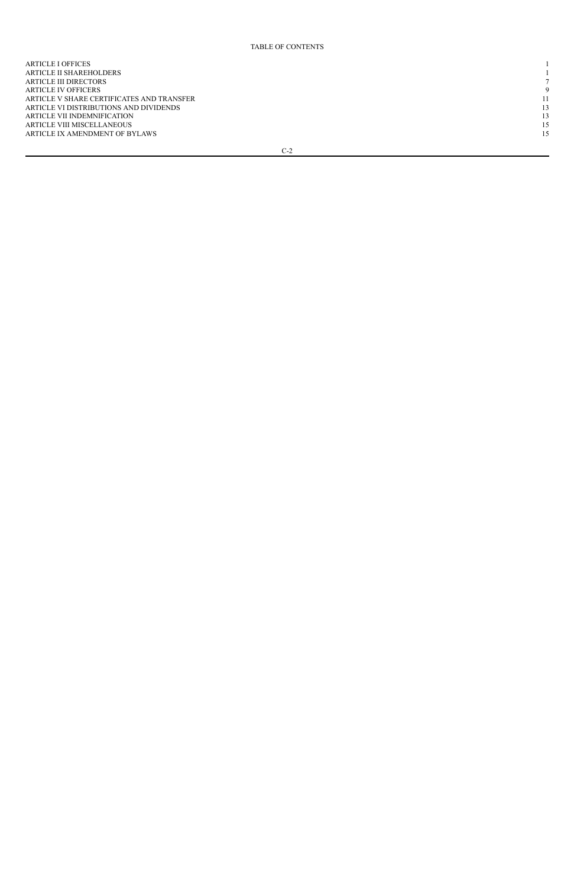#### TABLE OF CONTENTS

| <b>ARTICLE I OFFICES</b>                  |          |
|-------------------------------------------|----------|
| ARTICLE II SHAREHOLDERS                   |          |
| <b>ARTICLE III DIRECTORS</b>              |          |
| ARTICLE IV OFFICERS                       | $\Omega$ |
| ARTICLE V SHARE CERTIFICATES AND TRANSFER | 11       |
| ARTICLE VI DISTRIBUTIONS AND DIVIDENDS    | 13       |
| ARTICLE VII INDEMNIFICATION               | 13       |
| ARTICLE VIII MISCELLANEOUS                | 15       |
| ARTICLE IX AMENDMENT OF BYLAWS            | 15       |
|                                           |          |

 $C-2$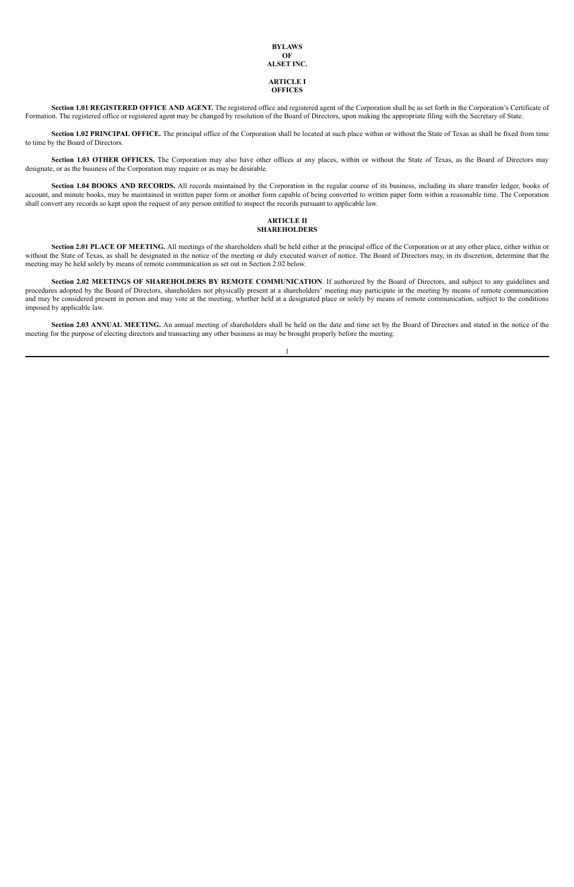## **BYLAWS OF ALSET INC. ARTICLE I**

# **OFFICES**

**Section 1.01 REGISTERED OFFICE AND AGENT.** The registered office and registered agent of the Corporation shall be as set forth in the Corporation's Certificate of Formation. The registered office or registered agent may be changed by resolution of the Board of Directors, upon making the appropriate filing with the Secretary of State.

**Section 1.02 PRINCIPAL OFFICE.** The principal office of the Corporation shall be located at such place within or without the State of Texas as shall be fixed from time to time by the Board of Directors.

**Section 1.03 OTHER OFFICES.** The Corporation may also have other offices at any places, within or without the State of Texas, as the Board of Directors may designate, or as the business of the Corporation may require or as may be desirable.

**Section 1.04 BOOKS AND RECORDS.** All records maintained by the Corporation in the regular course of its business, including its share transfer ledger, books of account, and minute books, may be maintained in written paper form or another form capable of being converted to written paper form within a reasonable time. The Corporation shall convert any records so kept upon the request of any person entitled to inspect the records pursuant to applicable law.

#### **ARTICLE II SHAREHOLDERS**

**Section 2.01 PLACE OF MEETING.** All meetings of the shareholders shall be held either at the principal office of the Corporation or at any other place, either within or without the State of Texas, as shall be designated in the notice of the meeting or duly executed waiver of notice. The Board of Directors may, in its discretion, determine that the meeting may be held solely by means of remote communication as set out in Section 2.02 below.

**Section 2.02 MEETINGS OF SHAREHOLDERS BY REMOTE COMMUNICATION**. If authorized by the Board of Directors, and subject to any guidelines and procedures adopted by the Board of Directors, shareholders not physically present at a shareholders' meeting may participate in the meeting by means of remote communication and may be considered present in person and may vote at the meeting, whether held at a designated place or solely by means of remote communication, subject to the conditions imposed by applicable law.

**Section 2.03 ANNUAL MEETING.** An annual meeting of shareholders shall be held on the date and time set by the Board of Directors and stated in the notice of the meeting for the purpose of electing directors and transacting any other business as may be brought properly before the meeting.

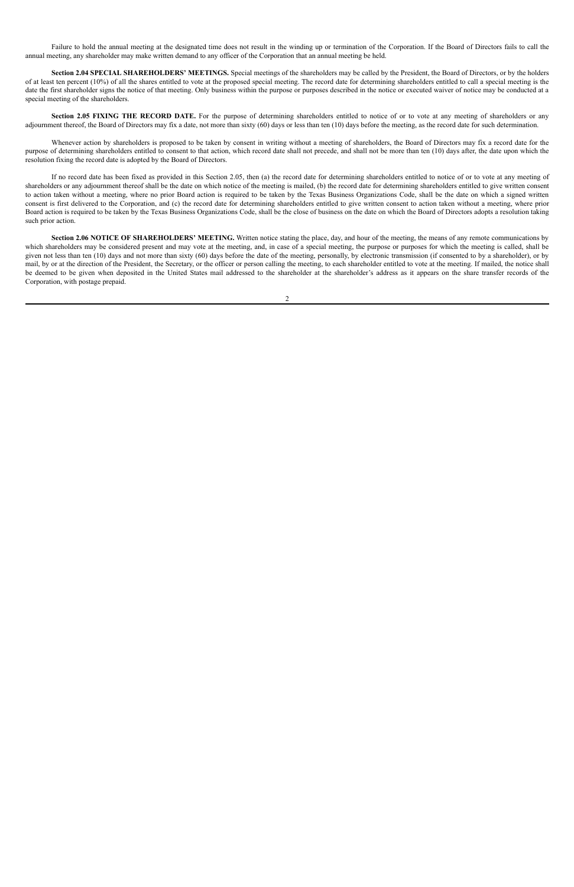Failure to hold the annual meeting at the designated time does not result in the winding up or termination of the Corporation. If the Board of Directors fails to call the annual meeting, any shareholder may make written demand to any officer of the Corporation that an annual meeting be held.

**Section 2.04 SPECIAL SHAREHOLDERS' MEETINGS.** Special meetings of the shareholders may be called by the President, the Board of Directors, or by the holders of at least ten percent (10%) of all the shares entitled to vote at the proposed special meeting. The record date for determining shareholders entitled to call a special meeting is the date the first shareholder signs the notice of that meeting. Only business within the purpose or purposes described in the notice or executed waiver of notice may be conducted at a special meeting of the shareholders.

**Section 2.05 FIXING THE RECORD DATE.** For the purpose of determining shareholders entitled to notice of or to vote at any meeting of shareholders or any adjournment thereof, the Board of Directors may fix a date, not more than sixty (60) days or less than ten (10) days before the meeting, as the record date for such determination.

Whenever action by shareholders is proposed to be taken by consent in writing without a meeting of shareholders, the Board of Directors may fix a record date for the purpose of determining shareholders entitled to consent to that action, which record date shall not precede, and shall not be more than ten (10) days after, the date upon which the resolution fixing the record date is adopted by the Board of Directors.

If no record date has been fixed as provided in this Section 2.05, then (a) the record date for determining shareholders entitled to notice of or to vote at any meeting of shareholders or any adjournment thereof shall be the date on which notice of the meeting is mailed, (b) the record date for determining shareholders entitled to give written consent to action taken without a meeting, where no prior Board action is required to be taken by the Texas Business Organizations Code, shall be the date on which a signed written consent is first delivered to the Corporation, and (c) the record date for determining shareholders entitled to give written consent to action taken without a meeting, where prior Board action is required to be taken by the Texas Business Organizations Code, shall be the close of business on the date on which the Board of Directors adopts a resolution taking such prior action.

**Section 2.06 NOTICE OF SHAREHOLDERS' MEETING.** Written notice stating the place, day, and hour of the meeting, the means of any remote communications by which shareholders may be considered present and may vote at the meeting, and, in case of a special meeting, the purpose or purposes for which the meeting is called, shall be given not less than ten (10) days and not more than sixty (60) days before the date of the meeting, personally, by electronic transmission (if consented to by a shareholder), or by mail, by or at the direction of the President, the Secretary, or the officer or person calling the meeting, to each shareholder entitled to vote at the meeting. If mailed, the notice shall be deemed to be given when deposited in the United States mail addressed to the shareholder at the shareholder's address as it appears on the share transfer records of the Corporation, with postage prepaid.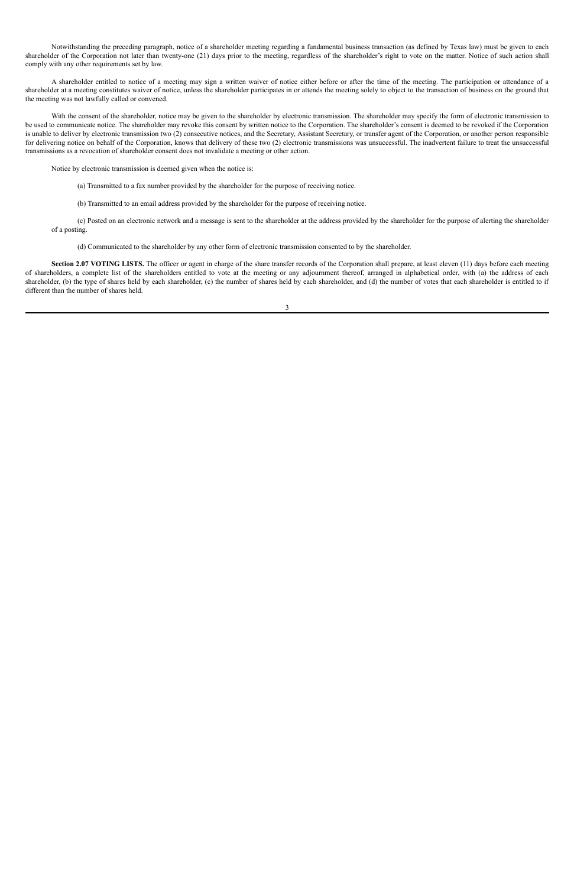Notwithstanding the preceding paragraph, notice of a shareholder meeting regarding a fundamental business transaction (as defined by Texas law) must be given to each shareholder of the Corporation not later than twenty-one (21) days prior to the meeting, regardless of the shareholder's right to vote on the matter. Notice of such action shall comply with any other requirements set by law.

A shareholder entitled to notice of a meeting may sign a written waiver of notice either before or after the time of the meeting. The participation or attendance of a shareholder at a meeting constitutes waiver of notice, unless the shareholder participates in or attends the meeting solely to object to the transaction of business on the ground that the meeting was not lawfully called or convened.

With the consent of the shareholder, notice may be given to the shareholder by electronic transmission. The shareholder may specify the form of electronic transmission to be used to communicate notice. The shareholder may revoke this consent by written notice to the Corporation. The shareholder's consent is deemed to be revoked if the Corporation is unable to deliver by electronic transmission two (2) consecutive notices, and the Secretary, Assistant Secretary, or transfer agent of the Corporation, or another person responsible for delivering notice on behalf of the Corporation, knows that delivery of these two (2) electronic transmissions was unsuccessful. The inadvertent failure to treat the unsuccessful transmissions as a revocation of shareholder consent does not invalidate a meeting or other action.

Section 2.07 VOTING LISTS. The officer or agent in charge of the share transfer records of the Corporation shall prepare, at least eleven (11) days before each meeting of shareholders, a complete list of the shareholders entitled to vote at the meeting or any adjournment thereof, arranged in alphabetical order, with (a) the address of each shareholder, (b) the type of shares held by each shareholder, (c) the number of shares held by each shareholder, and (d) the number of votes that each shareholder is entitled to if different than the number of shares held.

Notice by electronic transmission is deemed given when the notice is:

- (a) Transmitted to a fax number provided by the shareholder for the purpose of receiving notice.
- (b) Transmitted to an email address provided by the shareholder for the purpose of receiving notice.

(c) Posted on an electronic network and a message is sent to the shareholder at the address provided by the shareholder for the purpose of alerting the shareholder of a posting.

(d) Communicated to the shareholder by any other form of electronic transmission consented to by the shareholder.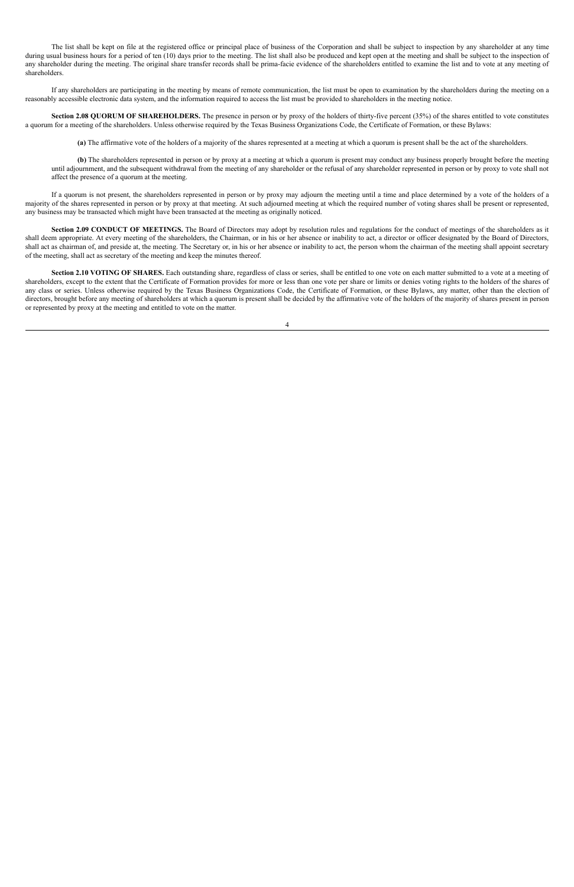The list shall be kept on file at the registered office or principal place of business of the Corporation and shall be subject to inspection by any shareholder at any time during usual business hours for a period of ten (10) days prior to the meeting. The list shall also be produced and kept open at the meeting and shall be subject to the inspection of any shareholder during the meeting. The original share transfer records shall be prima-facie evidence of the shareholders entitled to examine the list and to vote at any meeting of shareholders.

If any shareholders are participating in the meeting by means of remote communication, the list must be open to examination by the shareholders during the meeting on a reasonably accessible electronic data system, and the information required to access the list must be provided to shareholders in the meeting notice.

**Section 2.08 QUORUM OF SHAREHOLDERS.** The presence in person or by proxy of the holders of thirty-five percent (35%) of the shares entitled to vote constitutes a quorum for a meeting of the shareholders. Unless otherwise required by the Texas Business Organizations Code, the Certificate of Formation, or these Bylaws:

**(a)** The affirmative vote of the holders of a majority of the shares represented at a meeting at which a quorum is present shall be the act of the shareholders.

**(b)** The shareholders represented in person or by proxy at a meeting at which a quorum is present may conduct any business properly brought before the meeting until adjournment, and the subsequent withdrawal from the meeting of any shareholder or the refusal of any shareholder represented in person or by proxy to vote shall not affect the presence of a quorum at the meeting.

If a quorum is not present, the shareholders represented in person or by proxy may adjourn the meeting until a time and place determined by a vote of the holders of a majority of the shares represented in person or by proxy at that meeting. At such adjourned meeting at which the required number of voting shares shall be present or represented, any business may be transacted which might have been transacted at the meeting as originally noticed.

**Section 2.09 CONDUCT OF MEETINGS.** The Board of Directors may adopt by resolution rules and regulations for the conduct of meetings of the shareholders as it shall deem appropriate. At every meeting of the shareholders, the Chairman, or in his or her absence or inability to act, a director or officer designated by the Board of Directors, shall act as chairman of, and preside at, the meeting. The Secretary or, in his or her absence or inability to act, the person whom the chairman of the meeting shall appoint secretary of the meeting, shall act as secretary of the meeting and keep the minutes thereof.

**Section 2.10 VOTING OF SHARES.** Each outstanding share, regardless of class or series, shall be entitled to one vote on each matter submitted to a vote at a meeting of shareholders, except to the extent that the Certificate of Formation provides for more or less than one vote per share or limits or denies voting rights to the holders of the shares of any class or series. Unless otherwise required by the Texas Business Organizations Code, the Certificate of Formation, or these Bylaws, any matter, other than the election of directors, brought before any meeting of shareholders at which a quorum is present shall be decided by the affirmative vote of the holders of the majority of shares present in person or represented by proxy at the meeting and entitled to vote on the matter.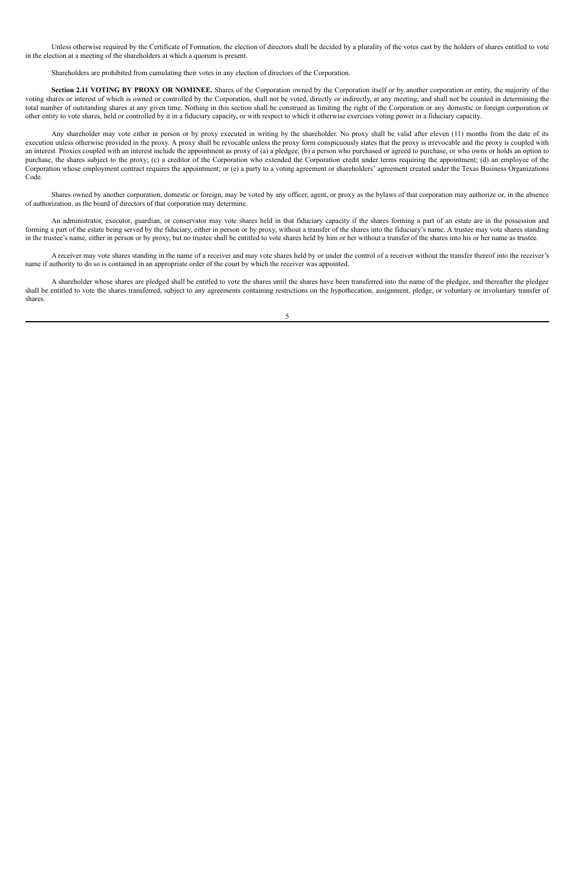Unless otherwise required by the Certificate of Formation, the election of directors shall be decided by a plurality of the votes cast by the holders of shares entitled to vote in the election at a meeting of the shareholders at which a quorum is present.

Shareholders are prohibited from cumulating their votes in any election of directors of the Corporation.

**Section 2.11 VOTING BY PROXY OR NOMINEE.** Shares of the Corporation owned by the Corporation itself or by another corporation or entity, the majority of the voting shares or interest of which is owned or controlled by the Corporation, shall not be voted, directly or indirectly, at any meeting, and shall not be counted in determining the total number of outstanding shares at any given time. Nothing in this section shall be construed as limiting the right of the Corporation or any domestic or foreign corporation or other entity to vote shares, held or controlled by it in a fiduciary capacity, or with respect to which it otherwise exercises voting power in a fiduciary capacity.

Any shareholder may vote either in person or by proxy executed in writing by the shareholder. No proxy shall be valid after eleven (11) months from the date of its execution unless otherwise provided in the proxy. A proxy shall be revocable unless the proxy form conspicuously states that the proxy is irrevocable and the proxy is coupled with an interest. Proxies coupled with an interest include the appointment as proxy of (a) a pledgee; (b) a person who purchased or agreed to purchase, or who owns or holds an option to purchase, the shares subject to the proxy; (c) a creditor of the Corporation who extended the Corporation credit under terms requiring the appointment; (d) an employee of the Corporation whose employment contract requires the appointment; or (e) a party to a voting agreement or shareholders' agreement created under the Texas Business Organizations Code.

Shares owned by another corporation, domestic or foreign, may be voted by any officer, agent, or proxy as the bylaws of that corporation may authorize or, in the absence of authorization, as the board of directors of that corporation may determine.

An administrator, executor, guardian, or conservator may vote shares held in that fiduciary capacity if the shares forming a part of an estate are in the possession and forming a part of the estate being served by the fiduciary, either in person or by proxy, without a transfer of the shares into the fiduciary's name. A trustee may vote shares standing in the trustee's name, either in person or by proxy, but no trustee shall be entitled to vote shares held by him or her without a transfer of the shares into his or her name as trustee.

A receiver may vote shares standing in the name of a receiver and may vote shares held by or under the control of a receiver without the transfer thereof into the receiver's name if authority to do so is contained in an appropriate order of the court by which the receiver was appointed.

A shareholder whose shares are pledged shall be entitled to vote the shares until the shares have been transferred into the name of the pledgee, and thereafter the pledgee shall be entitled to vote the shares transferred, subject to any agreements containing restrictions on the hypothecation, assignment, pledge, or voluntary or involuntary transfer of shares.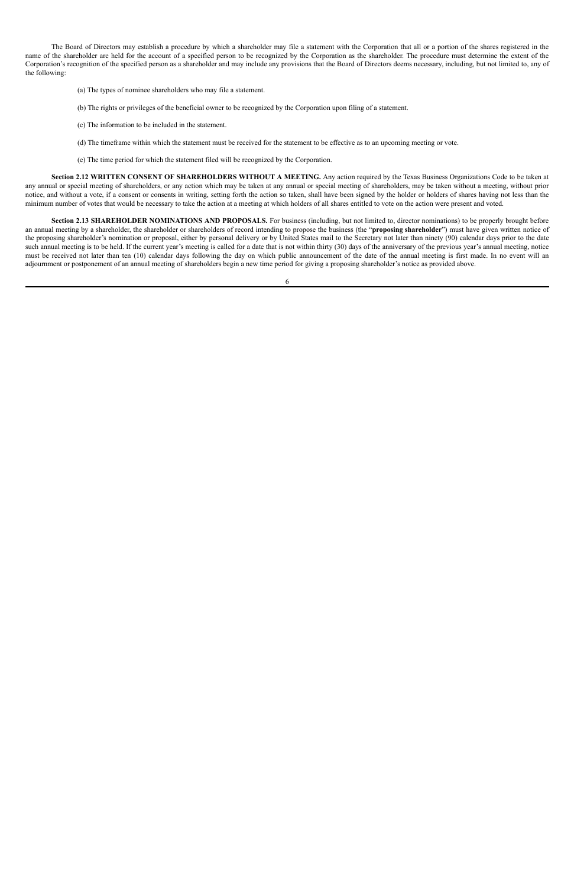The Board of Directors may establish a procedure by which a shareholder may file a statement with the Corporation that all or a portion of the shares registered in the name of the shareholder are held for the account of a specified person to be recognized by the Corporation as the shareholder. The procedure must determine the extent of the Corporation's recognition of the specified person as a shareholder and may include any provisions that the Board of Directors deems necessary, including, but not limited to, any of the following:

- (a) The types of nominee shareholders who may file a statement.
- (b) The rights or privileges of the beneficial owner to be recognized by the Corporation upon filing of a statement.
- (c) The information to be included in the statement.
- (d) The timeframe within which the statement must be received for the statement to be effective as to an upcoming meeting or vote.
- (e) The time period for which the statement filed will be recognized by the Corporation.

**Section 2.12 WRITTEN CONSENT OF SHAREHOLDERS WITHOUT A MEETING.** Any action required by the Texas Business Organizations Code to be taken at any annual or special meeting of shareholders, or any action which may be taken at any annual or special meeting of shareholders, may be taken without a meeting, without prior notice, and without a vote, if a consent or consents in writing, setting forth the action so taken, shall have been signed by the holder or holders of shares having not less than the minimum number of votes that would be necessary to take the action at a meeting at which holders of all shares entitled to vote on the action were present and voted.

**Section 2.13 SHAREHOLDER NOMINATIONS AND PROPOSALS.** For business (including, but not limited to, director nominations) to be properly brought before an annual meeting by a shareholder, the shareholder or shareholders of record intending to propose the business (the "**proposing shareholder**") must have given written notice of the proposing shareholder's nomination or proposal, either by personal delivery or by United States mail to the Secretary not later than ninety (90) calendar days prior to the date such annual meeting is to be held. If the current year's meeting is called for a date that is not within thirty (30) days of the anniversary of the previous year's annual meeting, notice must be received not later than ten (10) calendar days following the day on which public announcement of the date of the annual meeting is first made. In no event will an adjournment or postponement of an annual meeting of shareholders begin a new time period for giving a proposing shareholder's notice as provided above.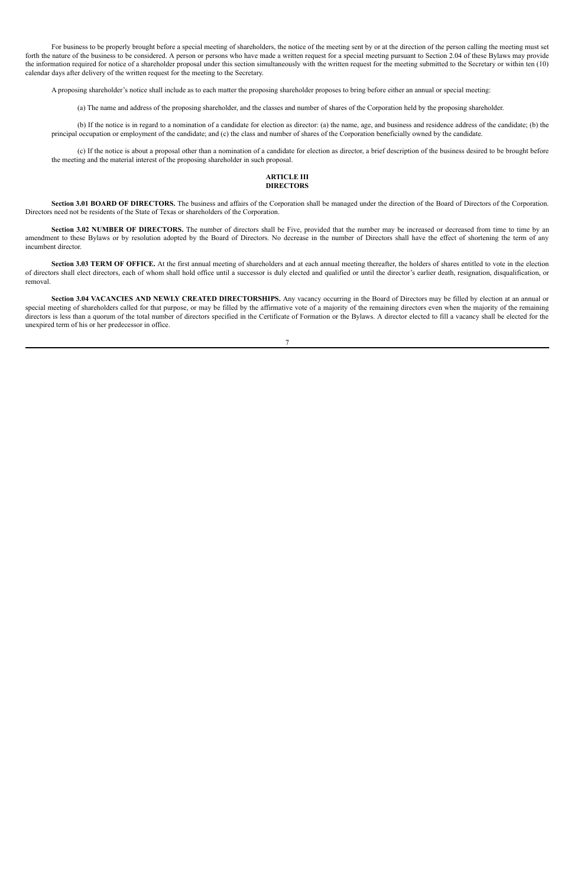For business to be properly brought before a special meeting of shareholders, the notice of the meeting sent by or at the direction of the person calling the meeting must set forth the nature of the business to be considered. A person or persons who have made a written request for a special meeting pursuant to Section 2.04 of these Bylaws may provide the information required for notice of a shareholder proposal under this section simultaneously with the written request for the meeting submitted to the Secretary or within ten (10) calendar days after delivery of the written request for the meeting to the Secretary.

A proposing shareholder's notice shall include as to each matter the proposing shareholder proposes to bring before either an annual or special meeting:

(a) The name and address of the proposing shareholder, and the classes and number of shares of the Corporation held by the proposing shareholder.

(b) If the notice is in regard to a nomination of a candidate for election as director: (a) the name, age, and business and residence address of the candidate; (b) the principal occupation or employment of the candidate; and (c) the class and number of shares of the Corporation beneficially owned by the candidate.

(c) If the notice is about a proposal other than a nomination of a candidate for election as director, a brief description of the business desired to be brought before the meeting and the material interest of the proposing shareholder in such proposal.

#### **ARTICLE III DIRECTORS**

**Section 3.01 BOARD OF DIRECTORS.** The business and affairs of the Corporation shall be managed under the direction of the Board of Directors of the Corporation. Directors need not be residents of the State of Texas or shareholders of the Corporation.

**Section 3.02 NUMBER OF DIRECTORS.** The number of directors shall be Five, provided that the number may be increased or decreased from time to time by an amendment to these Bylaws or by resolution adopted by the Board of Directors. No decrease in the number of Directors shall have the effect of shortening the term of any incumbent director.

**Section 3.03 TERM OF OFFICE.** At the first annual meeting of shareholders and at each annual meeting thereafter, the holders of shares entitled to vote in the election of directors shall elect directors, each of whom shall hold office until a successor is duly elected and qualified or until the director's earlier death, resignation, disqualification, or removal.

**Section 3.04 VACANCIES AND NEWLY CREATED DIRECTORSHIPS.** Any vacancy occurring in the Board of Directors may be filled by election at an annual or special meeting of shareholders called for that purpose, or may be filled by the affirmative vote of a majority of the remaining directors even when the majority of the remaining directors is less than a quorum of the total number of directors specified in the Certificate of Formation or the Bylaws. A director elected to fill a vacancy shall be elected for the unexpired term of his or her predecessor in office.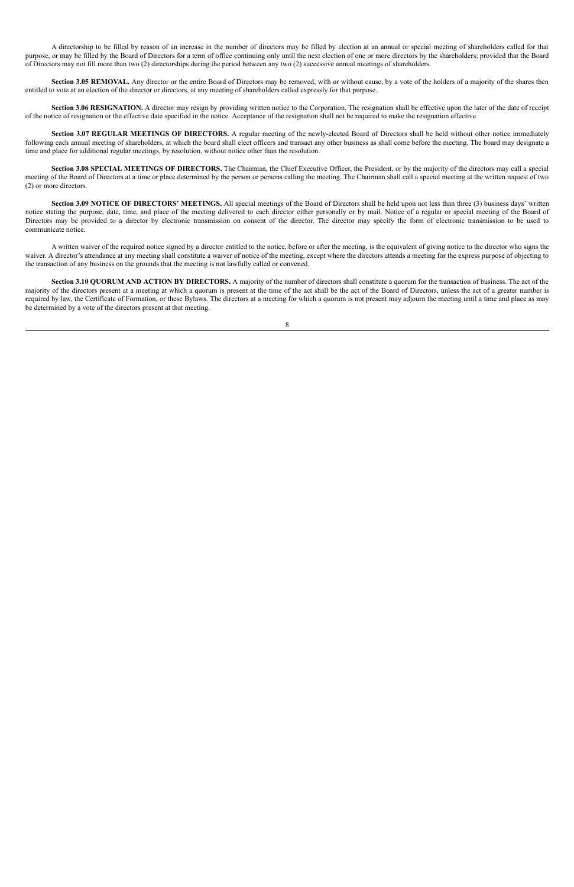A directorship to be filled by reason of an increase in the number of directors may be filled by election at an annual or special meeting of shareholders called for that purpose, or may be filled by the Board of Directors for a term of office continuing only until the next election of one or more directors by the shareholders; provided that the Board of Directors may not fill more than two (2) directorships during the period between any two (2) successive annual meetings of shareholders.

**Section 3.05 REMOVAL.** Any director or the entire Board of Directors may be removed, with or without cause, by a vote of the holders of a majority of the shares then entitled to vote at an election of the director or directors, at any meeting of shareholders called expressly for that purpose.

**Section 3.06 RESIGNATION.** A director may resign by providing written notice to the Corporation. The resignation shall be effective upon the later of the date of receipt of the notice of resignation or the effective date specified in the notice. Acceptance of the resignation shall not be required to make the resignation effective.

**Section 3.07 REGULAR MEETINGS OF DIRECTORS.** A regular meeting of the newly-elected Board of Directors shall be held without other notice immediately following each annual meeting of shareholders, at which the board shall elect officers and transact any other business as shall come before the meeting. The board may designate a time and place for additional regular meetings, by resolution, without notice other than the resolution.

**Section 3.08 SPECIAL MEETINGS OF DIRECTORS.** The Chairman, the Chief Executive Officer, the President, or by the majority of the directors may call a special meeting of the Board of Directors at a time or place determined by the person or persons calling the meeting. The Chairman shall call a special meeting at the written request of two (2) or more directors.

**Section 3.09 NOTICE OF DIRECTORS' MEETINGS.** All special meetings of the Board of Directors shall be held upon not less than three (3) business days' written notice stating the purpose, date, time, and place of the meeting delivered to each director either personally or by mail. Notice of a regular or special meeting of the Board of Directors may be provided to a director by electronic transmission on consent of the director. The director may specify the form of electronic transmission to be used to communicate notice.

A written waiver of the required notice signed by a director entitled to the notice, before or after the meeting, is the equivalent of giving notice to the director who signs the waiver. A director's attendance at any meeting shall constitute a waiver of notice of the meeting, except where the directors attends a meeting for the express purpose of objecting to the transaction of any business on the grounds that the meeting is not lawfully called or convened.

**Section 3.10 QUORUM AND ACTION BY DIRECTORS.** A majority of the number of directors shall constitute a quorum for the transaction of business. The act of the majority of the directors present at a meeting at which a quorum is present at the time of the act shall be the act of the Board of Directors, unless the act of a greater number is required by law, the Certificate of Formation, or these Bylaws. The directors at a meeting for which a quorum is not present may adjourn the meeting until a time and place as may be determined by a vote of the directors present at that meeting.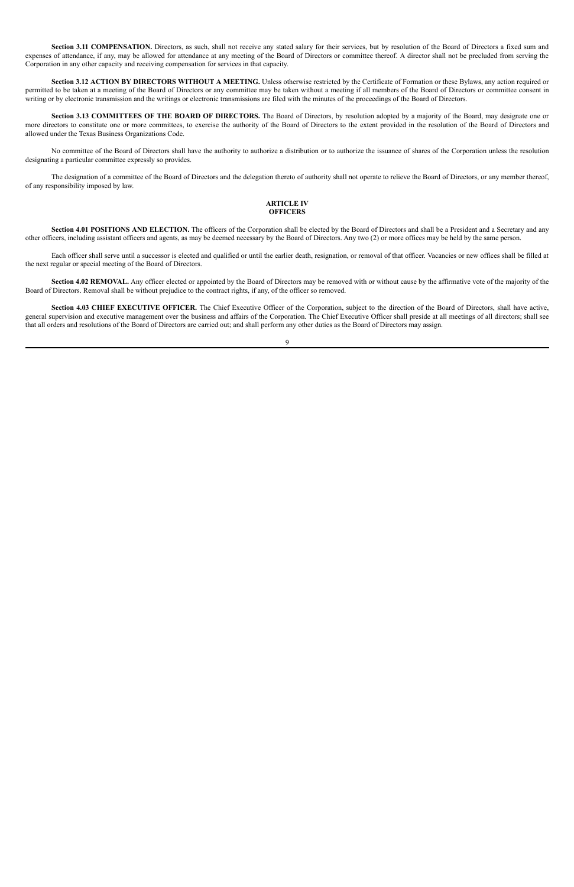Section 3.11 COMPENSATION. Directors, as such, shall not receive any stated salary for their services, but by resolution of the Board of Directors a fixed sum and expenses of attendance, if any, may be allowed for attendance at any meeting of the Board of Directors or committee thereof. A director shall not be precluded from serving the Corporation in any other capacity and receiving compensation for services in that capacity.

**Section 3.12 ACTION BY DIRECTORS WITHOUT A MEETING.** Unless otherwise restricted by the Certificate of Formation or these Bylaws, any action required or permitted to be taken at a meeting of the Board of Directors or any committee may be taken without a meeting if all members of the Board of Directors or committee consent in writing or by electronic transmission and the writings or electronic transmissions are filed with the minutes of the proceedings of the Board of Directors.

Section 4.01 POSITIONS AND ELECTION. The officers of the Corporation shall be elected by the Board of Directors and shall be a President and a Secretary and any other officers, including assistant officers and agents, as may be deemed necessary by the Board of Directors. Any two (2) or more offices may be held by the same person.

**Section 3.13 COMMITTEES OF THE BOARD OF DIRECTORS.** The Board of Directors, by resolution adopted by a majority of the Board, may designate one or more directors to constitute one or more committees, to exercise the authority of the Board of Directors to the extent provided in the resolution of the Board of Directors and allowed under the Texas Business Organizations Code.

No committee of the Board of Directors shall have the authority to authorize a distribution or to authorize the issuance of shares of the Corporation unless the resolution designating a particular committee expressly so provides.

The designation of a committee of the Board of Directors and the delegation thereto of authority shall not operate to relieve the Board of Directors, or any member thereof, of any responsibility imposed by law.

### **ARTICLE IV OFFICERS**

Each officer shall serve until a successor is elected and qualified or until the earlier death, resignation, or removal of that officer. Vacancies or new offices shall be filled at the next regular or special meeting of the Board of Directors.

**Section 4.02 REMOVAL.** Any officer elected or appointed by the Board of Directors may be removed with or without cause by the affirmative vote of the majority of the Board of Directors. Removal shall be without prejudice to the contract rights, if any, of the officer so removed.

**Section 4.03 CHIEF EXECUTIVE OFFICER.** The Chief Executive Officer of the Corporation, subject to the direction of the Board of Directors, shall have active, general supervision and executive management over the business and affairs of the Corporation. The Chief Executive Officer shall preside at all meetings of all directors; shall see that all orders and resolutions of the Board of Directors are carried out; and shall perform any other duties as the Board of Directors may assign.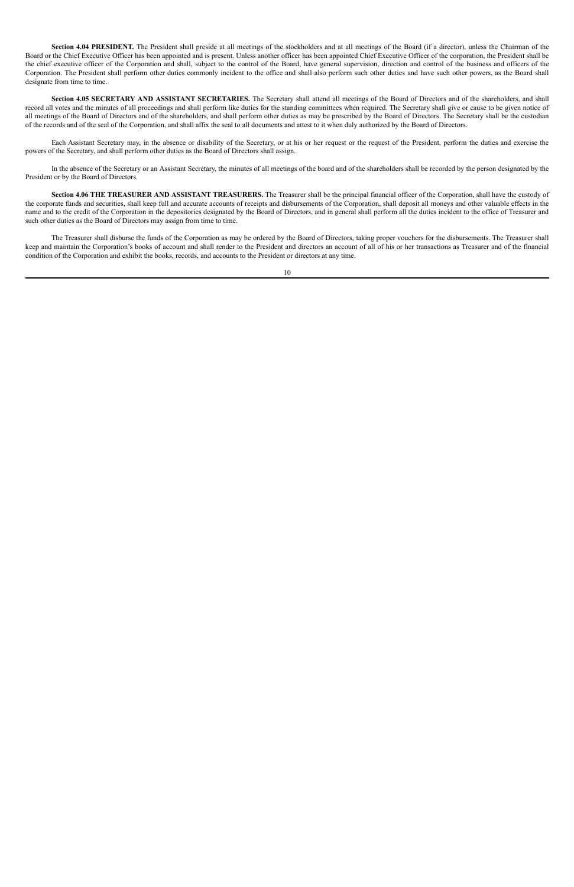Section 4.04 PRESIDENT. The President shall preside at all meetings of the stockholders and at all meetings of the Board (if a director), unless the Chairman of the Board or the Chief Executive Officer has been appointed and is present. Unless another officer has been appointed Chief Executive Officer of the corporation, the President shall be the chief executive officer of the Corporation and shall, subject to the control of the Board, have general supervision, direction and control of the business and officers of the Corporation. The President shall perform other duties commonly incident to the office and shall also perform such other duties and have such other powers, as the Board shall designate from time to time.

**Section 4.05 SECRETARY AND ASSISTANT SECRETARIES.** The Secretary shall attend all meetings of the Board of Directors and of the shareholders, and shall record all votes and the minutes of all proceedings and shall perform like duties for the standing committees when required. The Secretary shall give or cause to be given notice of all meetings of the Board of Directors and of the shareholders, and shall perform other duties as may be prescribed by the Board of Directors. The Secretary shall be the custodian of the records and of the seal of the Corporation, and shall affix the seal to all documents and attest to it when duly authorized by the Board of Directors.

Each Assistant Secretary may, in the absence or disability of the Secretary, or at his or her request or the request of the President, perform the duties and exercise the powers of the Secretary, and shall perform other duties as the Board of Directors shall assign.

In the absence of the Secretary or an Assistant Secretary, the minutes of all meetings of the board and of the shareholders shall be recorded by the person designated by the President or by the Board of Directors.

**Section 4.06 THE TREASURER AND ASSISTANT TREASURERS.** The Treasurer shall be the principal financial officer of the Corporation, shall have the custody of the corporate funds and securities, shall keep full and accurate accounts of receipts and disbursements of the Corporation, shall deposit all moneys and other valuable effects in the name and to the credit of the Corporation in the depositories designated by the Board of Directors, and in general shall perform all the duties incident to the office of Treasurer and such other duties as the Board of Directors may assign from time to time.

The Treasurer shall disburse the funds of the Corporation as may be ordered by the Board of Directors, taking proper vouchers for the disbursements. The Treasurer shall keep and maintain the Corporation's books of account and shall render to the President and directors an account of all of his or her transactions as Treasurer and of the financial condition of the Corporation and exhibit the books, records, and accounts to the President or directors at any time.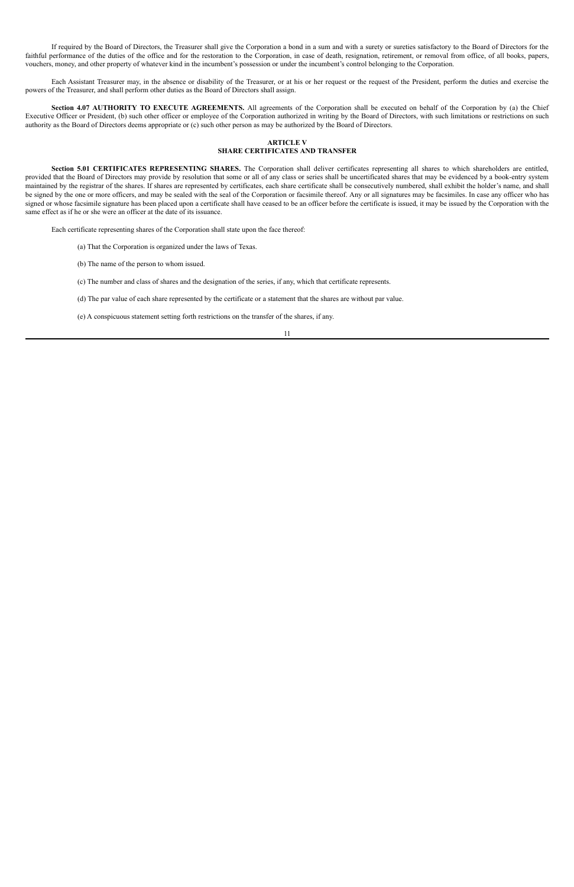If required by the Board of Directors, the Treasurer shall give the Corporation a bond in a sum and with a surety or sureties satisfactory to the Board of Directors for the faithful performance of the duties of the office and for the restoration to the Corporation, in case of death, resignation, retirement, or removal from office, of all books, papers, vouchers, money, and other property of whatever kind in the incumbent's possession or under the incumbent's control belonging to the Corporation.

Each Assistant Treasurer may, in the absence or disability of the Treasurer, or at his or her request or the request of the President, perform the duties and exercise the powers of the Treasurer, and shall perform other duties as the Board of Directors shall assign.

**Section 4.07 AUTHORITY TO EXECUTE AGREEMENTS.** All agreements of the Corporation shall be executed on behalf of the Corporation by (a) the Chief Executive Officer or President, (b) such other officer or employee of the Corporation authorized in writing by the Board of Directors, with such limitations or restrictions on such authority as the Board of Directors deems appropriate or (c) such other person as may be authorized by the Board of Directors.

#### **ARTICLE V SHARE CERTIFICATES AND TRANSFER**

**Section 5.01 CERTIFICATES REPRESENTING SHARES.** The Corporation shall deliver certificates representing all shares to which shareholders are entitled, provided that the Board of Directors may provide by resolution that some or all of any class or series shall be uncertificated shares that may be evidenced by a book-entry system maintained by the registrar of the shares. If shares are represented by certificates, each share certificate shall be consecutively numbered, shall exhibit the holder's name, and shall be signed by the one or more officers, and may be sealed with the seal of the Corporation or facsimile thereof. Any or all signatures may be facsimiles. In case any officer who has signed or whose facsimile signature has been placed upon a certificate shall have ceased to be an officer before the certificate is issued, it may be issued by the Corporation with the same effect as if he or she were an officer at the date of its issuance.

Each certificate representing shares of the Corporation shall state upon the face thereof:

- (a) That the Corporation is organized under the laws of Texas.
- (b) The name of the person to whom issued.

(c) The number and class of shares and the designation of the series, if any, which that certificate represents.

(d) The par value of each share represented by the certificate or a statement that the shares are without par value.

(e) A conspicuous statement setting forth restrictions on the transfer of the shares, if any.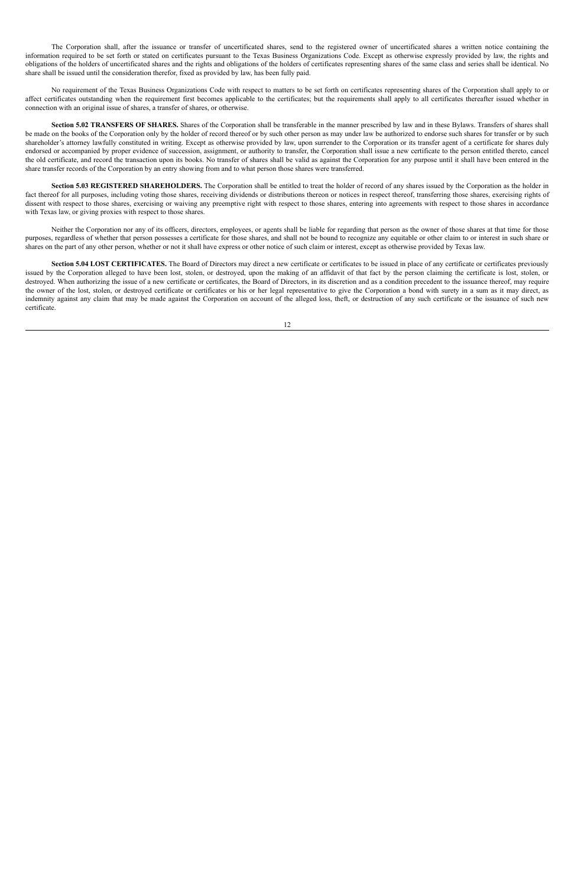The Corporation shall, after the issuance or transfer of uncertificated shares, send to the registered owner of uncertificated shares a written notice containing the information required to be set forth or stated on certificates pursuant to the Texas Business Organizations Code. Except as otherwise expressly provided by law, the rights and obligations of the holders of uncertificated shares and the rights and obligations of the holders of certificates representing shares of the same class and series shall be identical. No share shall be issued until the consideration therefor, fixed as provided by law, has been fully paid.

No requirement of the Texas Business Organizations Code with respect to matters to be set forth on certificates representing shares of the Corporation shall apply to or affect certificates outstanding when the requirement first becomes applicable to the certificates; but the requirements shall apply to all certificates thereafter issued whether in connection with an original issue of shares, a transfer of shares, or otherwise.

**Section 5.02 TRANSFERS OF SHARES.** Shares of the Corporation shall be transferable in the manner prescribed by law and in these Bylaws. Transfers of shares shall be made on the books of the Corporation only by the holder of record thereof or by such other person as may under law be authorized to endorse such shares for transfer or by such shareholder's attorney lawfully constituted in writing. Except as otherwise provided by law, upon surrender to the Corporation or its transfer agent of a certificate for shares duly endorsed or accompanied by proper evidence of succession, assignment, or authority to transfer, the Corporation shall issue a new certificate to the person entitled thereto, cancel the old certificate, and record the transaction upon its books. No transfer of shares shall be valid as against the Corporation for any purpose until it shall have been entered in the share transfer records of the Corporation by an entry showing from and to what person those shares were transferred.

**Section 5.03 REGISTERED SHAREHOLDERS.** The Corporation shall be entitled to treat the holder of record of any shares issued by the Corporation as the holder in fact thereof for all purposes, including voting those shares, receiving dividends or distributions thereon or notices in respect thereof, transferring those shares, exercising rights of dissent with respect to those shares, exercising or waiving any preemptive right with respect to those shares, entering into agreements with respect to those shares in accordance with Texas law, or giving proxies with respect to those shares.

Neither the Corporation nor any of its officers, directors, employees, or agents shall be liable for regarding that person as the owner of those shares at that time for those purposes, regardless of whether that person possesses a certificate for those shares, and shall not be bound to recognize any equitable or other claim to or interest in such share or shares on the part of any other person, whether or not it shall have express or other notice of such claim or interest, except as otherwise provided by Texas law.

**Section 5.04 LOST CERTIFICATES.** The Board of Directors may direct a new certificate or certificates to be issued in place of any certificate or certificates previously issued by the Corporation alleged to have been lost, stolen, or destroyed, upon the making of an affidavit of that fact by the person claiming the certificate is lost, stolen, or destroyed. When authorizing the issue of a new certificate or certificates, the Board of Directors, in its discretion and as a condition precedent to the issuance thereof, may require the owner of the lost, stolen, or destroyed certificate or certificates or his or her legal representative to give the Corporation a bond with surety in a sum as it may direct, as indemnity against any claim that may be made against the Corporation on account of the alleged loss, theft, or destruction of any such certificate or the issuance of such new certificate.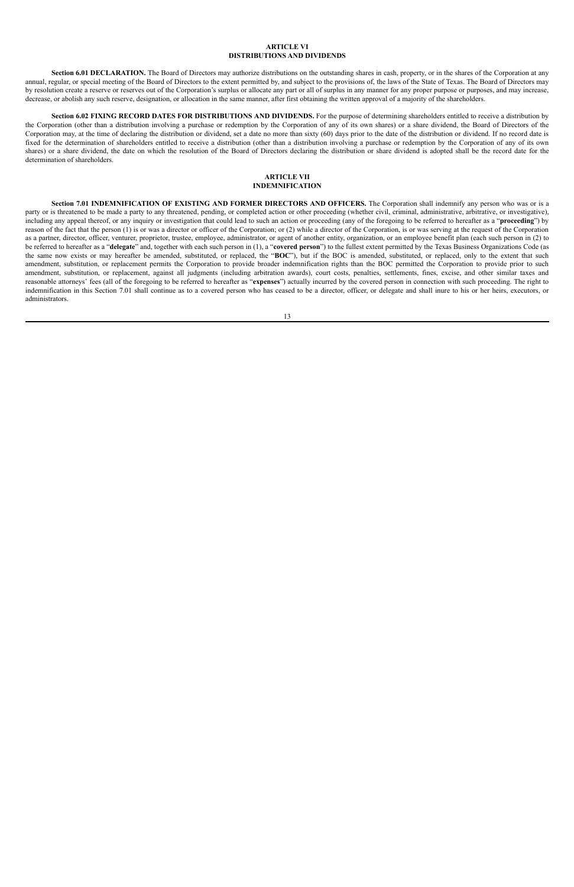#### **ARTICLE VI DISTRIBUTIONS AND DIVIDENDS**

Section 6.01 DECLARATION. The Board of Directors may authorize distributions on the outstanding shares in cash, property, or in the shares of the Corporation at any annual, regular, or special meeting of the Board of Directors to the extent permitted by, and subject to the provisions of, the laws of the State of Texas. The Board of Directors may by resolution create a reserve or reserves out of the Corporation's surplus or allocate any part or all of surplus in any manner for any proper purpose or purposes, and may increase, decrease, or abolish any such reserve, designation, or allocation in the same manner, after first obtaining the written approval of a majority of the shareholders.

**Section 6.02 FIXING RECORD DATES FOR DISTRIBUTIONS AND DIVIDENDS.** For the purpose of determining shareholders entitled to receive a distribution by the Corporation (other than a distribution involving a purchase or redemption by the Corporation of any of its own shares) or a share dividend, the Board of Directors of the Corporation may, at the time of declaring the distribution or dividend, set a date no more than sixty (60) days prior to the date of the distribution or dividend. If no record date is fixed for the determination of shareholders entitled to receive a distribution (other than a distribution involving a purchase or redemption by the Corporation of any of its own shares) or a share dividend, the date on which the resolution of the Board of Directors declaring the distribution or share dividend is adopted shall be the record date for the determination of shareholders.

#### **ARTICLE VII INDEMNIFICATION**

**Section 7.01 INDEMNIFICATION OF EXISTING AND FORMER DIRECTORS AND OFFICERS.** The Corporation shall indemnify any person who was or is a party or is threatened to be made a party to any threatened, pending, or completed action or other proceeding (whether civil, criminal, administrative, arbitrative, or investigative), including any appeal thereof, or any inquiry or investigation that could lead to such an action or proceeding (any of the foregoing to be referred to hereafter as a "**proceeding**") by reason of the fact that the person (1) is or was a director or officer of the Corporation; or (2) while a director of the Corporation, is or was serving at the request of the Corporation as a partner, director, officer, venturer, proprietor, trustee, employee, administrator, or agent of another entity, organization, or an employee benefit plan (each such person in (2) to be referred to hereafter as a "**delegate**" and, together with each such person in (1), a "**covered person**") to the fullest extent permitted by the Texas Business Organizations Code (as the same now exists or may hereafter be amended, substituted, or replaced, the "**BOC**"), but if the BOC is amended, substituted, or replaced, only to the extent that such amendment, substitution, or replacement permits the Corporation to provide broader indemnification rights than the BOC permitted the Corporation to provide prior to such amendment, substitution, or replacement, against all judgments (including arbitration awards), court costs, penalties, settlements, fines, excise, and other similar taxes and reasonable attorneys' fees (all of the foregoing to be referred to hereafter as "**expenses**") actually incurred by the covered person in connection with such proceeding. The right to indemnification in this Section 7.01 shall continue as to a covered person who has ceased to be a director, officer, or delegate and shall inure to his or her heirs, executors, or administrators.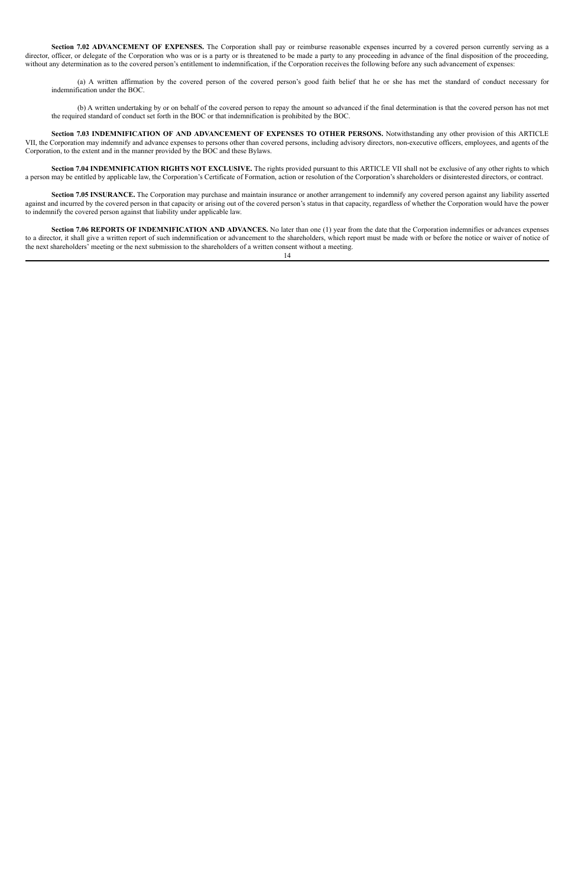**Section 7.02 ADVANCEMENT OF EXPENSES.** The Corporation shall pay or reimburse reasonable expenses incurred by a covered person currently serving as a director, officer, or delegate of the Corporation who was or is a party or is threatened to be made a party to any proceeding in advance of the final disposition of the proceeding, without any determination as to the covered person's entitlement to indemnification, if the Corporation receives the following before any such advancement of expenses:

(a) A written affirmation by the covered person of the covered person's good faith belief that he or she has met the standard of conduct necessary for indemnification under the BOC.

(b) A written undertaking by or on behalf of the covered person to repay the amount so advanced if the final determination is that the covered person has not met the required standard of conduct set forth in the BOC or that indemnification is prohibited by the BOC.

Section 7.05 INSURANCE. The Corporation may purchase and maintain insurance or another arrangement to indemnify any covered person against any liability asserted against and incurred by the covered person in that capacity or arising out of the covered person's status in that capacity, regardless of whether the Corporation would have the power to indemnify the covered person against that liability under applicable law.

**Section 7.03 INDEMNIFICATION OF AND ADVANCEMENT OF EXPENSES TO OTHER PERSONS.** Notwithstanding any other provision of this ARTICLE VII, the Corporation may indemnify and advance expenses to persons other than covered persons, including advisory directors, non-executive officers, employees, and agents of the Corporation, to the extent and in the manner provided by the BOC and these Bylaws.

**Section 7.04 INDEMNIFICATION RIGHTS NOT EXCLUSIVE.** The rights provided pursuant to this ARTICLE VII shall not be exclusive of any other rights to which a person may be entitled by applicable law, the Corporation's Certificate of Formation, action or resolution of the Corporation's shareholders or disinterested directors, or contract.

**Section 7.06 REPORTS OF INDEMNIFICATION AND ADVANCES.** No later than one (1) year from the date that the Corporation indemnifies or advances expenses to a director, it shall give a written report of such indemnification or advancement to the shareholders, which report must be made with or before the notice or waiver of notice of the next shareholders' meeting or the next submission to the shareholders of a written consent without a meeting.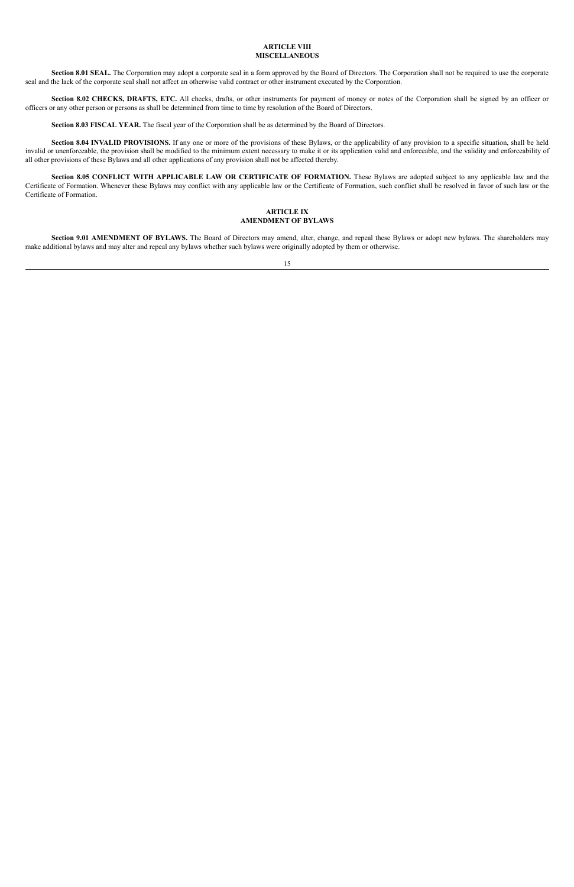#### **ARTICLE VIII MISCELLANEOUS**

**Section 8.01 SEAL.** The Corporation may adopt a corporate seal in a form approved by the Board of Directors. The Corporation shall not be required to use the corporate seal and the lack of the corporate seal shall not affect an otherwise valid contract or other instrument executed by the Corporation.

**Section 8.02 CHECKS, DRAFTS, ETC.** All checks, drafts, or other instruments for payment of money or notes of the Corporation shall be signed by an officer or officers or any other person or persons as shall be determined from time to time by resolution of the Board of Directors.

**Section 8.03 FISCAL YEAR.** The fiscal year of the Corporation shall be as determined by the Board of Directors.

**Section 8.04 INVALID PROVISIONS.** If any one or more of the provisions of these Bylaws, or the applicability of any provision to a specific situation, shall be held invalid or unenforceable, the provision shall be modified to the minimum extent necessary to make it or its application valid and enforceable, and the validity and enforceability of all other provisions of these Bylaws and all other applications of any provision shall not be affected thereby.

**Section 8.05 CONFLICT WITH APPLICABLE LAW OR CERTIFICATE OF FORMATION.** These Bylaws are adopted subject to any applicable law and the Certificate of Formation. Whenever these Bylaws may conflict with any applicable law or the Certificate of Formation, such conflict shall be resolved in favor of such law or the Certificate of Formation.

#### **ARTICLE IX AMENDMENT OF BYLAWS**

**Section 9.01 AMENDMENT OF BYLAWS.** The Board of Directors may amend, alter, change, and repeal these Bylaws or adopt new bylaws. The shareholders may make additional bylaws and may alter and repeal any bylaws whether such bylaws were originally adopted by them or otherwise.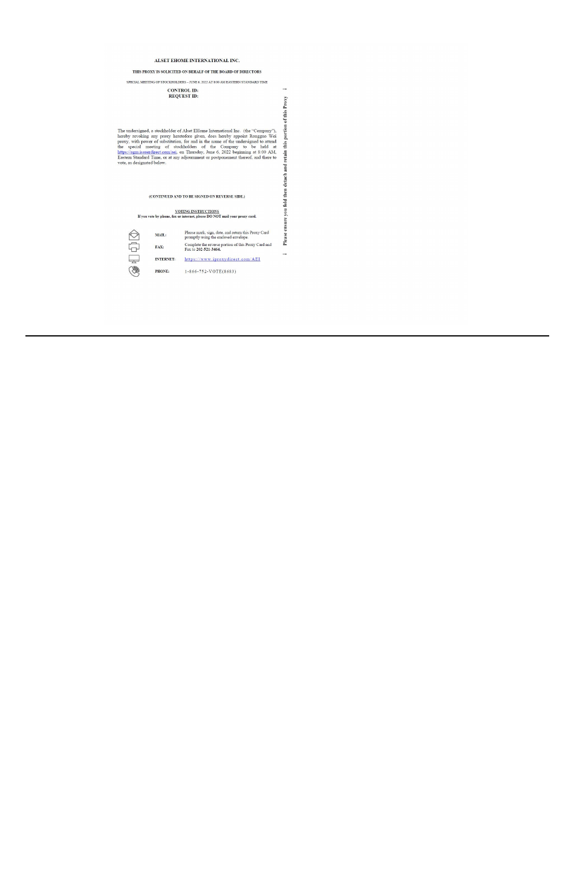#### ALSET EHOME INTERNATIONAL INC.

THIS PROXY IS SOLICITED ON BEHALF OF THE BOARD OF DIRECTORS

SPECIAL MEETING OF STOCKHOLDERS – JUNE 6, 2022 AT 8:00 AM EASTERN STANDARD TIME

 $\rightarrow$ 

 $\rightarrow$ 

#### **CONTROL ID: REQUEST ID:**

Please ensure you fold then detach and retain this portion of this Proxy The undersigned, a stockholder of Alset EHome International Inc. (the "Company"), hereby revoking any proxy heretofore given, does hereby appoint Rongguo Wei proxy, with power of substitution, for and in the name of the u

(CONTINUED AND TO BE SIGNED ON REVERSE SIDE.)

# $\frac{\text{VOTING INSTRUCTONS}}{\text{I} \text{you vote by phone, fax or internet, please DO NOT mail your proxy card.}}$